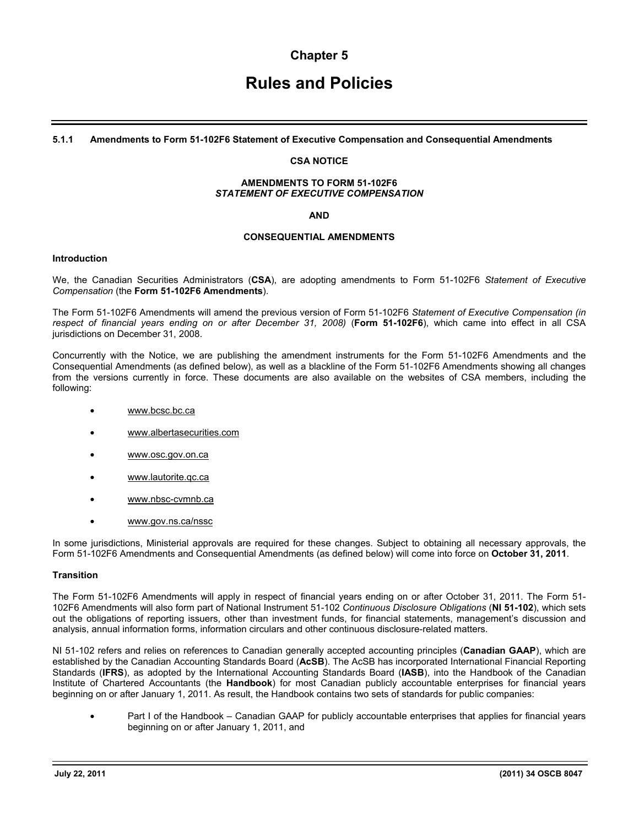# **Chapter 5**

# **Rules and Policies**

## **5.1.1 Amendments to Form 51-102F6 Statement of Executive Compensation and Consequential Amendments**

## **CSA NOTICE**

## **AMENDMENTS TO FORM 51-102F6**  *STATEMENT OF EXECUTIVE COMPENSATION*

## **AND**

## **CONSEQUENTIAL AMENDMENTS**

#### **Introduction**

We, the Canadian Securities Administrators (**CSA**), are adopting amendments to Form 51-102F6 *Statement of Executive Compensation* (the **Form 51-102F6 Amendments**).

The Form 51-102F6 Amendments will amend the previous version of Form 51-102F6 *Statement of Executive Compensation (in respect of financial years ending on or after December 31, 2008)* (**Form 51-102F6**), which came into effect in all CSA jurisdictions on December 31, 2008.

Concurrently with the Notice, we are publishing the amendment instruments for the Form 51-102F6 Amendments and the Consequential Amendments (as defined below), as well as a blackline of the Form 51-102F6 Amendments showing all changes from the versions currently in force. These documents are also available on the websites of CSA members, including the following:

- www.bcsc.bc.ca
- www.albertasecurities.com
- www.osc.gov.on.ca
- www.lautorite.qc.ca
- www.nbsc-cvmnb.ca
- www.gov.ns.ca/nssc

In some jurisdictions, Ministerial approvals are required for these changes. Subject to obtaining all necessary approvals, the Form 51-102F6 Amendments and Consequential Amendments (as defined below) will come into force on **October 31, 2011**.

## **Transition**

The Form 51-102F6 Amendments will apply in respect of financial years ending on or after October 31, 2011. The Form 51- 102F6 Amendments will also form part of National Instrument 51-102 *Continuous Disclosure Obligations* (**NI 51-102**), which sets out the obligations of reporting issuers, other than investment funds, for financial statements, management's discussion and analysis, annual information forms, information circulars and other continuous disclosure-related matters.

NI 51-102 refers and relies on references to Canadian generally accepted accounting principles (**Canadian GAAP**), which are established by the Canadian Accounting Standards Board (**AcSB**). The AcSB has incorporated International Financial Reporting Standards (**IFRS**), as adopted by the International Accounting Standards Board (**IASB**), into the Handbook of the Canadian Institute of Chartered Accountants (the **Handbook**) for most Canadian publicly accountable enterprises for financial years beginning on or after January 1, 2011. As result, the Handbook contains two sets of standards for public companies:

Part I of the Handbook – Canadian GAAP for publicly accountable enterprises that applies for financial years beginning on or after January 1, 2011, and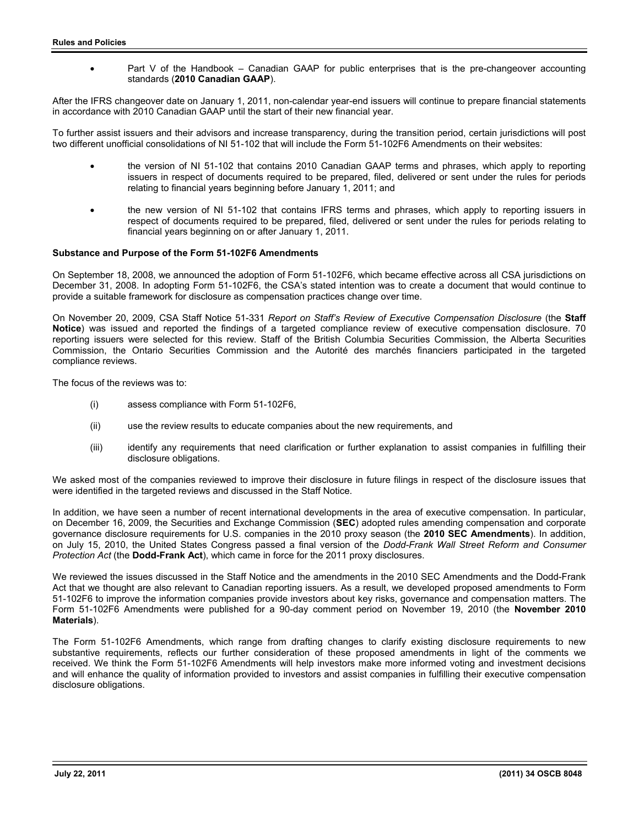Part V of the Handbook – Canadian GAAP for public enterprises that is the pre-changeover accounting standards (**2010 Canadian GAAP**).

After the IFRS changeover date on January 1, 2011, non-calendar year-end issuers will continue to prepare financial statements in accordance with 2010 Canadian GAAP until the start of their new financial year.

To further assist issuers and their advisors and increase transparency, during the transition period, certain jurisdictions will post two different unofficial consolidations of NI 51-102 that will include the Form 51-102F6 Amendments on their websites:

- the version of NI 51-102 that contains 2010 Canadian GAAP terms and phrases, which apply to reporting issuers in respect of documents required to be prepared, filed, delivered or sent under the rules for periods relating to financial years beginning before January 1, 2011; and
- the new version of NI 51-102 that contains IFRS terms and phrases, which apply to reporting issuers in respect of documents required to be prepared, filed, delivered or sent under the rules for periods relating to financial years beginning on or after January 1, 2011.

## **Substance and Purpose of the Form 51-102F6 Amendments**

On September 18, 2008, we announced the adoption of Form 51-102F6, which became effective across all CSA jurisdictions on December 31, 2008. In adopting Form 51-102F6, the CSA's stated intention was to create a document that would continue to provide a suitable framework for disclosure as compensation practices change over time.

On November 20, 2009, CSA Staff Notice 51-331 *Report on Staff's Review of Executive Compensation Disclosure* (the **Staff Notice**) was issued and reported the findings of a targeted compliance review of executive compensation disclosure. 70 reporting issuers were selected for this review. Staff of the British Columbia Securities Commission, the Alberta Securities Commission, the Ontario Securities Commission and the Autorité des marchés financiers participated in the targeted compliance reviews.

The focus of the reviews was to:

- (i) assess compliance with Form 51-102F6,
- (ii) use the review results to educate companies about the new requirements, and
- (iii) identify any requirements that need clarification or further explanation to assist companies in fulfilling their disclosure obligations.

We asked most of the companies reviewed to improve their disclosure in future filings in respect of the disclosure issues that were identified in the targeted reviews and discussed in the Staff Notice.

In addition, we have seen a number of recent international developments in the area of executive compensation. In particular, on December 16, 2009, the Securities and Exchange Commission (**SEC**) adopted rules amending compensation and corporate governance disclosure requirements for U.S. companies in the 2010 proxy season (the **2010 SEC Amendments**). In addition, on July 15, 2010, the United States Congress passed a final version of the *Dodd-Frank Wall Street Reform and Consumer Protection Act* (the **Dodd-Frank Act**), which came in force for the 2011 proxy disclosures.

We reviewed the issues discussed in the Staff Notice and the amendments in the 2010 SEC Amendments and the Dodd-Frank Act that we thought are also relevant to Canadian reporting issuers. As a result, we developed proposed amendments to Form 51-102F6 to improve the information companies provide investors about key risks, governance and compensation matters. The Form 51-102F6 Amendments were published for a 90-day comment period on November 19, 2010 (the **November 2010 Materials**).

The Form 51-102F6 Amendments, which range from drafting changes to clarify existing disclosure requirements to new substantive requirements, reflects our further consideration of these proposed amendments in light of the comments we received. We think the Form 51-102F6 Amendments will help investors make more informed voting and investment decisions and will enhance the quality of information provided to investors and assist companies in fulfilling their executive compensation disclosure obligations.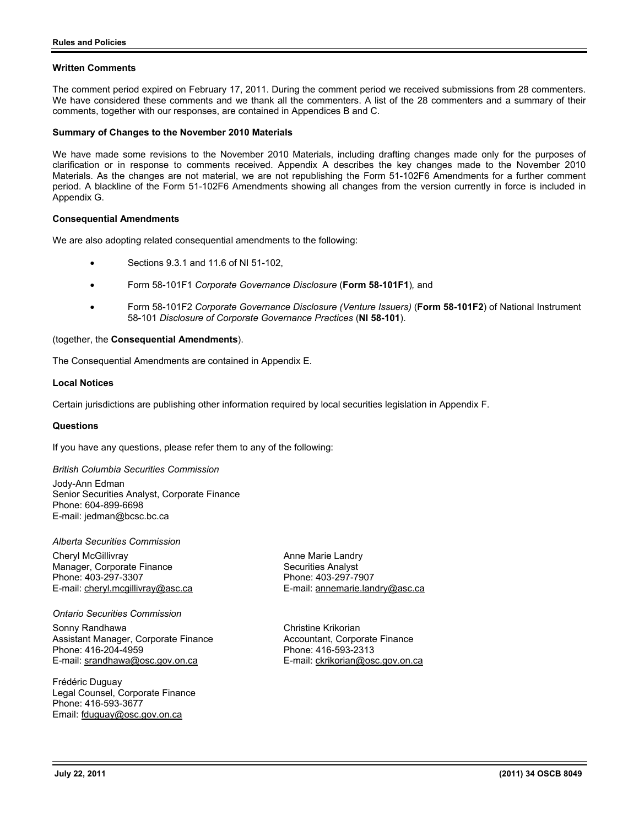## **Written Comments**

The comment period expired on February 17, 2011. During the comment period we received submissions from 28 commenters. We have considered these comments and we thank all the commenters. A list of the 28 commenters and a summary of their comments, together with our responses, are contained in Appendices B and C.

## **Summary of Changes to the November 2010 Materials**

We have made some revisions to the November 2010 Materials, including drafting changes made only for the purposes of clarification or in response to comments received. Appendix A describes the key changes made to the November 2010 Materials. As the changes are not material, we are not republishing the Form 51-102F6 Amendments for a further comment period. A blackline of the Form 51-102F6 Amendments showing all changes from the version currently in force is included in Appendix G.

## **Consequential Amendments**

We are also adopting related consequential amendments to the following:

- Sections 9.3.1 and 11.6 of NI 51-102,
- Form 58-101F1 *Corporate Governance Disclosure* (**Form 58-101F1**)*,* and
- Form 58-101F2 *Corporate Governance Disclosure (Venture Issuers)* (**Form 58-101F2**) of National Instrument 58-101 *Disclosure of Corporate Governance Practices* (**NI 58-101**).

#### (together, the **Consequential Amendments**).

The Consequential Amendments are contained in Appendix E.

## **Local Notices**

Certain jurisdictions are publishing other information required by local securities legislation in Appendix F.

#### **Questions**

If you have any questions, please refer them to any of the following:

*British Columbia Securities Commission* 

Jody-Ann Edman Senior Securities Analyst, Corporate Finance Phone: 604-899-6698 E-mail: jedman@bcsc.bc.ca

#### *Alberta Securities Commission*

Cheryl McGillivray Manager, Corporate Finance Phone: 403-297-3307 E-mail: cheryl.mcgillivray@asc.ca

#### *Ontario Securities Commission*

Sonny Randhawa Assistant Manager, Corporate Finance Phone: 416-204-4959 E-mail: srandhawa@osc.gov.on.ca

Frédéric Duguay Legal Counsel, Corporate Finance Phone: 416-593-3677 Email: fduguay@osc.gov.on.ca

Anne Marie Landry Securities Analyst Phone: 403-297-7907 E-mail: annemarie.landry@asc.ca

Christine Krikorian Accountant, Corporate Finance Phone: 416-593-2313 E-mail: ckrikorian@osc.gov.on.ca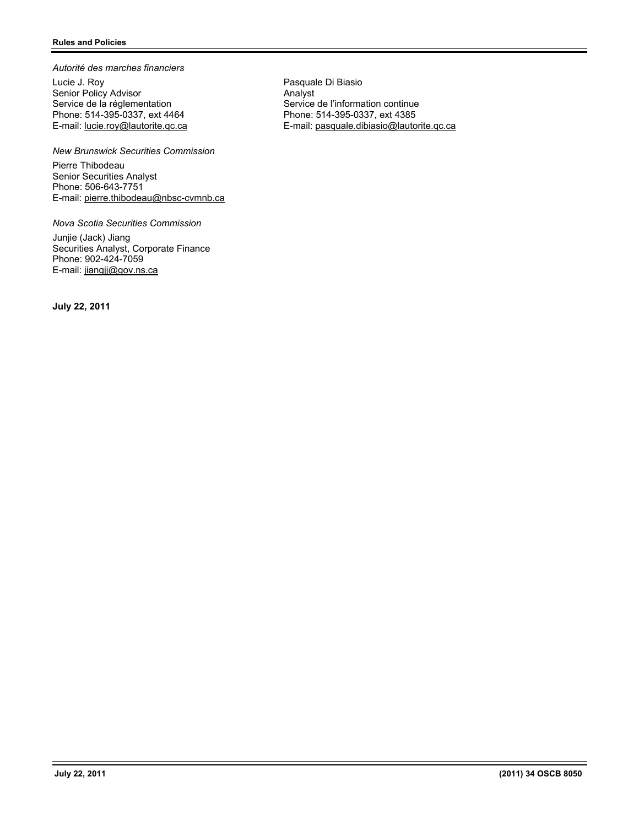*Autorité des marches financiers* 

Lucie J. Roy Senior Policy Advisor Service de la réglementation Phone: 514-395-0337, ext 4464 E-mail: lucie.roy@lautorite.qc.ca

*New Brunswick Securities Commission* 

Pierre Thibodeau Senior Securities Analyst Phone: 506-643-7751 E-mail: pierre.thibodeau@nbsc-cvmnb.ca

*Nova Scotia Securities Commission*

Junjie (Jack) Jiang Securities Analyst, Corporate Finance Phone: 902-424-7059 E-mail: jiangjj@gov.ns.ca

**July 22, 2011** 

Pasquale Di Biasio Analyst Service de l'information continue Phone: 514-395-0337, ext 4385 E-mail: pasquale.dibiasio@lautorite.qc.ca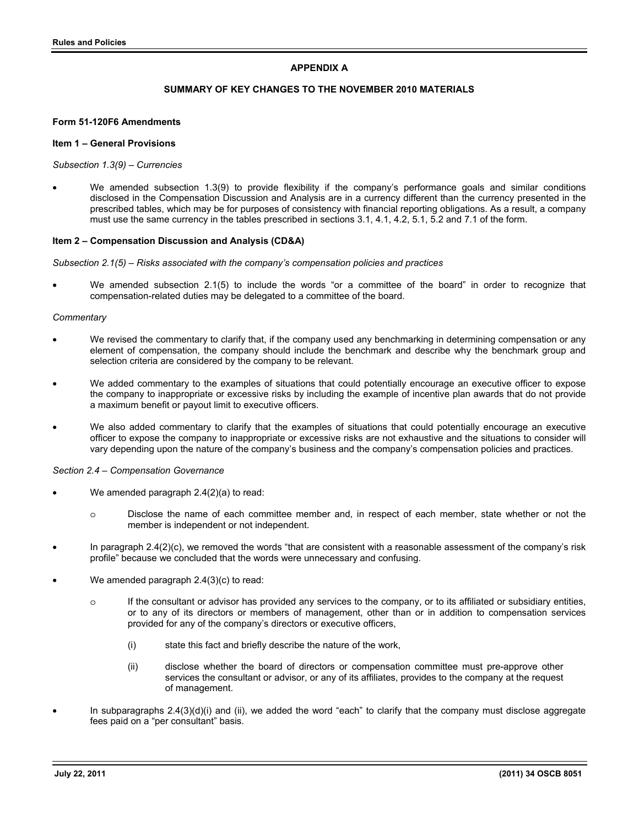## **APPENDIX A**

## **SUMMARY OF KEY CHANGES TO THE NOVEMBER 2010 MATERIALS**

#### **Form 51-120F6 Amendments**

## **Item 1 – General Provisions**

## *Subsection 1.3(9) – Currencies*

• We amended subsection 1.3(9) to provide flexibility if the company's performance goals and similar conditions disclosed in the Compensation Discussion and Analysis are in a currency different than the currency presented in the prescribed tables, which may be for purposes of consistency with financial reporting obligations. As a result, a company must use the same currency in the tables prescribed in sections 3.1, 4.1, 4.2, 5.1, 5.2 and 7.1 of the form.

## **Item 2 – Compensation Discussion and Analysis (CD&A)**

*Subsection 2.1(5) – Risks associated with the company's compensation policies and practices* 

• We amended subsection 2.1(5) to include the words "or a committee of the board" in order to recognize that compensation-related duties may be delegated to a committee of the board.

#### *Commentary*

- We revised the commentary to clarify that, if the company used any benchmarking in determining compensation or any element of compensation, the company should include the benchmark and describe why the benchmark group and selection criteria are considered by the company to be relevant.
- We added commentary to the examples of situations that could potentially encourage an executive officer to expose the company to inappropriate or excessive risks by including the example of incentive plan awards that do not provide a maximum benefit or payout limit to executive officers.
- We also added commentary to clarify that the examples of situations that could potentially encourage an executive officer to expose the company to inappropriate or excessive risks are not exhaustive and the situations to consider will vary depending upon the nature of the company's business and the company's compensation policies and practices.

#### *Section 2.4 – Compensation Governance*

- We amended paragraph  $2.4(2)(a)$  to read:
	- o Disclose the name of each committee member and, in respect of each member, state whether or not the member is independent or not independent.
- In paragraph 2.4(2)(c), we removed the words "that are consistent with a reasonable assessment of the company's risk profile" because we concluded that the words were unnecessary and confusing.
- We amended paragraph  $2.4(3)(c)$  to read:
	- o If the consultant or advisor has provided any services to the company, or to its affiliated or subsidiary entities, or to any of its directors or members of management, other than or in addition to compensation services provided for any of the company's directors or executive officers,
		- (i) state this fact and briefly describe the nature of the work,
		- (ii) disclose whether the board of directors or compensation committee must pre-approve other services the consultant or advisor, or any of its affiliates, provides to the company at the request of management.
- In subparagraphs 2.4(3)(d)(i) and (ii), we added the word "each" to clarify that the company must disclose aggregate fees paid on a "per consultant" basis.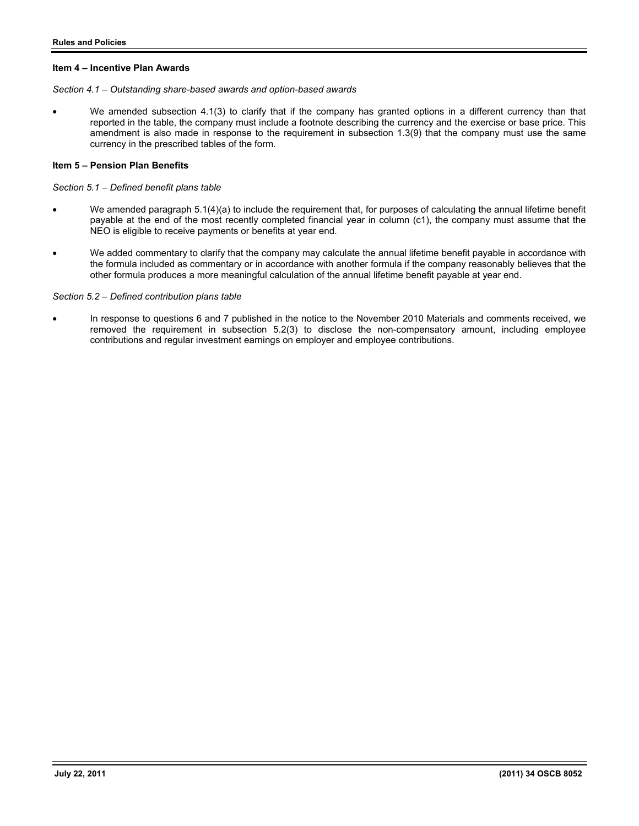## **Item 4 – Incentive Plan Awards**

#### *Section 4.1 – Outstanding share-based awards and option-based awards*

• We amended subsection 4.1(3) to clarify that if the company has granted options in a different currency than that reported in the table, the company must include a footnote describing the currency and the exercise or base price. This amendment is also made in response to the requirement in subsection 1.3(9) that the company must use the same currency in the prescribed tables of the form.

## **Item 5 – Pension Plan Benefits**

#### *Section 5.1 – Defined benefit plans table*

- We amended paragraph 5.1(4)(a) to include the requirement that, for purposes of calculating the annual lifetime benefit payable at the end of the most recently completed financial year in column (c1), the company must assume that the NEO is eligible to receive payments or benefits at year end.
- We added commentary to clarify that the company may calculate the annual lifetime benefit payable in accordance with the formula included as commentary or in accordance with another formula if the company reasonably believes that the other formula produces a more meaningful calculation of the annual lifetime benefit payable at year end.

## *Section 5.2 – Defined contribution plans table*

• In response to questions 6 and 7 published in the notice to the November 2010 Materials and comments received, we removed the requirement in subsection 5.2(3) to disclose the non-compensatory amount, including employee contributions and regular investment earnings on employer and employee contributions.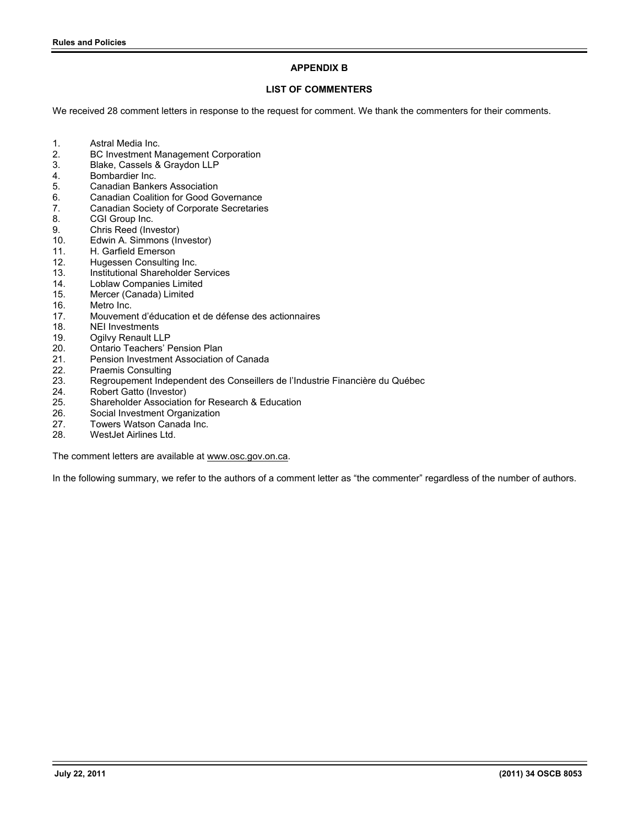## **APPENDIX B**

## **LIST OF COMMENTERS**

We received 28 comment letters in response to the request for comment. We thank the commenters for their comments.

- 1. Astral Media Inc.
- 2. BC Investment Management Corporation
- 3. Blake, Cassels & Graydon LLP
- 4. Bombardier Inc.
- 5. Canadian Bankers Association
- 6. Canadian Coalition for Good Governance
- 7. Canadian Society of Corporate Secretaries
- 8. CGI Group Inc.
- 9. Chris Reed (Investor)
- 10. Edwin A. Simmons (Investor)
- 11. H. Garfield Emerson
- 12. Hugessen Consulting Inc.
- 13. Institutional Shareholder Services
- 14. Loblaw Companies Limited
- 15. Mercer (Canada) Limited
- 16. Metro Inc.
- 17. Mouvement d'éducation et de défense des actionnaires
- 18. NEI Investments
- 19. Ogilvy Renault LLP
- 20. Ontario Teachers' Pension Plan
- 21. Pension Investment Association of Canada
- 22. Praemis Consulting
- 23. Regroupement Independent des Conseillers de l'Industrie Financière du Québec<br>24. Robert Gatto (Investor)
- 24. Robert Gatto (Investor)<br>25. Shareholder Association
- Shareholder Association for Research & Education
- 26. Social Investment Organization
- 27. Towers Watson Canada Inc.
- 28. WestJet Airlines Ltd.

The comment letters are available at www.osc.gov.on.ca.

In the following summary, we refer to the authors of a comment letter as "the commenter" regardless of the number of authors.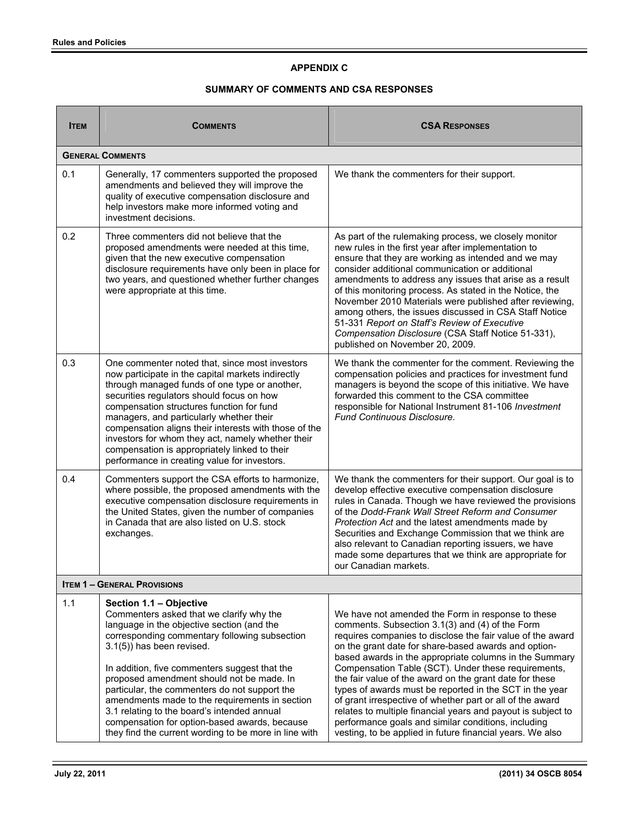## **APPENDIX C**

# **SUMMARY OF COMMENTS AND CSA RESPONSES**

| <b>ITEM</b> | <b>COMMENTS</b>                                                                                                                                                                                                                                                                                                                                                                                                                                                                                                                                           | <b>CSA RESPONSES</b>                                                                                                                                                                                                                                                                                                                                                                                                                                                                                                                                                                                                                                                                                               |
|-------------|-----------------------------------------------------------------------------------------------------------------------------------------------------------------------------------------------------------------------------------------------------------------------------------------------------------------------------------------------------------------------------------------------------------------------------------------------------------------------------------------------------------------------------------------------------------|--------------------------------------------------------------------------------------------------------------------------------------------------------------------------------------------------------------------------------------------------------------------------------------------------------------------------------------------------------------------------------------------------------------------------------------------------------------------------------------------------------------------------------------------------------------------------------------------------------------------------------------------------------------------------------------------------------------------|
|             | <b>GENERAL COMMENTS</b>                                                                                                                                                                                                                                                                                                                                                                                                                                                                                                                                   |                                                                                                                                                                                                                                                                                                                                                                                                                                                                                                                                                                                                                                                                                                                    |
| 0.1         | Generally, 17 commenters supported the proposed<br>amendments and believed they will improve the<br>quality of executive compensation disclosure and<br>help investors make more informed voting and<br>investment decisions.                                                                                                                                                                                                                                                                                                                             | We thank the commenters for their support.                                                                                                                                                                                                                                                                                                                                                                                                                                                                                                                                                                                                                                                                         |
| 0.2         | Three commenters did not believe that the<br>proposed amendments were needed at this time,<br>given that the new executive compensation<br>disclosure requirements have only been in place for<br>two years, and questioned whether further changes<br>were appropriate at this time.                                                                                                                                                                                                                                                                     | As part of the rulemaking process, we closely monitor<br>new rules in the first year after implementation to<br>ensure that they are working as intended and we may<br>consider additional communication or additional<br>amendments to address any issues that arise as a result<br>of this monitoring process. As stated in the Notice, the<br>November 2010 Materials were published after reviewing,<br>among others, the issues discussed in CSA Staff Notice<br>51-331 Report on Staff's Review of Executive<br>Compensation Disclosure (CSA Staff Notice 51-331),<br>published on November 20, 2009.                                                                                                        |
| 0.3         | One commenter noted that, since most investors<br>now participate in the capital markets indirectly<br>through managed funds of one type or another,<br>securities regulators should focus on how<br>compensation structures function for fund<br>managers, and particularly whether their<br>compensation aligns their interests with those of the<br>investors for whom they act, namely whether their<br>compensation is appropriately linked to their<br>performance in creating value for investors.                                                 | We thank the commenter for the comment. Reviewing the<br>compensation policies and practices for investment fund<br>managers is beyond the scope of this initiative. We have<br>forwarded this comment to the CSA committee<br>responsible for National Instrument 81-106 Investment<br>Fund Continuous Disclosure.                                                                                                                                                                                                                                                                                                                                                                                                |
| 0.4         | Commenters support the CSA efforts to harmonize,<br>where possible, the proposed amendments with the<br>executive compensation disclosure requirements in<br>the United States, given the number of companies<br>in Canada that are also listed on U.S. stock<br>exchanges.                                                                                                                                                                                                                                                                               | We thank the commenters for their support. Our goal is to<br>develop effective executive compensation disclosure<br>rules in Canada. Though we have reviewed the provisions<br>of the Dodd-Frank Wall Street Reform and Consumer<br>Protection Act and the latest amendments made by<br>Securities and Exchange Commission that we think are<br>also relevant to Canadian reporting issuers, we have<br>made some departures that we think are appropriate for<br>our Canadian markets.                                                                                                                                                                                                                            |
|             | <b>ITEM 1 - GENERAL PROVISIONS</b>                                                                                                                                                                                                                                                                                                                                                                                                                                                                                                                        |                                                                                                                                                                                                                                                                                                                                                                                                                                                                                                                                                                                                                                                                                                                    |
| 1.1         | Section 1.1 - Objective<br>Commenters asked that we clarify why the<br>language in the objective section (and the<br>corresponding commentary following subsection<br>3.1(5)) has been revised.<br>In addition, five commenters suggest that the<br>proposed amendment should not be made. In<br>particular, the commenters do not support the<br>amendments made to the requirements in section<br>3.1 relating to the board's intended annual<br>compensation for option-based awards, because<br>they find the current wording to be more in line with | We have not amended the Form in response to these<br>comments. Subsection 3.1(3) and (4) of the Form<br>requires companies to disclose the fair value of the award<br>on the grant date for share-based awards and option-<br>based awards in the appropriate columns in the Summary<br>Compensation Table (SCT). Under these requirements,<br>the fair value of the award on the grant date for these<br>types of awards must be reported in the SCT in the year<br>of grant irrespective of whether part or all of the award<br>relates to multiple financial years and payout is subject to<br>performance goals and similar conditions, including<br>vesting, to be applied in future financial years. We also |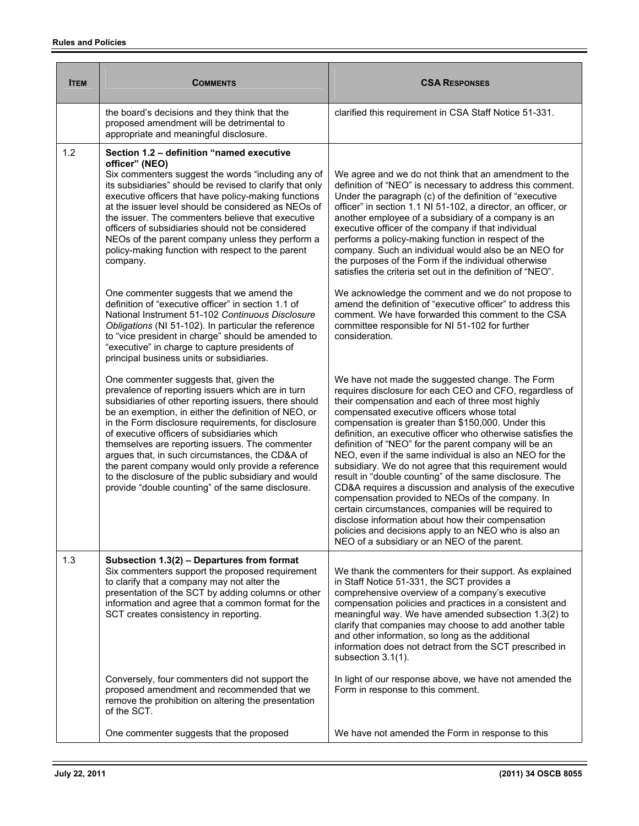| <b>ITEM</b> | <b>COMMENTS</b>                                                                                                                                                                                                                                                                                                                                                                                                                                                                                                                                                                            | <b>CSA RESPONSES</b>                                                                                                                                                                                                                                                                                                                                                                                                                                                                                                                                                                                                                                                                                                                                                                                                                                                                                               |
|-------------|--------------------------------------------------------------------------------------------------------------------------------------------------------------------------------------------------------------------------------------------------------------------------------------------------------------------------------------------------------------------------------------------------------------------------------------------------------------------------------------------------------------------------------------------------------------------------------------------|--------------------------------------------------------------------------------------------------------------------------------------------------------------------------------------------------------------------------------------------------------------------------------------------------------------------------------------------------------------------------------------------------------------------------------------------------------------------------------------------------------------------------------------------------------------------------------------------------------------------------------------------------------------------------------------------------------------------------------------------------------------------------------------------------------------------------------------------------------------------------------------------------------------------|
|             | the board's decisions and they think that the<br>proposed amendment will be detrimental to<br>appropriate and meaningful disclosure.                                                                                                                                                                                                                                                                                                                                                                                                                                                       | clarified this requirement in CSA Staff Notice 51-331.                                                                                                                                                                                                                                                                                                                                                                                                                                                                                                                                                                                                                                                                                                                                                                                                                                                             |
| 1.2         | Section 1.2 - definition "named executive<br>officer" (NEO)<br>Six commenters suggest the words "including any of<br>its subsidiaries" should be revised to clarify that only<br>executive officers that have policy-making functions<br>at the issuer level should be considered as NEOs of<br>the issuer. The commenters believe that executive<br>officers of subsidiaries should not be considered<br>NEOs of the parent company unless they perform a<br>policy-making function with respect to the parent<br>company.                                                                | We agree and we do not think that an amendment to the<br>definition of "NEO" is necessary to address this comment.<br>Under the paragraph (c) of the definition of "executive"<br>officer" in section 1.1 NI 51-102, a director, an officer, or<br>another employee of a subsidiary of a company is an<br>executive officer of the company if that individual<br>performs a policy-making function in respect of the<br>company. Such an individual would also be an NEO for<br>the purposes of the Form if the individual otherwise<br>satisfies the criteria set out in the definition of "NEO".                                                                                                                                                                                                                                                                                                                 |
|             | One commenter suggests that we amend the<br>definition of "executive officer" in section 1.1 of<br>National Instrument 51-102 Continuous Disclosure<br>Obligations (NI 51-102). In particular the reference<br>to "vice president in charge" should be amended to<br>"executive" in charge to capture presidents of<br>principal business units or subsidiaries.                                                                                                                                                                                                                           | We acknowledge the comment and we do not propose to<br>amend the definition of "executive officer" to address this<br>comment. We have forwarded this comment to the CSA<br>committee responsible for NI 51-102 for further<br>consideration.                                                                                                                                                                                                                                                                                                                                                                                                                                                                                                                                                                                                                                                                      |
|             | One commenter suggests that, given the<br>prevalence of reporting issuers which are in turn<br>subsidiaries of other reporting issuers, there should<br>be an exemption, in either the definition of NEO, or<br>in the Form disclosure requirements, for disclosure<br>of executive officers of subsidiaries which<br>themselves are reporting issuers. The commenter<br>argues that, in such circumstances, the CD&A of<br>the parent company would only provide a reference<br>to the disclosure of the public subsidiary and would<br>provide "double counting" of the same disclosure. | We have not made the suggested change. The Form<br>requires disclosure for each CEO and CFO, regardless of<br>their compensation and each of three most highly<br>compensated executive officers whose total<br>compensation is greater than \$150,000. Under this<br>definition, an executive officer who otherwise satisfies the<br>definition of "NEO" for the parent company will be an<br>NEO, even if the same individual is also an NEO for the<br>subsidiary. We do not agree that this requirement would<br>result in "double counting" of the same disclosure. The<br>CD&A requires a discussion and analysis of the executive<br>compensation provided to NEOs of the company. In<br>certain circumstances, companies will be required to<br>disclose information about how their compensation<br>policies and decisions apply to an NEO who is also an<br>NEO of a subsidiary or an NEO of the parent. |
| 1.3         | Subsection 1.3(2) - Departures from format<br>Six commenters support the proposed requirement<br>to clarify that a company may not alter the<br>presentation of the SCT by adding columns or other<br>information and agree that a common format for the<br>SCT creates consistency in reporting.                                                                                                                                                                                                                                                                                          | We thank the commenters for their support. As explained<br>in Staff Notice 51-331, the SCT provides a<br>comprehensive overview of a company's executive<br>compensation policies and practices in a consistent and<br>meaningful way. We have amended subsection 1.3(2) to<br>clarify that companies may choose to add another table<br>and other information, so long as the additional<br>information does not detract from the SCT prescribed in<br>subsection 3.1(1).                                                                                                                                                                                                                                                                                                                                                                                                                                         |
|             | Conversely, four commenters did not support the<br>proposed amendment and recommended that we<br>remove the prohibition on altering the presentation<br>of the SCT.                                                                                                                                                                                                                                                                                                                                                                                                                        | In light of our response above, we have not amended the<br>Form in response to this comment.                                                                                                                                                                                                                                                                                                                                                                                                                                                                                                                                                                                                                                                                                                                                                                                                                       |
|             | One commenter suggests that the proposed                                                                                                                                                                                                                                                                                                                                                                                                                                                                                                                                                   | We have not amended the Form in response to this                                                                                                                                                                                                                                                                                                                                                                                                                                                                                                                                                                                                                                                                                                                                                                                                                                                                   |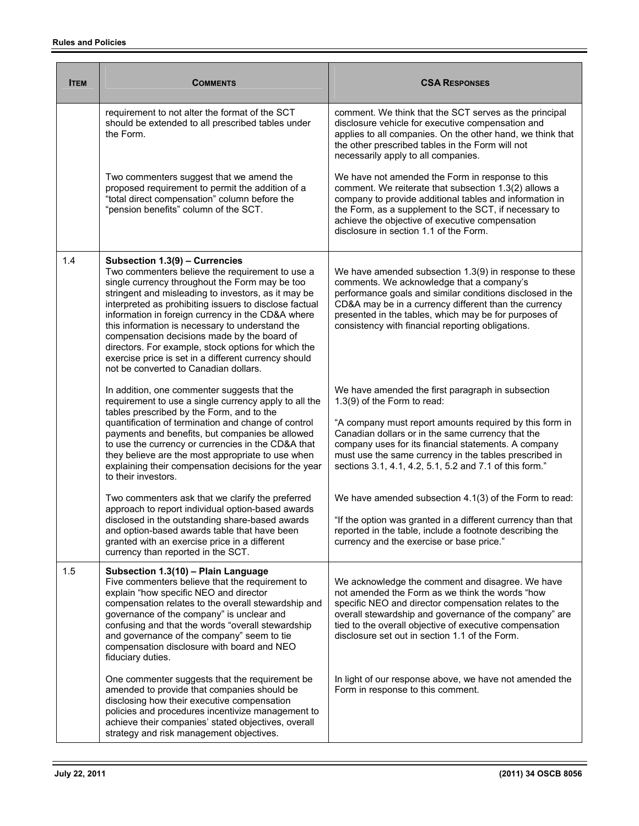| <b>ITEM</b> | COMMENTS                                                                                                                                                                                                                                                                                                                                                                                                                                                                                                                                                            | <b>CSA RESPONSES</b>                                                                                                                                                                                                                                                                                                                                                          |
|-------------|---------------------------------------------------------------------------------------------------------------------------------------------------------------------------------------------------------------------------------------------------------------------------------------------------------------------------------------------------------------------------------------------------------------------------------------------------------------------------------------------------------------------------------------------------------------------|-------------------------------------------------------------------------------------------------------------------------------------------------------------------------------------------------------------------------------------------------------------------------------------------------------------------------------------------------------------------------------|
|             | requirement to not alter the format of the SCT<br>should be extended to all prescribed tables under<br>the Form.                                                                                                                                                                                                                                                                                                                                                                                                                                                    | comment. We think that the SCT serves as the principal<br>disclosure vehicle for executive compensation and<br>applies to all companies. On the other hand, we think that<br>the other prescribed tables in the Form will not<br>necessarily apply to all companies.                                                                                                          |
|             | Two commenters suggest that we amend the<br>proposed requirement to permit the addition of a<br>"total direct compensation" column before the<br>"pension benefits" column of the SCT.                                                                                                                                                                                                                                                                                                                                                                              | We have not amended the Form in response to this<br>comment. We reiterate that subsection 1.3(2) allows a<br>company to provide additional tables and information in<br>the Form, as a supplement to the SCT, if necessary to<br>achieve the objective of executive compensation<br>disclosure in section 1.1 of the Form.                                                    |
| 1.4         | Subsection 1.3(9) - Currencies<br>Two commenters believe the requirement to use a<br>single currency throughout the Form may be too<br>stringent and misleading to investors, as it may be<br>interpreted as prohibiting issuers to disclose factual<br>information in foreign currency in the CD&A where<br>this information is necessary to understand the<br>compensation decisions made by the board of<br>directors. For example, stock options for which the<br>exercise price is set in a different currency should<br>not be converted to Canadian dollars. | We have amended subsection 1.3(9) in response to these<br>comments. We acknowledge that a company's<br>performance goals and similar conditions disclosed in the<br>CD&A may be in a currency different than the currency<br>presented in the tables, which may be for purposes of<br>consistency with financial reporting obligations.                                       |
|             | In addition, one commenter suggests that the<br>requirement to use a single currency apply to all the<br>tables prescribed by the Form, and to the<br>quantification of termination and change of control<br>payments and benefits, but companies be allowed<br>to use the currency or currencies in the CD&A that<br>they believe are the most appropriate to use when<br>explaining their compensation decisions for the year<br>to their investors.                                                                                                              | We have amended the first paragraph in subsection<br>1.3(9) of the Form to read:<br>"A company must report amounts required by this form in<br>Canadian dollars or in the same currency that the<br>company uses for its financial statements. A company<br>must use the same currency in the tables prescribed in<br>sections 3.1, 4.1, 4.2, 5.1, 5.2 and 7.1 of this form." |
|             | Two commenters ask that we clarify the preferred<br>approach to report individual option-based awards<br>disclosed in the outstanding share-based awards<br>and option-based awards table that have been<br>granted with an exercise price in a different<br>currency than reported in the SCT.                                                                                                                                                                                                                                                                     | We have amended subsection 4.1(3) of the Form to read:<br>"If the option was granted in a different currency than that<br>reported in the table, include a footnote describing the<br>currency and the exercise or base price."                                                                                                                                               |
| 1.5         | Subsection 1.3(10) - Plain Language<br>Five commenters believe that the requirement to<br>explain "how specific NEO and director<br>compensation relates to the overall stewardship and<br>governance of the company" is unclear and<br>confusing and that the words "overall stewardship<br>and governance of the company" seem to tie<br>compensation disclosure with board and NEO<br>fiduciary duties.                                                                                                                                                          | We acknowledge the comment and disagree. We have<br>not amended the Form as we think the words "how<br>specific NEO and director compensation relates to the<br>overall stewardship and governance of the company" are<br>tied to the overall objective of executive compensation<br>disclosure set out in section 1.1 of the Form.                                           |
|             | One commenter suggests that the requirement be<br>amended to provide that companies should be<br>disclosing how their executive compensation<br>policies and procedures incentivize management to<br>achieve their companies' stated objectives, overall<br>strategy and risk management objectives.                                                                                                                                                                                                                                                                | In light of our response above, we have not amended the<br>Form in response to this comment.                                                                                                                                                                                                                                                                                  |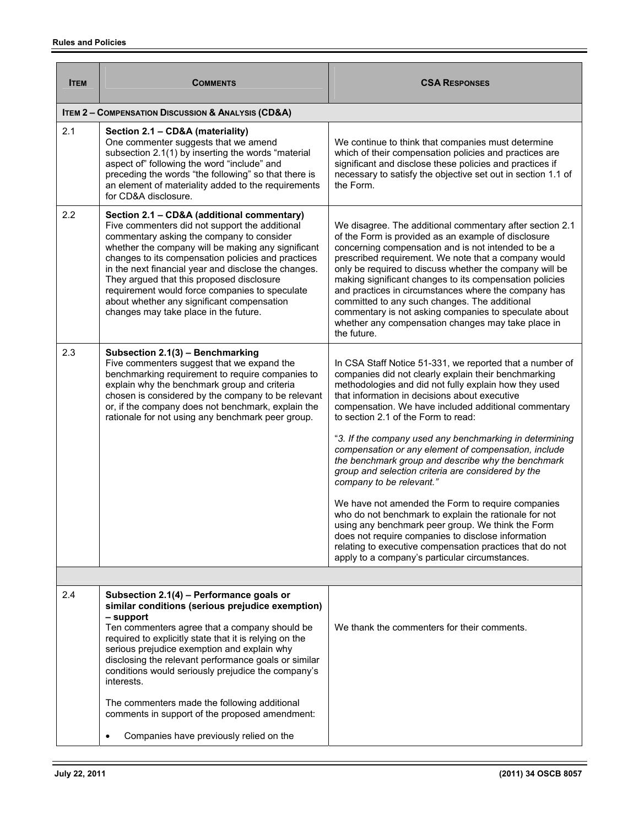| <b>ITEM</b> | <b>COMMENTS</b>                                                                                                                                                                                                                                                                                                                                                                                                                                                                                                                                   | <b>CSA RESPONSES</b>                                                                                                                                                                                                                                                                                                                                                                                                                                                                                                                                                                                                                                                                                                                                                                                                                                                                                                        |
|-------------|---------------------------------------------------------------------------------------------------------------------------------------------------------------------------------------------------------------------------------------------------------------------------------------------------------------------------------------------------------------------------------------------------------------------------------------------------------------------------------------------------------------------------------------------------|-----------------------------------------------------------------------------------------------------------------------------------------------------------------------------------------------------------------------------------------------------------------------------------------------------------------------------------------------------------------------------------------------------------------------------------------------------------------------------------------------------------------------------------------------------------------------------------------------------------------------------------------------------------------------------------------------------------------------------------------------------------------------------------------------------------------------------------------------------------------------------------------------------------------------------|
|             | <b>ITEM 2 - COMPENSATION DISCUSSION &amp; ANALYSIS (CD&amp;A)</b>                                                                                                                                                                                                                                                                                                                                                                                                                                                                                 |                                                                                                                                                                                                                                                                                                                                                                                                                                                                                                                                                                                                                                                                                                                                                                                                                                                                                                                             |
| 2.1         | Section 2.1 - CD&A (materiality)<br>One commenter suggests that we amend<br>subsection 2.1(1) by inserting the words "material<br>aspect of" following the word "include" and<br>preceding the words "the following" so that there is<br>an element of materiality added to the requirements<br>for CD&A disclosure.                                                                                                                                                                                                                              | We continue to think that companies must determine<br>which of their compensation policies and practices are<br>significant and disclose these policies and practices if<br>necessary to satisfy the objective set out in section 1.1 of<br>the Form.                                                                                                                                                                                                                                                                                                                                                                                                                                                                                                                                                                                                                                                                       |
| 2.2         | Section 2.1 - CD&A (additional commentary)<br>Five commenters did not support the additional<br>commentary asking the company to consider<br>whether the company will be making any significant<br>changes to its compensation policies and practices<br>in the next financial year and disclose the changes.<br>They argued that this proposed disclosure<br>requirement would force companies to speculate<br>about whether any significant compensation<br>changes may take place in the future.                                               | We disagree. The additional commentary after section 2.1<br>of the Form is provided as an example of disclosure<br>concerning compensation and is not intended to be a<br>prescribed requirement. We note that a company would<br>only be required to discuss whether the company will be<br>making significant changes to its compensation policies<br>and practices in circumstances where the company has<br>committed to any such changes. The additional<br>commentary is not asking companies to speculate about<br>whether any compensation changes may take place in<br>the future.                                                                                                                                                                                                                                                                                                                                 |
| 2.3         | Subsection 2.1(3) - Benchmarking<br>Five commenters suggest that we expand the<br>benchmarking requirement to require companies to<br>explain why the benchmark group and criteria<br>chosen is considered by the company to be relevant<br>or, if the company does not benchmark, explain the<br>rationale for not using any benchmark peer group.                                                                                                                                                                                               | In CSA Staff Notice 51-331, we reported that a number of<br>companies did not clearly explain their benchmarking<br>methodologies and did not fully explain how they used<br>that information in decisions about executive<br>compensation. We have included additional commentary<br>to section 2.1 of the Form to read:<br>"3. If the company used any benchmarking in determining<br>compensation or any element of compensation, include<br>the benchmark group and describe why the benchmark<br>group and selection criteria are considered by the<br>company to be relevant."<br>We have not amended the Form to require companies<br>who do not benchmark to explain the rationale for not<br>using any benchmark peer group. We think the Form<br>does not require companies to disclose information<br>relating to executive compensation practices that do not<br>apply to a company's particular circumstances. |
|             |                                                                                                                                                                                                                                                                                                                                                                                                                                                                                                                                                   |                                                                                                                                                                                                                                                                                                                                                                                                                                                                                                                                                                                                                                                                                                                                                                                                                                                                                                                             |
| 2.4         | Subsection 2.1(4) - Performance goals or<br>similar conditions (serious prejudice exemption)<br>- support<br>Ten commenters agree that a company should be<br>required to explicitly state that it is relying on the<br>serious prejudice exemption and explain why<br>disclosing the relevant performance goals or similar<br>conditions would seriously prejudice the company's<br>interests.<br>The commenters made the following additional<br>comments in support of the proposed amendment:<br>Companies have previously relied on the<br>٠ | We thank the commenters for their comments.                                                                                                                                                                                                                                                                                                                                                                                                                                                                                                                                                                                                                                                                                                                                                                                                                                                                                 |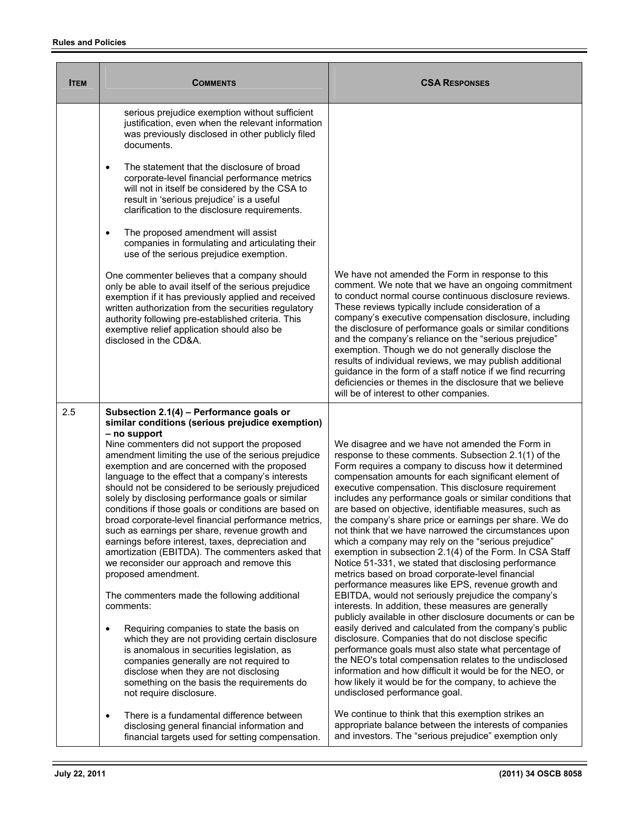| <b>ITEM</b> | <b>COMMENTS</b>                                                                                                                                                                                                                                                                                                                                                                                                                                                                                                                                                                                                                                                                                                                                                                                                                                                                                                                                                                                                                                                                                                                                                                                                                                                                                                                          | <b>CSA RESPONSES</b>                                                                                                                                                                                                                                                                                                                                                                                                                                                                                                                                                                                                                                                                                                                                                                                                                                                                                                                                                                                                                                                                                                                                                                                                                                                                                                                                                                                                                                                                                                                                              |
|-------------|------------------------------------------------------------------------------------------------------------------------------------------------------------------------------------------------------------------------------------------------------------------------------------------------------------------------------------------------------------------------------------------------------------------------------------------------------------------------------------------------------------------------------------------------------------------------------------------------------------------------------------------------------------------------------------------------------------------------------------------------------------------------------------------------------------------------------------------------------------------------------------------------------------------------------------------------------------------------------------------------------------------------------------------------------------------------------------------------------------------------------------------------------------------------------------------------------------------------------------------------------------------------------------------------------------------------------------------|-------------------------------------------------------------------------------------------------------------------------------------------------------------------------------------------------------------------------------------------------------------------------------------------------------------------------------------------------------------------------------------------------------------------------------------------------------------------------------------------------------------------------------------------------------------------------------------------------------------------------------------------------------------------------------------------------------------------------------------------------------------------------------------------------------------------------------------------------------------------------------------------------------------------------------------------------------------------------------------------------------------------------------------------------------------------------------------------------------------------------------------------------------------------------------------------------------------------------------------------------------------------------------------------------------------------------------------------------------------------------------------------------------------------------------------------------------------------------------------------------------------------------------------------------------------------|
|             | serious prejudice exemption without sufficient<br>justification, even when the relevant information<br>was previously disclosed in other publicly filed<br>documents.<br>The statement that the disclosure of broad<br>$\bullet$<br>corporate-level financial performance metrics<br>will not in itself be considered by the CSA to<br>result in 'serious prejudice' is a useful<br>clarification to the disclosure requirements.<br>The proposed amendment will assist<br>$\bullet$<br>companies in formulating and articulating their<br>use of the serious prejudice exemption.<br>One commenter believes that a company should<br>only be able to avail itself of the serious prejudice<br>exemption if it has previously applied and received<br>written authorization from the securities regulatory<br>authority following pre-established criteria. This<br>exemptive relief application should also be<br>disclosed in the CD&A.                                                                                                                                                                                                                                                                                                                                                                                                | We have not amended the Form in response to this<br>comment. We note that we have an ongoing commitment<br>to conduct normal course continuous disclosure reviews.<br>These reviews typically include consideration of a<br>company's executive compensation disclosure, including<br>the disclosure of performance goals or similar conditions<br>and the company's reliance on the "serious prejudice"<br>exemption. Though we do not generally disclose the<br>results of individual reviews, we may publish additional<br>guidance in the form of a staff notice if we find recurring<br>deficiencies or themes in the disclosure that we believe<br>will be of interest to other companies.                                                                                                                                                                                                                                                                                                                                                                                                                                                                                                                                                                                                                                                                                                                                                                                                                                                                  |
| 2.5         | Subsection 2.1(4) - Performance goals or<br>similar conditions (serious prejudice exemption)<br>- no support<br>Nine commenters did not support the proposed<br>amendment limiting the use of the serious prejudice<br>exemption and are concerned with the proposed<br>language to the effect that a company's interests<br>should not be considered to be seriously prejudiced<br>solely by disclosing performance goals or similar<br>conditions if those goals or conditions are based on<br>broad corporate-level financial performance metrics,<br>such as earnings per share, revenue growth and<br>earnings before interest, taxes, depreciation and<br>amortization (EBITDA). The commenters asked that<br>we reconsider our approach and remove this<br>proposed amendment.<br>The commenters made the following additional<br>comments:<br>Requiring companies to state the basis on<br>$\bullet$<br>which they are not providing certain disclosure<br>is anomalous in securities legislation, as<br>companies generally are not required to<br>disclose when they are not disclosing<br>something on the basis the requirements do<br>not require disclosure.<br>There is a fundamental difference between<br>$\bullet$<br>disclosing general financial information and<br>financial targets used for setting compensation. | We disagree and we have not amended the Form in<br>response to these comments. Subsection 2.1(1) of the<br>Form requires a company to discuss how it determined<br>compensation amounts for each significant element of<br>executive compensation. This disclosure requirement<br>includes any performance goals or similar conditions that<br>are based on objective, identifiable measures, such as<br>the company's share price or earnings per share. We do<br>not think that we have narrowed the circumstances upon<br>which a company may rely on the "serious prejudice"<br>exemption in subsection 2.1(4) of the Form. In CSA Staff<br>Notice 51-331, we stated that disclosing performance<br>metrics based on broad corporate-level financial<br>performance measures like EPS, revenue growth and<br>EBITDA, would not seriously prejudice the company's<br>interests. In addition, these measures are generally<br>publicly available in other disclosure documents or can be<br>easily derived and calculated from the company's public<br>disclosure. Companies that do not disclose specific<br>performance goals must also state what percentage of<br>the NEO's total compensation relates to the undisclosed<br>information and how difficult it would be for the NEO, or<br>how likely it would be for the company, to achieve the<br>undisclosed performance goal.<br>We continue to think that this exemption strikes an<br>appropriate balance between the interests of companies<br>and investors. The "serious prejudice" exemption only |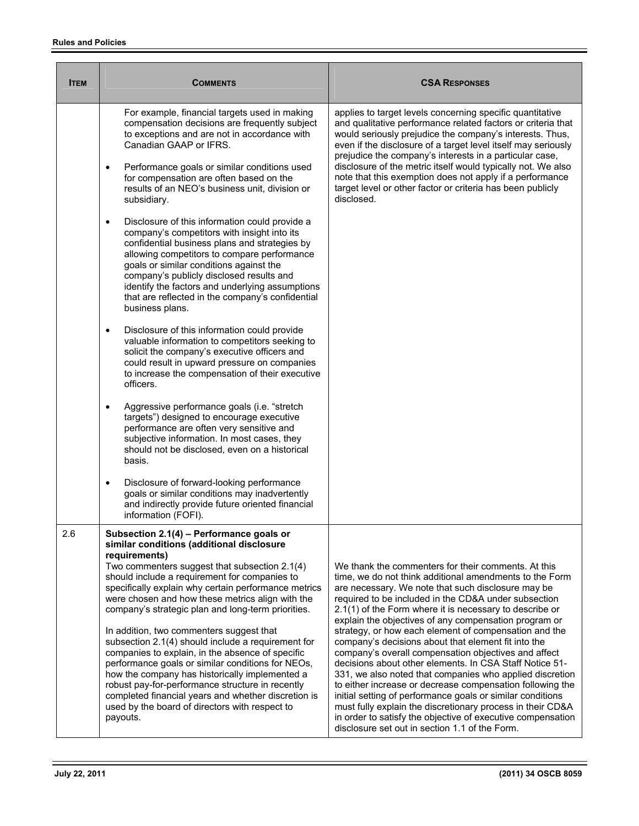| <b>ITEM</b> | <b>COMMENTS</b>                                                                                                                                                                                                                                                                                                                                                                                                                    | <b>CSA RESPONSES</b>                                                                                                                                                                                                                                                                                                                                                                                                                                                                                                                                                                                  |
|-------------|------------------------------------------------------------------------------------------------------------------------------------------------------------------------------------------------------------------------------------------------------------------------------------------------------------------------------------------------------------------------------------------------------------------------------------|-------------------------------------------------------------------------------------------------------------------------------------------------------------------------------------------------------------------------------------------------------------------------------------------------------------------------------------------------------------------------------------------------------------------------------------------------------------------------------------------------------------------------------------------------------------------------------------------------------|
|             | For example, financial targets used in making<br>compensation decisions are frequently subject<br>to exceptions and are not in accordance with<br>Canadian GAAP or IFRS.                                                                                                                                                                                                                                                           | applies to target levels concerning specific quantitative<br>and qualitative performance related factors or criteria that<br>would seriously prejudice the company's interests. Thus,<br>even if the disclosure of a target level itself may seriously<br>prejudice the company's interests in a particular case,                                                                                                                                                                                                                                                                                     |
|             | Performance goals or similar conditions used<br>$\bullet$<br>for compensation are often based on the<br>results of an NEO's business unit, division or<br>subsidiary.                                                                                                                                                                                                                                                              | disclosure of the metric itself would typically not. We also<br>note that this exemption does not apply if a performance<br>target level or other factor or criteria has been publicly<br>disclosed.                                                                                                                                                                                                                                                                                                                                                                                                  |
|             | Disclosure of this information could provide a<br>$\bullet$<br>company's competitors with insight into its<br>confidential business plans and strategies by<br>allowing competitors to compare performance<br>goals or similar conditions against the<br>company's publicly disclosed results and<br>identify the factors and underlying assumptions<br>that are reflected in the company's confidential<br>business plans.        |                                                                                                                                                                                                                                                                                                                                                                                                                                                                                                                                                                                                       |
|             | Disclosure of this information could provide<br>$\bullet$<br>valuable information to competitors seeking to<br>solicit the company's executive officers and<br>could result in upward pressure on companies<br>to increase the compensation of their executive<br>officers.                                                                                                                                                        |                                                                                                                                                                                                                                                                                                                                                                                                                                                                                                                                                                                                       |
|             | Aggressive performance goals (i.e. "stretch<br>$\bullet$<br>targets") designed to encourage executive<br>performance are often very sensitive and<br>subjective information. In most cases, they<br>should not be disclosed, even on a historical<br>basis.                                                                                                                                                                        |                                                                                                                                                                                                                                                                                                                                                                                                                                                                                                                                                                                                       |
|             | Disclosure of forward-looking performance<br>$\bullet$<br>goals or similar conditions may inadvertently<br>and indirectly provide future oriented financial<br>information (FOFI).                                                                                                                                                                                                                                                 |                                                                                                                                                                                                                                                                                                                                                                                                                                                                                                                                                                                                       |
| 2.6         | Subsection 2.1(4) - Performance goals or<br>similar conditions (additional disclosure<br>requirements)                                                                                                                                                                                                                                                                                                                             |                                                                                                                                                                                                                                                                                                                                                                                                                                                                                                                                                                                                       |
|             | Two commenters suggest that subsection 2.1(4)<br>should include a requirement for companies to<br>specifically explain why certain performance metrics<br>were chosen and how these metrics align with the<br>company's strategic plan and long-term priorities.                                                                                                                                                                   | We thank the commenters for their comments. At this<br>time, we do not think additional amendments to the Form<br>are necessary. We note that such disclosure may be<br>required to be included in the CD&A under subsection<br>2.1(1) of the Form where it is necessary to describe or<br>explain the objectives of any compensation program or                                                                                                                                                                                                                                                      |
|             | In addition, two commenters suggest that<br>subsection 2.1(4) should include a requirement for<br>companies to explain, in the absence of specific<br>performance goals or similar conditions for NEOs,<br>how the company has historically implemented a<br>robust pay-for-performance structure in recently<br>completed financial years and whether discretion is<br>used by the board of directors with respect to<br>payouts. | strategy, or how each element of compensation and the<br>company's decisions about that element fit into the<br>company's overall compensation objectives and affect<br>decisions about other elements. In CSA Staff Notice 51-<br>331, we also noted that companies who applied discretion<br>to either increase or decrease compensation following the<br>initial setting of performance goals or similar conditions<br>must fully explain the discretionary process in their CD&A<br>in order to satisfy the objective of executive compensation<br>disclosure set out in section 1.1 of the Form. |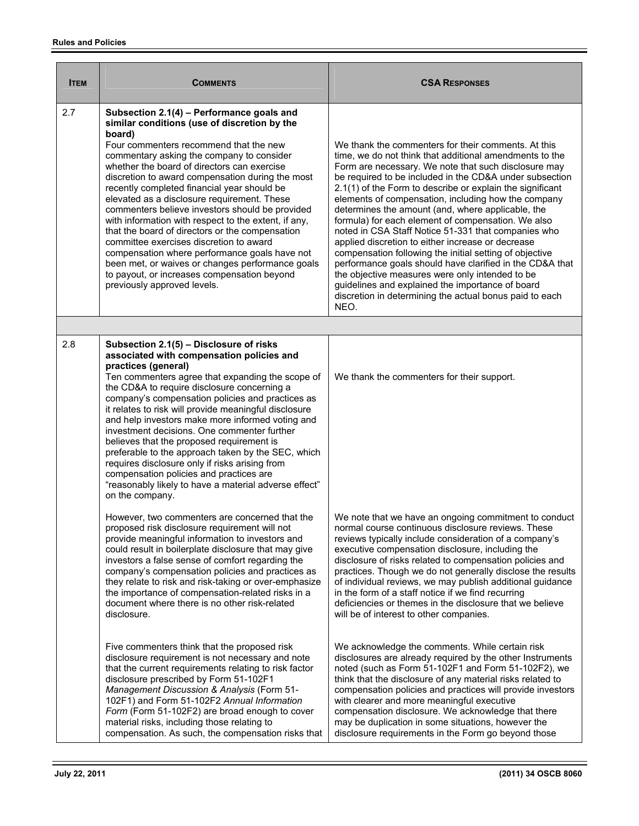| <b>ITEM</b> | <b>COMMENTS</b>                                                                                                                                                                                                                                                                                                                                                                                                                                                                                                                                                                                                                                                                                                                                                                         | <b>CSA RESPONSES</b>                                                                                                                                                                                                                                                                                                                                                                                                                                                                                                                                                                                                                                                                                                                                                                                                                                                          |
|-------------|-----------------------------------------------------------------------------------------------------------------------------------------------------------------------------------------------------------------------------------------------------------------------------------------------------------------------------------------------------------------------------------------------------------------------------------------------------------------------------------------------------------------------------------------------------------------------------------------------------------------------------------------------------------------------------------------------------------------------------------------------------------------------------------------|-------------------------------------------------------------------------------------------------------------------------------------------------------------------------------------------------------------------------------------------------------------------------------------------------------------------------------------------------------------------------------------------------------------------------------------------------------------------------------------------------------------------------------------------------------------------------------------------------------------------------------------------------------------------------------------------------------------------------------------------------------------------------------------------------------------------------------------------------------------------------------|
| 2.7         | Subsection 2.1(4) - Performance goals and<br>similar conditions (use of discretion by the<br>board)<br>Four commenters recommend that the new<br>commentary asking the company to consider<br>whether the board of directors can exercise<br>discretion to award compensation during the most<br>recently completed financial year should be<br>elevated as a disclosure requirement. These<br>commenters believe investors should be provided<br>with information with respect to the extent, if any,<br>that the board of directors or the compensation<br>committee exercises discretion to award<br>compensation where performance goals have not<br>been met, or waives or changes performance goals<br>to payout, or increases compensation beyond<br>previously approved levels. | We thank the commenters for their comments. At this<br>time, we do not think that additional amendments to the<br>Form are necessary. We note that such disclosure may<br>be required to be included in the CD&A under subsection<br>2.1(1) of the Form to describe or explain the significant<br>elements of compensation, including how the company<br>determines the amount (and, where applicable, the<br>formula) for each element of compensation. We also<br>noted in CSA Staff Notice 51-331 that companies who<br>applied discretion to either increase or decrease<br>compensation following the initial setting of objective<br>performance goals should have clarified in the CD&A that<br>the objective measures were only intended to be<br>guidelines and explained the importance of board<br>discretion in determining the actual bonus paid to each<br>NEO. |
|             |                                                                                                                                                                                                                                                                                                                                                                                                                                                                                                                                                                                                                                                                                                                                                                                         |                                                                                                                                                                                                                                                                                                                                                                                                                                                                                                                                                                                                                                                                                                                                                                                                                                                                               |
| 2.8         | Subsection 2.1(5) - Disclosure of risks<br>associated with compensation policies and<br>practices (general)<br>Ten commenters agree that expanding the scope of<br>the CD&A to require disclosure concerning a<br>company's compensation policies and practices as<br>it relates to risk will provide meaningful disclosure<br>and help investors make more informed voting and<br>investment decisions. One commenter further<br>believes that the proposed requirement is<br>preferable to the approach taken by the SEC, which<br>requires disclosure only if risks arising from<br>compensation policies and practices are<br>"reasonably likely to have a material adverse effect"<br>on the company.                                                                              | We thank the commenters for their support.                                                                                                                                                                                                                                                                                                                                                                                                                                                                                                                                                                                                                                                                                                                                                                                                                                    |
|             | However, two commenters are concerned that the<br>proposed risk disclosure requirement will not<br>provide meaningful information to investors and<br>could result in boilerplate disclosure that may give<br>investors a false sense of comfort regarding the<br>company's compensation policies and practices as<br>they relate to risk and risk-taking or over-emphasize<br>the importance of compensation-related risks in a<br>document where there is no other risk-related<br>disclosure.                                                                                                                                                                                                                                                                                        | We note that we have an ongoing commitment to conduct<br>normal course continuous disclosure reviews. These<br>reviews typically include consideration of a company's<br>executive compensation disclosure, including the<br>disclosure of risks related to compensation policies and<br>practices. Though we do not generally disclose the results<br>of individual reviews, we may publish additional guidance<br>in the form of a staff notice if we find recurring<br>deficiencies or themes in the disclosure that we believe<br>will be of interest to other companies.                                                                                                                                                                                                                                                                                                 |
|             | Five commenters think that the proposed risk<br>disclosure requirement is not necessary and note<br>that the current requirements relating to risk factor<br>disclosure prescribed by Form 51-102F1<br>Management Discussion & Analysis (Form 51-<br>102F1) and Form 51-102F2 Annual Information<br>Form (Form 51-102F2) are broad enough to cover<br>material risks, including those relating to<br>compensation. As such, the compensation risks that                                                                                                                                                                                                                                                                                                                                 | We acknowledge the comments. While certain risk<br>disclosures are already required by the other Instruments<br>noted (such as Form 51-102F1 and Form 51-102F2), we<br>think that the disclosure of any material risks related to<br>compensation policies and practices will provide investors<br>with clearer and more meaningful executive<br>compensation disclosure. We acknowledge that there<br>may be duplication in some situations, however the<br>disclosure requirements in the Form go beyond those                                                                                                                                                                                                                                                                                                                                                              |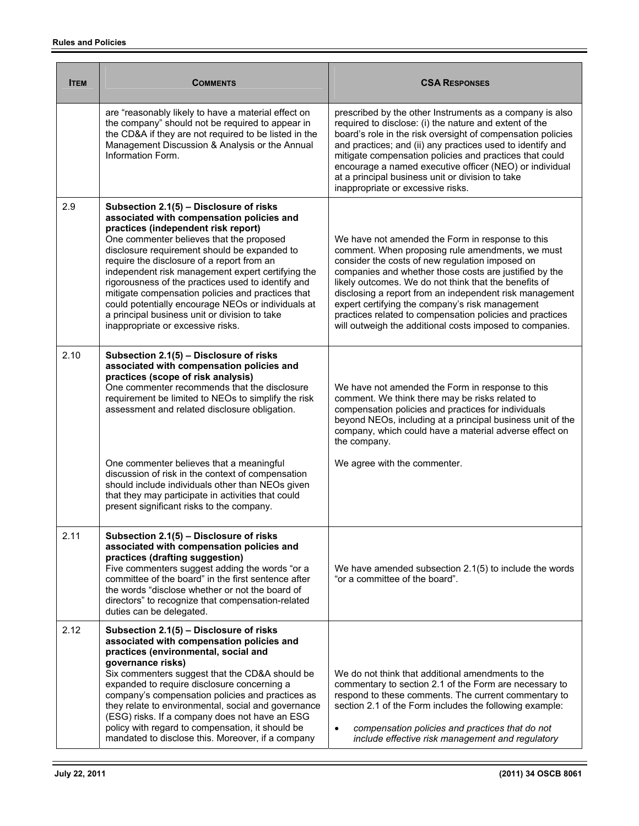| <b>ITEM</b> | <b>COMMENTS</b>                                                                                                                                                                                                                                                                                                                                                                                                                                                                                                                                                                   | <b>CSA RESPONSES</b>                                                                                                                                                                                                                                                                                                                                                                                                                                                                                             |
|-------------|-----------------------------------------------------------------------------------------------------------------------------------------------------------------------------------------------------------------------------------------------------------------------------------------------------------------------------------------------------------------------------------------------------------------------------------------------------------------------------------------------------------------------------------------------------------------------------------|------------------------------------------------------------------------------------------------------------------------------------------------------------------------------------------------------------------------------------------------------------------------------------------------------------------------------------------------------------------------------------------------------------------------------------------------------------------------------------------------------------------|
|             | are "reasonably likely to have a material effect on<br>the company" should not be required to appear in<br>the CD&A if they are not required to be listed in the<br>Management Discussion & Analysis or the Annual<br>Information Form.                                                                                                                                                                                                                                                                                                                                           | prescribed by the other Instruments as a company is also<br>required to disclose: (i) the nature and extent of the<br>board's role in the risk oversight of compensation policies<br>and practices; and (ii) any practices used to identify and<br>mitigate compensation policies and practices that could<br>encourage a named executive officer (NEO) or individual<br>at a principal business unit or division to take<br>inappropriate or excessive risks.                                                   |
| 2.9         | Subsection 2.1(5) - Disclosure of risks<br>associated with compensation policies and<br>practices (independent risk report)<br>One commenter believes that the proposed<br>disclosure requirement should be expanded to<br>require the disclosure of a report from an<br>independent risk management expert certifying the<br>rigorousness of the practices used to identify and<br>mitigate compensation policies and practices that<br>could potentially encourage NEOs or individuals at<br>a principal business unit or division to take<br>inappropriate or excessive risks. | We have not amended the Form in response to this<br>comment. When proposing rule amendments, we must<br>consider the costs of new regulation imposed on<br>companies and whether those costs are justified by the<br>likely outcomes. We do not think that the benefits of<br>disclosing a report from an independent risk management<br>expert certifying the company's risk management<br>practices related to compensation policies and practices<br>will outweigh the additional costs imposed to companies. |
| 2.10        | Subsection 2.1(5) - Disclosure of risks<br>associated with compensation policies and<br>practices (scope of risk analysis)<br>One commenter recommends that the disclosure<br>requirement be limited to NEOs to simplify the risk<br>assessment and related disclosure obligation.<br>One commenter believes that a meaningful<br>discussion of risk in the context of compensation<br>should include individuals other than NEOs given<br>that they may participate in activities that could<br>present significant risks to the company.                                        | We have not amended the Form in response to this<br>comment. We think there may be risks related to<br>compensation policies and practices for individuals<br>beyond NEOs, including at a principal business unit of the<br>company, which could have a material adverse effect on<br>the company.<br>We agree with the commenter.                                                                                                                                                                               |
| 2.11        | Subsection 2.1(5) - Disclosure of risks<br>associated with compensation policies and<br>practices (drafting suggestion)<br>Five commenters suggest adding the words "or a<br>committee of the board" in the first sentence after<br>the words "disclose whether or not the board of<br>directors" to recognize that compensation-related<br>duties can be delegated.                                                                                                                                                                                                              | We have amended subsection 2.1(5) to include the words<br>"or a committee of the board".                                                                                                                                                                                                                                                                                                                                                                                                                         |
| 2.12        | Subsection 2.1(5) - Disclosure of risks<br>associated with compensation policies and<br>practices (environmental, social and<br>governance risks)<br>Six commenters suggest that the CD&A should be<br>expanded to require disclosure concerning a<br>company's compensation policies and practices as<br>they relate to environmental, social and governance<br>(ESG) risks. If a company does not have an ESG<br>policy with regard to compensation, it should be<br>mandated to disclose this. Moreover, if a company                                                          | We do not think that additional amendments to the<br>commentary to section 2.1 of the Form are necessary to<br>respond to these comments. The current commentary to<br>section 2.1 of the Form includes the following example:<br>compensation policies and practices that do not<br>$\bullet$<br>include effective risk management and regulatory                                                                                                                                                               |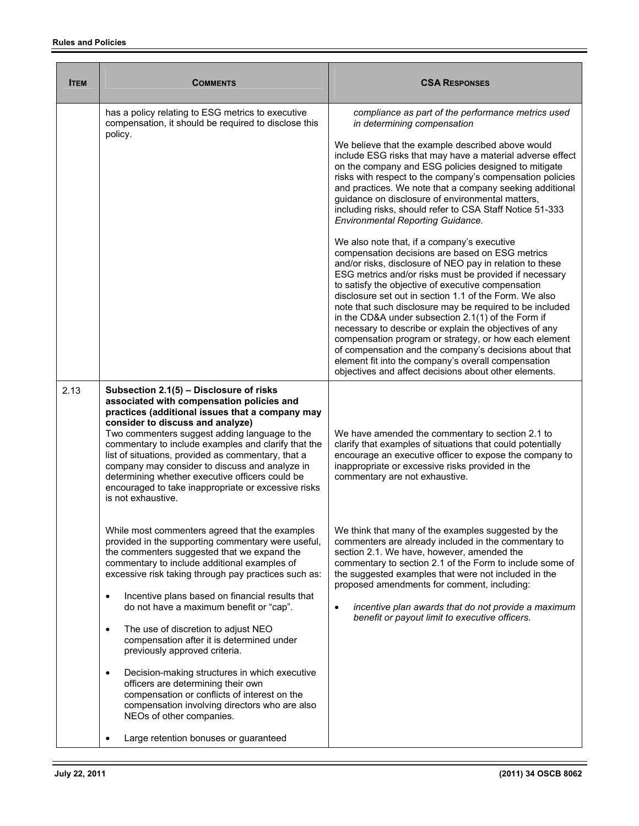| <b>ITEM</b> | <b>COMMENTS</b>                                                                                                                                                                                                                                                                                                                                                                                                                                                                                                                                                                                                                                                                                                                                                                                 | <b>CSA RESPONSES</b>                                                                                                                                                                                                                                                                                                                                                                                                                                                                                                                                                                                                                                                                                                                                                                                                                                                                                                                                                                                                                                                                                                                                                                                                                                                                                    |
|-------------|-------------------------------------------------------------------------------------------------------------------------------------------------------------------------------------------------------------------------------------------------------------------------------------------------------------------------------------------------------------------------------------------------------------------------------------------------------------------------------------------------------------------------------------------------------------------------------------------------------------------------------------------------------------------------------------------------------------------------------------------------------------------------------------------------|---------------------------------------------------------------------------------------------------------------------------------------------------------------------------------------------------------------------------------------------------------------------------------------------------------------------------------------------------------------------------------------------------------------------------------------------------------------------------------------------------------------------------------------------------------------------------------------------------------------------------------------------------------------------------------------------------------------------------------------------------------------------------------------------------------------------------------------------------------------------------------------------------------------------------------------------------------------------------------------------------------------------------------------------------------------------------------------------------------------------------------------------------------------------------------------------------------------------------------------------------------------------------------------------------------|
|             | has a policy relating to ESG metrics to executive<br>compensation, it should be required to disclose this<br>policy.                                                                                                                                                                                                                                                                                                                                                                                                                                                                                                                                                                                                                                                                            | compliance as part of the performance metrics used<br>in determining compensation<br>We believe that the example described above would<br>include ESG risks that may have a material adverse effect<br>on the company and ESG policies designed to mitigate<br>risks with respect to the company's compensation policies<br>and practices. We note that a company seeking additional<br>guidance on disclosure of environmental matters,<br>including risks, should refer to CSA Staff Notice 51-333<br><b>Environmental Reporting Guidance.</b><br>We also note that, if a company's executive<br>compensation decisions are based on ESG metrics<br>and/or risks, disclosure of NEO pay in relation to these<br>ESG metrics and/or risks must be provided if necessary<br>to satisfy the objective of executive compensation<br>disclosure set out in section 1.1 of the Form. We also<br>note that such disclosure may be required to be included<br>in the CD&A under subsection 2.1(1) of the Form if<br>necessary to describe or explain the objectives of any<br>compensation program or strategy, or how each element<br>of compensation and the company's decisions about that<br>element fit into the company's overall compensation<br>objectives and affect decisions about other elements. |
| 2.13        | Subsection 2.1(5) - Disclosure of risks<br>associated with compensation policies and<br>practices (additional issues that a company may<br>consider to discuss and analyze)<br>Two commenters suggest adding language to the<br>commentary to include examples and clarify that the<br>list of situations, provided as commentary, that a<br>company may consider to discuss and analyze in<br>determining whether executive officers could be<br>encouraged to take inappropriate or excessive risks<br>is not exhaustive.                                                                                                                                                                                                                                                                     | We have amended the commentary to section 2.1 to<br>clarify that examples of situations that could potentially<br>encourage an executive officer to expose the company to<br>inappropriate or excessive risks provided in the<br>commentary are not exhaustive.                                                                                                                                                                                                                                                                                                                                                                                                                                                                                                                                                                                                                                                                                                                                                                                                                                                                                                                                                                                                                                         |
|             | While most commenters agreed that the examples<br>provided in the supporting commentary were useful,<br>the commenters suggested that we expand the<br>commentary to include additional examples of<br>excessive risk taking through pay practices such as:<br>Incentive plans based on financial results that<br>$\bullet$<br>do not have a maximum benefit or "cap".<br>The use of discretion to adjust NEO<br>$\bullet$<br>compensation after it is determined under<br>previously approved criteria.<br>Decision-making structures in which executive<br>$\bullet$<br>officers are determining their own<br>compensation or conflicts of interest on the<br>compensation involving directors who are also<br>NEOs of other companies.<br>Large retention bonuses or guaranteed<br>$\bullet$ | We think that many of the examples suggested by the<br>commenters are already included in the commentary to<br>section 2.1. We have, however, amended the<br>commentary to section 2.1 of the Form to include some of<br>the suggested examples that were not included in the<br>proposed amendments for comment, including:<br>incentive plan awards that do not provide a maximum<br>$\bullet$<br>benefit or payout limit to executive officers.                                                                                                                                                                                                                                                                                                                                                                                                                                                                                                                                                                                                                                                                                                                                                                                                                                                      |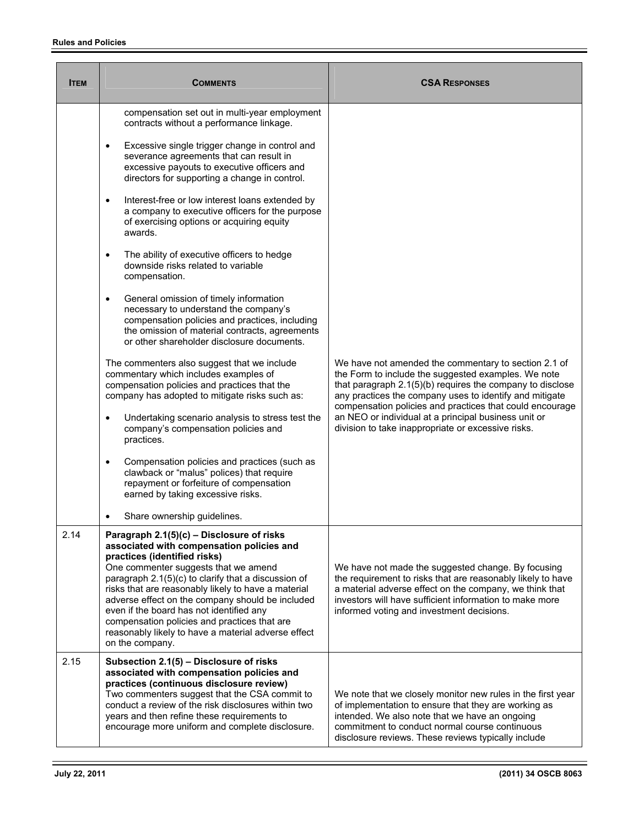| <b>ITEM</b> | <b>COMMENTS</b>                                                                                                                                                                                                                                                                                                                                                                                                                                                                                                                                                                                                                                                                                                                                                                                                                                                                                                                                                                                                                                                                                                                                                                                                                                                                                                                              | <b>CSA RESPONSES</b>                                                                                                                                                                                                                                                                                                                                                                                          |
|-------------|----------------------------------------------------------------------------------------------------------------------------------------------------------------------------------------------------------------------------------------------------------------------------------------------------------------------------------------------------------------------------------------------------------------------------------------------------------------------------------------------------------------------------------------------------------------------------------------------------------------------------------------------------------------------------------------------------------------------------------------------------------------------------------------------------------------------------------------------------------------------------------------------------------------------------------------------------------------------------------------------------------------------------------------------------------------------------------------------------------------------------------------------------------------------------------------------------------------------------------------------------------------------------------------------------------------------------------------------|---------------------------------------------------------------------------------------------------------------------------------------------------------------------------------------------------------------------------------------------------------------------------------------------------------------------------------------------------------------------------------------------------------------|
|             | compensation set out in multi-year employment<br>contracts without a performance linkage.<br>Excessive single trigger change in control and<br>$\bullet$<br>severance agreements that can result in<br>excessive payouts to executive officers and<br>directors for supporting a change in control.<br>Interest-free or low interest loans extended by<br>$\bullet$<br>a company to executive officers for the purpose<br>of exercising options or acquiring equity<br>awards.<br>The ability of executive officers to hedge<br>٠<br>downside risks related to variable<br>compensation.<br>General omission of timely information<br>٠<br>necessary to understand the company's<br>compensation policies and practices, including<br>the omission of material contracts, agreements<br>or other shareholder disclosure documents.<br>The commenters also suggest that we include<br>commentary which includes examples of<br>compensation policies and practices that the<br>company has adopted to mitigate risks such as:<br>Undertaking scenario analysis to stress test the<br>$\bullet$<br>company's compensation policies and<br>practices.<br>Compensation policies and practices (such as<br>$\bullet$<br>clawback or "malus" polices) that require<br>repayment or forfeiture of compensation<br>earned by taking excessive risks. | We have not amended the commentary to section 2.1 of<br>the Form to include the suggested examples. We note<br>that paragraph 2.1(5)(b) requires the company to disclose<br>any practices the company uses to identify and mitigate<br>compensation policies and practices that could encourage<br>an NEO or individual at a principal business unit or<br>division to take inappropriate or excessive risks. |
| 2.14        | Share ownership guidelines.<br>Paragraph 2.1(5)(c) - Disclosure of risks<br>associated with compensation policies and<br>practices (identified risks)<br>One commenter suggests that we amend<br>paragraph 2.1(5)(c) to clarify that a discussion of<br>risks that are reasonably likely to have a material<br>adverse effect on the company should be included<br>even if the board has not identified any<br>compensation policies and practices that are<br>reasonably likely to have a material adverse effect<br>on the company.                                                                                                                                                                                                                                                                                                                                                                                                                                                                                                                                                                                                                                                                                                                                                                                                        | We have not made the suggested change. By focusing<br>the requirement to risks that are reasonably likely to have<br>a material adverse effect on the company, we think that<br>investors will have sufficient information to make more<br>informed voting and investment decisions.                                                                                                                          |
| 2.15        | Subsection 2.1(5) - Disclosure of risks<br>associated with compensation policies and<br>practices (continuous disclosure review)<br>Two commenters suggest that the CSA commit to<br>conduct a review of the risk disclosures within two<br>years and then refine these requirements to<br>encourage more uniform and complete disclosure.                                                                                                                                                                                                                                                                                                                                                                                                                                                                                                                                                                                                                                                                                                                                                                                                                                                                                                                                                                                                   | We note that we closely monitor new rules in the first year<br>of implementation to ensure that they are working as<br>intended. We also note that we have an ongoing<br>commitment to conduct normal course continuous<br>disclosure reviews. These reviews typically include                                                                                                                                |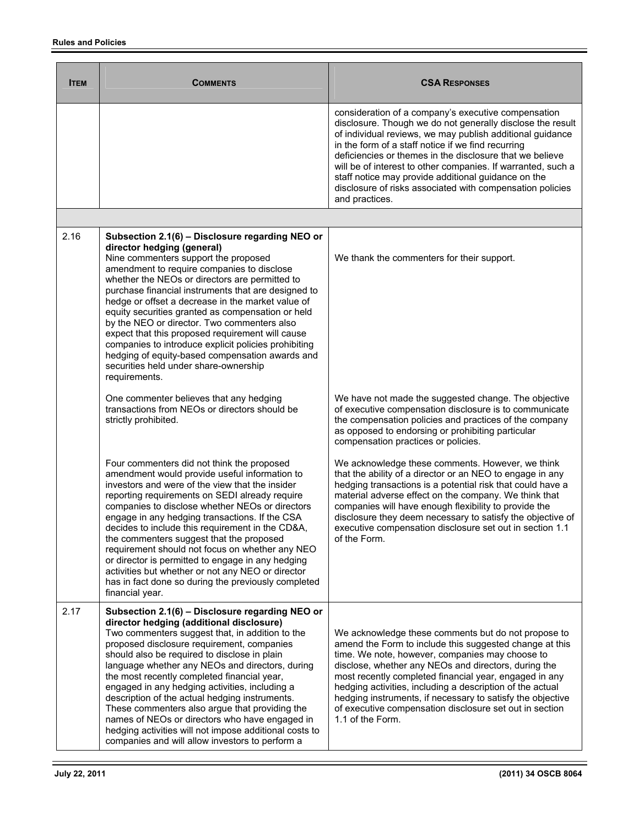| <b>ITEM</b> | <b>COMMENTS</b>                                                                                                                                                                                                                                                                                                                                                                                                                                                                                                                                                                                                                                                     | <b>CSA RESPONSES</b>                                                                                                                                                                                                                                                                                                                                                                                                                                                                                   |
|-------------|---------------------------------------------------------------------------------------------------------------------------------------------------------------------------------------------------------------------------------------------------------------------------------------------------------------------------------------------------------------------------------------------------------------------------------------------------------------------------------------------------------------------------------------------------------------------------------------------------------------------------------------------------------------------|--------------------------------------------------------------------------------------------------------------------------------------------------------------------------------------------------------------------------------------------------------------------------------------------------------------------------------------------------------------------------------------------------------------------------------------------------------------------------------------------------------|
|             |                                                                                                                                                                                                                                                                                                                                                                                                                                                                                                                                                                                                                                                                     | consideration of a company's executive compensation<br>disclosure. Though we do not generally disclose the result<br>of individual reviews, we may publish additional guidance<br>in the form of a staff notice if we find recurring<br>deficiencies or themes in the disclosure that we believe<br>will be of interest to other companies. If warranted, such a<br>staff notice may provide additional guidance on the<br>disclosure of risks associated with compensation policies<br>and practices. |
|             |                                                                                                                                                                                                                                                                                                                                                                                                                                                                                                                                                                                                                                                                     |                                                                                                                                                                                                                                                                                                                                                                                                                                                                                                        |
| 2.16        | Subsection 2.1(6) - Disclosure regarding NEO or<br>director hedging (general)<br>Nine commenters support the proposed<br>amendment to require companies to disclose<br>whether the NEOs or directors are permitted to<br>purchase financial instruments that are designed to<br>hedge or offset a decrease in the market value of<br>equity securities granted as compensation or held<br>by the NEO or director. Two commenters also<br>expect that this proposed requirement will cause<br>companies to introduce explicit policies prohibiting<br>hedging of equity-based compensation awards and<br>securities held under share-ownership<br>requirements.      | We thank the commenters for their support.                                                                                                                                                                                                                                                                                                                                                                                                                                                             |
|             | One commenter believes that any hedging<br>transactions from NEOs or directors should be<br>strictly prohibited.                                                                                                                                                                                                                                                                                                                                                                                                                                                                                                                                                    | We have not made the suggested change. The objective<br>of executive compensation disclosure is to communicate<br>the compensation policies and practices of the company<br>as opposed to endorsing or prohibiting particular<br>compensation practices or policies.                                                                                                                                                                                                                                   |
|             | Four commenters did not think the proposed<br>amendment would provide useful information to<br>investors and were of the view that the insider<br>reporting requirements on SEDI already require<br>companies to disclose whether NEOs or directors<br>engage in any hedging transactions. If the CSA<br>decides to include this requirement in the CD&A.<br>the commenters suggest that the proposed<br>requirement should not focus on whether any NEO<br>or director is permitted to engage in any hedging<br>activities but whether or not any NEO or director<br>has in fact done so during the previously completed<br>financial year.                        | We acknowledge these comments. However, we think<br>that the ability of a director or an NEO to engage in any<br>hedging transactions is a potential risk that could have a<br>material adverse effect on the company. We think that<br>companies will have enough flexibility to provide the<br>disclosure they deem necessary to satisfy the objective of<br>executive compensation disclosure set out in section 1.1<br>of the Form.                                                                |
| 2.17        | Subsection 2.1(6) - Disclosure regarding NEO or<br>director hedging (additional disclosure)<br>Two commenters suggest that, in addition to the<br>proposed disclosure requirement, companies<br>should also be required to disclose in plain<br>language whether any NEOs and directors, during<br>the most recently completed financial year,<br>engaged in any hedging activities, including a<br>description of the actual hedging instruments.<br>These commenters also argue that providing the<br>names of NEOs or directors who have engaged in<br>hedging activities will not impose additional costs to<br>companies and will allow investors to perform a | We acknowledge these comments but do not propose to<br>amend the Form to include this suggested change at this<br>time. We note, however, companies may choose to<br>disclose, whether any NEOs and directors, during the<br>most recently completed financial year, engaged in any<br>hedging activities, including a description of the actual<br>hedging instruments, if necessary to satisfy the objective<br>of executive compensation disclosure set out in section<br>1.1 of the Form.          |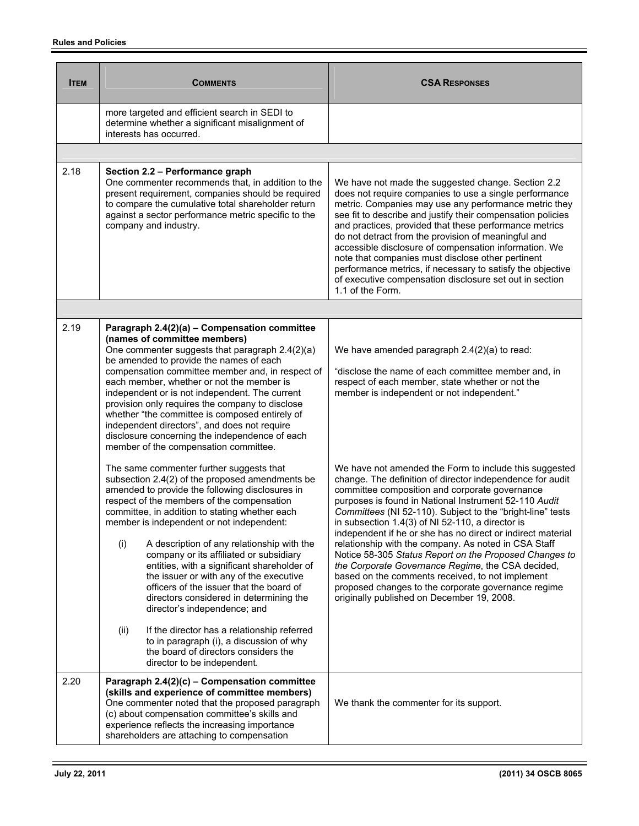| <b>ITEM</b> | <b>COMMENTS</b>                                                                                                                                                                                                                                                                                                                                                                                                                                                                                                                                                                                                                                                                                                                                                                        | <b>CSA RESPONSES</b>                                                                                                                                                                                                                                                                                                                                                                                                                                                                                                                                                                                                                                                                                                                            |
|-------------|----------------------------------------------------------------------------------------------------------------------------------------------------------------------------------------------------------------------------------------------------------------------------------------------------------------------------------------------------------------------------------------------------------------------------------------------------------------------------------------------------------------------------------------------------------------------------------------------------------------------------------------------------------------------------------------------------------------------------------------------------------------------------------------|-------------------------------------------------------------------------------------------------------------------------------------------------------------------------------------------------------------------------------------------------------------------------------------------------------------------------------------------------------------------------------------------------------------------------------------------------------------------------------------------------------------------------------------------------------------------------------------------------------------------------------------------------------------------------------------------------------------------------------------------------|
|             | more targeted and efficient search in SEDI to<br>determine whether a significant misalignment of<br>interests has occurred.                                                                                                                                                                                                                                                                                                                                                                                                                                                                                                                                                                                                                                                            |                                                                                                                                                                                                                                                                                                                                                                                                                                                                                                                                                                                                                                                                                                                                                 |
|             |                                                                                                                                                                                                                                                                                                                                                                                                                                                                                                                                                                                                                                                                                                                                                                                        |                                                                                                                                                                                                                                                                                                                                                                                                                                                                                                                                                                                                                                                                                                                                                 |
| 2.18        | Section 2.2 - Performance graph<br>One commenter recommends that, in addition to the<br>present requirement, companies should be required<br>to compare the cumulative total shareholder return<br>against a sector performance metric specific to the<br>company and industry.                                                                                                                                                                                                                                                                                                                                                                                                                                                                                                        | We have not made the suggested change. Section 2.2<br>does not require companies to use a single performance<br>metric. Companies may use any performance metric they<br>see fit to describe and justify their compensation policies<br>and practices, provided that these performance metrics<br>do not detract from the provision of meaningful and<br>accessible disclosure of compensation information. We<br>note that companies must disclose other pertinent<br>performance metrics, if necessary to satisfy the objective<br>of executive compensation disclosure set out in section<br>1.1 of the Form.                                                                                                                                |
|             |                                                                                                                                                                                                                                                                                                                                                                                                                                                                                                                                                                                                                                                                                                                                                                                        |                                                                                                                                                                                                                                                                                                                                                                                                                                                                                                                                                                                                                                                                                                                                                 |
| 2.19        | Paragraph 2.4(2)(a) - Compensation committee<br>(names of committee members)<br>One commenter suggests that paragraph 2.4(2)(a)<br>be amended to provide the names of each<br>compensation committee member and, in respect of<br>each member, whether or not the member is<br>independent or is not independent. The current<br>provision only requires the company to disclose<br>whether "the committee is composed entirely of<br>independent directors", and does not require<br>disclosure concerning the independence of each<br>member of the compensation committee.                                                                                                                                                                                                          | We have amended paragraph 2.4(2)(a) to read:<br>"disclose the name of each committee member and, in<br>respect of each member, state whether or not the<br>member is independent or not independent."                                                                                                                                                                                                                                                                                                                                                                                                                                                                                                                                           |
|             | The same commenter further suggests that<br>subsection 2.4(2) of the proposed amendments be<br>amended to provide the following disclosures in<br>respect of the members of the compensation<br>committee, in addition to stating whether each<br>member is independent or not independent:<br>(i)<br>A description of any relationship with the<br>company or its affiliated or subsidiary<br>entities, with a significant shareholder of<br>the issuer or with any of the executive<br>officers of the issuer that the board of<br>directors considered in determining the<br>director's independence; and<br>If the director has a relationship referred<br>(ii)<br>to in paragraph (i), a discussion of why<br>the board of directors considers the<br>director to be independent. | We have not amended the Form to include this suggested<br>change. The definition of director independence for audit<br>committee composition and corporate governance<br>purposes is found in National Instrument 52-110 Audit<br>Committees (NI 52-110). Subject to the "bright-line" tests<br>in subsection 1.4(3) of NI 52-110, a director is<br>independent if he or she has no direct or indirect material<br>relationship with the company. As noted in CSA Staff<br>Notice 58-305 Status Report on the Proposed Changes to<br>the Corporate Governance Regime, the CSA decided,<br>based on the comments received, to not implement<br>proposed changes to the corporate governance regime<br>originally published on December 19, 2008. |
| 2.20        | Paragraph 2.4(2)(c) - Compensation committee<br>(skills and experience of committee members)<br>One commenter noted that the proposed paragraph<br>(c) about compensation committee's skills and<br>experience reflects the increasing importance<br>shareholders are attaching to compensation                                                                                                                                                                                                                                                                                                                                                                                                                                                                                        | We thank the commenter for its support.                                                                                                                                                                                                                                                                                                                                                                                                                                                                                                                                                                                                                                                                                                         |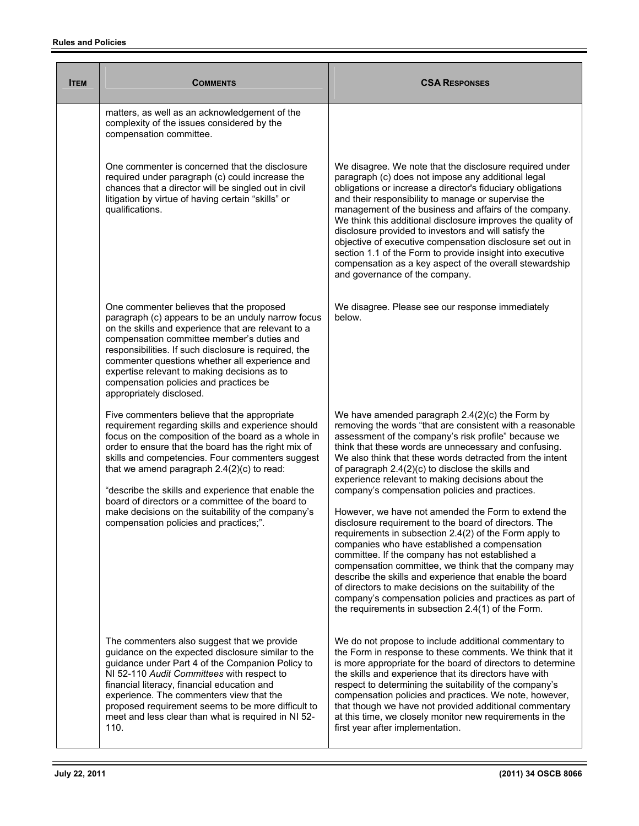| <b>ITEM</b> | <b>COMMENTS</b>                                                                                                                                                                                                                                                                                                                                                                                                                      | <b>CSA RESPONSES</b>                                                                                                                                                                                                                                                                                                                                                                                                                                                                                                                                                                                                                        |  |  |
|-------------|--------------------------------------------------------------------------------------------------------------------------------------------------------------------------------------------------------------------------------------------------------------------------------------------------------------------------------------------------------------------------------------------------------------------------------------|---------------------------------------------------------------------------------------------------------------------------------------------------------------------------------------------------------------------------------------------------------------------------------------------------------------------------------------------------------------------------------------------------------------------------------------------------------------------------------------------------------------------------------------------------------------------------------------------------------------------------------------------|--|--|
|             | matters, as well as an acknowledgement of the<br>complexity of the issues considered by the<br>compensation committee.                                                                                                                                                                                                                                                                                                               |                                                                                                                                                                                                                                                                                                                                                                                                                                                                                                                                                                                                                                             |  |  |
|             | One commenter is concerned that the disclosure<br>required under paragraph (c) could increase the<br>chances that a director will be singled out in civil<br>litigation by virtue of having certain "skills" or<br>qualifications.                                                                                                                                                                                                   | We disagree. We note that the disclosure required under<br>paragraph (c) does not impose any additional legal<br>obligations or increase a director's fiduciary obligations<br>and their responsibility to manage or supervise the<br>management of the business and affairs of the company.<br>We think this additional disclosure improves the quality of<br>disclosure provided to investors and will satisfy the<br>objective of executive compensation disclosure set out in<br>section 1.1 of the Form to provide insight into executive<br>compensation as a key aspect of the overall stewardship<br>and governance of the company. |  |  |
|             | One commenter believes that the proposed<br>paragraph (c) appears to be an unduly narrow focus<br>on the skills and experience that are relevant to a<br>compensation committee member's duties and<br>responsibilities. If such disclosure is required, the<br>commenter questions whether all experience and<br>expertise relevant to making decisions as to<br>compensation policies and practices be<br>appropriately disclosed. | We disagree. Please see our response immediately<br>below.                                                                                                                                                                                                                                                                                                                                                                                                                                                                                                                                                                                  |  |  |
|             | Five commenters believe that the appropriate<br>requirement regarding skills and experience should<br>focus on the composition of the board as a whole in<br>order to ensure that the board has the right mix of<br>skills and competencies. Four commenters suggest<br>that we amend paragraph $2.4(2)(c)$ to read:<br>"describe the skills and experience that enable the<br>board of directors or a committee of the board to     | We have amended paragraph $2.4(2)(c)$ the Form by<br>removing the words "that are consistent with a reasonable<br>assessment of the company's risk profile" because we<br>think that these words are unnecessary and confusing.<br>We also think that these words detracted from the intent<br>of paragraph 2.4(2)(c) to disclose the skills and<br>experience relevant to making decisions about the<br>company's compensation policies and practices.                                                                                                                                                                                     |  |  |
|             | make decisions on the suitability of the company's<br>compensation policies and practices;".                                                                                                                                                                                                                                                                                                                                         | However, we have not amended the Form to extend the<br>disclosure requirement to the board of directors. The<br>requirements in subsection 2.4(2) of the Form apply to<br>companies who have established a compensation<br>committee. If the company has not established a<br>compensation committee, we think that the company may<br>describe the skills and experience that enable the board<br>of directors to make decisions on the suitability of the<br>company's compensation policies and practices as part of<br>the requirements in subsection 2.4(1) of the Form.                                                               |  |  |
|             | The commenters also suggest that we provide<br>guidance on the expected disclosure similar to the<br>guidance under Part 4 of the Companion Policy to<br>NI 52-110 Audit Committees with respect to<br>financial literacy, financial education and<br>experience. The commenters view that the<br>proposed requirement seems to be more difficult to<br>meet and less clear than what is required in NI 52-<br>110.                  | We do not propose to include additional commentary to<br>the Form in response to these comments. We think that it<br>is more appropriate for the board of directors to determine<br>the skills and experience that its directors have with<br>respect to determining the suitability of the company's<br>compensation policies and practices. We note, however,<br>that though we have not provided additional commentary<br>at this time, we closely monitor new requirements in the<br>first year after implementation.                                                                                                                   |  |  |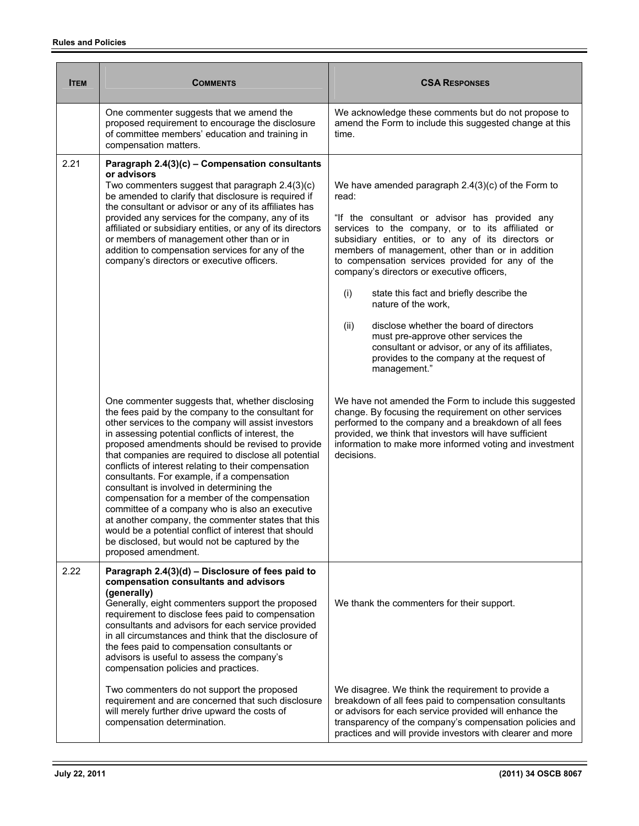| <b>ITEM</b> | <b>COMMENTS</b>                                                                                                                                                                                                                                                                                                                                                                                                                                                                                                                                                                                                                                                                                                           | <b>CSA RESPONSES</b>                                                                                                                                                                                                                                                                                                                                                                                                                                                                                                                                                                                                                                                                                                                                                                                                                            |  |  |  |  |
|-------------|---------------------------------------------------------------------------------------------------------------------------------------------------------------------------------------------------------------------------------------------------------------------------------------------------------------------------------------------------------------------------------------------------------------------------------------------------------------------------------------------------------------------------------------------------------------------------------------------------------------------------------------------------------------------------------------------------------------------------|-------------------------------------------------------------------------------------------------------------------------------------------------------------------------------------------------------------------------------------------------------------------------------------------------------------------------------------------------------------------------------------------------------------------------------------------------------------------------------------------------------------------------------------------------------------------------------------------------------------------------------------------------------------------------------------------------------------------------------------------------------------------------------------------------------------------------------------------------|--|--|--|--|
|             | One commenter suggests that we amend the<br>proposed requirement to encourage the disclosure<br>of committee members' education and training in<br>compensation matters.                                                                                                                                                                                                                                                                                                                                                                                                                                                                                                                                                  | We acknowledge these comments but do not propose to<br>amend the Form to include this suggested change at this<br>time.                                                                                                                                                                                                                                                                                                                                                                                                                                                                                                                                                                                                                                                                                                                         |  |  |  |  |
| 2.21        | Paragraph 2.4(3)(c) - Compensation consultants<br>or advisors<br>Two commenters suggest that paragraph 2.4(3)(c)<br>be amended to clarify that disclosure is required if<br>the consultant or advisor or any of its affiliates has<br>provided any services for the company, any of its<br>affiliated or subsidiary entities, or any of its directors<br>or members of management other than or in<br>addition to compensation services for any of the<br>company's directors or executive officers.<br>One commenter suggests that, whether disclosing<br>the fees paid by the company to the consultant for<br>other services to the company will assist investors<br>in assessing potential conflicts of interest, the | We have amended paragraph $2.4(3)(c)$ of the Form to<br>read:<br>"If the consultant or advisor has provided any<br>services to the company, or to its affiliated or<br>subsidiary entities, or to any of its directors or<br>members of management, other than or in addition<br>to compensation services provided for any of the<br>company's directors or executive officers,<br>state this fact and briefly describe the<br>(i)<br>nature of the work,<br>disclose whether the board of directors<br>(ii)<br>must pre-approve other services the<br>consultant or advisor, or any of its affiliates,<br>provides to the company at the request of<br>management."<br>We have not amended the Form to include this suggested<br>change. By focusing the requirement on other services<br>performed to the company and a breakdown of all fees |  |  |  |  |
|             | proposed amendments should be revised to provide<br>that companies are required to disclose all potential<br>conflicts of interest relating to their compensation<br>consultants. For example, if a compensation<br>consultant is involved in determining the<br>compensation for a member of the compensation<br>committee of a company who is also an executive<br>at another company, the commenter states that this<br>would be a potential conflict of interest that should<br>be disclosed, but would not be captured by the<br>proposed amendment.                                                                                                                                                                 | provided, we think that investors will have sufficient<br>information to make more informed voting and investment<br>decisions.                                                                                                                                                                                                                                                                                                                                                                                                                                                                                                                                                                                                                                                                                                                 |  |  |  |  |
| 2.22        | Paragraph 2.4(3)(d) - Disclosure of fees paid to<br>compensation consultants and advisors<br>(generally)<br>Generally, eight commenters support the proposed<br>requirement to disclose fees paid to compensation<br>consultants and advisors for each service provided<br>in all circumstances and think that the disclosure of<br>the fees paid to compensation consultants or<br>advisors is useful to assess the company's<br>compensation policies and practices.                                                                                                                                                                                                                                                    | We thank the commenters for their support.                                                                                                                                                                                                                                                                                                                                                                                                                                                                                                                                                                                                                                                                                                                                                                                                      |  |  |  |  |
|             | Two commenters do not support the proposed<br>requirement and are concerned that such disclosure<br>will merely further drive upward the costs of<br>compensation determination.                                                                                                                                                                                                                                                                                                                                                                                                                                                                                                                                          | We disagree. We think the requirement to provide a<br>breakdown of all fees paid to compensation consultants<br>or advisors for each service provided will enhance the<br>transparency of the company's compensation policies and<br>practices and will provide investors with clearer and more                                                                                                                                                                                                                                                                                                                                                                                                                                                                                                                                                 |  |  |  |  |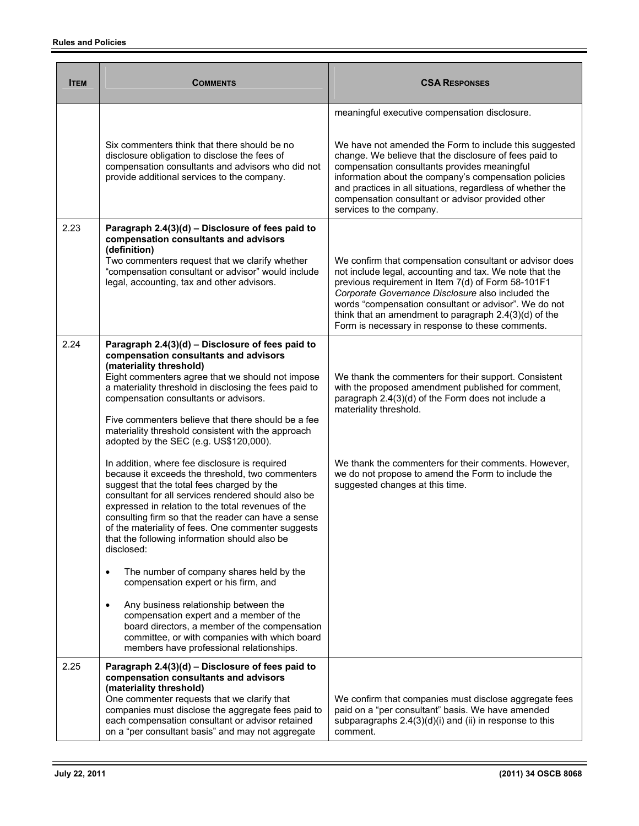| <b>ITEM</b> | <b>COMMENTS</b>                                                                                                                                                                                                                                                                                                                                                                                                                                                                                   | <b>CSA RESPONSES</b>                                                                                                                                                                                                                                                                                                                                                                                                      |  |  |  |
|-------------|---------------------------------------------------------------------------------------------------------------------------------------------------------------------------------------------------------------------------------------------------------------------------------------------------------------------------------------------------------------------------------------------------------------------------------------------------------------------------------------------------|---------------------------------------------------------------------------------------------------------------------------------------------------------------------------------------------------------------------------------------------------------------------------------------------------------------------------------------------------------------------------------------------------------------------------|--|--|--|
|             | Six commenters think that there should be no<br>disclosure obligation to disclose the fees of<br>compensation consultants and advisors who did not<br>provide additional services to the company.                                                                                                                                                                                                                                                                                                 | meaningful executive compensation disclosure.<br>We have not amended the Form to include this suggested<br>change. We believe that the disclosure of fees paid to<br>compensation consultants provides meaningful<br>information about the company's compensation policies<br>and practices in all situations, regardless of whether the<br>compensation consultant or advisor provided other<br>services to the company. |  |  |  |
| 2.23        | Paragraph 2.4(3)(d) - Disclosure of fees paid to<br>compensation consultants and advisors<br>(definition)<br>Two commenters request that we clarify whether<br>"compensation consultant or advisor" would include<br>legal, accounting, tax and other advisors.                                                                                                                                                                                                                                   | We confirm that compensation consultant or advisor does<br>not include legal, accounting and tax. We note that the<br>previous requirement in Item 7(d) of Form 58-101F1<br>Corporate Governance Disclosure also included the<br>words "compensation consultant or advisor". We do not<br>think that an amendment to paragraph 2.4(3)(d) of the<br>Form is necessary in response to these comments.                       |  |  |  |
| 2.24        | Paragraph 2.4(3)(d) - Disclosure of fees paid to<br>compensation consultants and advisors<br>(materiality threshold)<br>Eight commenters agree that we should not impose<br>a materiality threshold in disclosing the fees paid to<br>compensation consultants or advisors.<br>Five commenters believe that there should be a fee<br>materiality threshold consistent with the approach<br>adopted by the SEC (e.g. US\$120,000).                                                                 | We thank the commenters for their support. Consistent<br>with the proposed amendment published for comment,<br>paragraph 2.4(3)(d) of the Form does not include a<br>materiality threshold.                                                                                                                                                                                                                               |  |  |  |
|             | In addition, where fee disclosure is required<br>because it exceeds the threshold, two commenters<br>suggest that the total fees charged by the<br>consultant for all services rendered should also be<br>expressed in relation to the total revenues of the<br>consulting firm so that the reader can have a sense<br>of the materiality of fees. One commenter suggests<br>that the following information should also be<br>disclosed:<br>The number of company shares held by the<br>$\bullet$ | We thank the commenters for their comments. However,<br>we do not propose to amend the Form to include the<br>suggested changes at this time.                                                                                                                                                                                                                                                                             |  |  |  |
|             | compensation expert or his firm, and<br>Any business relationship between the<br>$\bullet$<br>compensation expert and a member of the<br>board directors, a member of the compensation<br>committee, or with companies with which board<br>members have professional relationships.                                                                                                                                                                                                               |                                                                                                                                                                                                                                                                                                                                                                                                                           |  |  |  |
| 2.25        | Paragraph 2.4(3)(d) - Disclosure of fees paid to<br>compensation consultants and advisors<br>(materiality threshold)<br>One commenter requests that we clarify that<br>companies must disclose the aggregate fees paid to<br>each compensation consultant or advisor retained<br>on a "per consultant basis" and may not aggregate                                                                                                                                                                | We confirm that companies must disclose aggregate fees<br>paid on a "per consultant" basis. We have amended<br>subparagraphs 2.4(3)(d)(i) and (ii) in response to this<br>comment.                                                                                                                                                                                                                                        |  |  |  |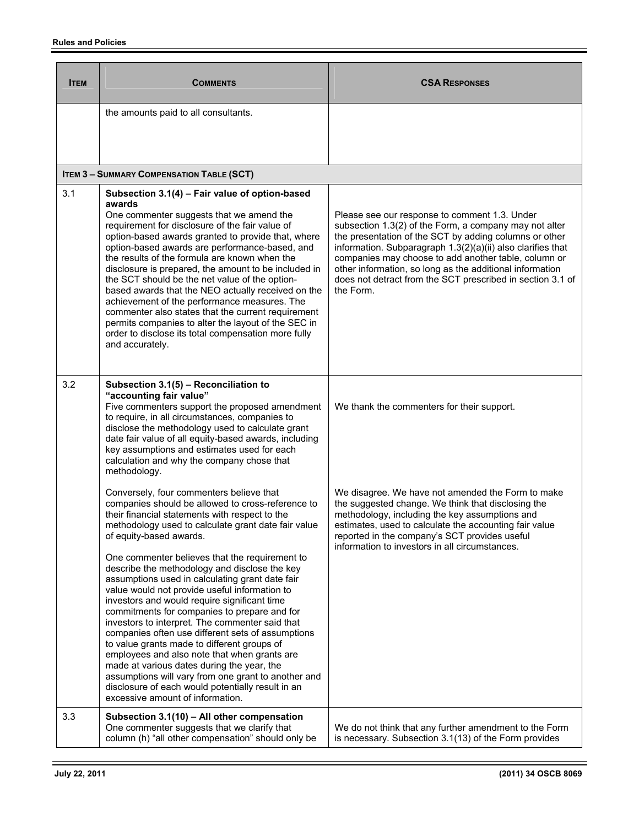| <b>ITEM</b> | <b>COMMENTS</b>                                                                                                                                                                                                                                                                                                                                                                                                                                                                                                                                                                                                                                                                                                                                                                                                                                                                                                                               | <b>CSA RESPONSES</b>                                                                                                                                                                                                                                                                                                                                                                                                            |
|-------------|-----------------------------------------------------------------------------------------------------------------------------------------------------------------------------------------------------------------------------------------------------------------------------------------------------------------------------------------------------------------------------------------------------------------------------------------------------------------------------------------------------------------------------------------------------------------------------------------------------------------------------------------------------------------------------------------------------------------------------------------------------------------------------------------------------------------------------------------------------------------------------------------------------------------------------------------------|---------------------------------------------------------------------------------------------------------------------------------------------------------------------------------------------------------------------------------------------------------------------------------------------------------------------------------------------------------------------------------------------------------------------------------|
|             | the amounts paid to all consultants.                                                                                                                                                                                                                                                                                                                                                                                                                                                                                                                                                                                                                                                                                                                                                                                                                                                                                                          |                                                                                                                                                                                                                                                                                                                                                                                                                                 |
|             | <b>ITEM 3 - SUMMARY COMPENSATION TABLE (SCT)</b>                                                                                                                                                                                                                                                                                                                                                                                                                                                                                                                                                                                                                                                                                                                                                                                                                                                                                              |                                                                                                                                                                                                                                                                                                                                                                                                                                 |
| 3.1         | Subsection 3.1(4) - Fair value of option-based<br>awards<br>One commenter suggests that we amend the<br>requirement for disclosure of the fair value of<br>option-based awards granted to provide that, where<br>option-based awards are performance-based, and<br>the results of the formula are known when the<br>disclosure is prepared, the amount to be included in<br>the SCT should be the net value of the option-<br>based awards that the NEO actually received on the<br>achievement of the performance measures. The<br>commenter also states that the current requirement<br>permits companies to alter the layout of the SEC in<br>order to disclose its total compensation more fully<br>and accurately.                                                                                                                                                                                                                       | Please see our response to comment 1.3. Under<br>subsection 1.3(2) of the Form, a company may not alter<br>the presentation of the SCT by adding columns or other<br>information. Subparagraph 1.3(2)(a)(ii) also clarifies that<br>companies may choose to add another table, column or<br>other information, so long as the additional information<br>does not detract from the SCT prescribed in section 3.1 of<br>the Form. |
| 3.2         | Subsection 3.1(5) - Reconciliation to<br>"accounting fair value"<br>Five commenters support the proposed amendment<br>to require, in all circumstances, companies to<br>disclose the methodology used to calculate grant<br>date fair value of all equity-based awards, including<br>key assumptions and estimates used for each<br>calculation and why the company chose that<br>methodology.                                                                                                                                                                                                                                                                                                                                                                                                                                                                                                                                                | We thank the commenters for their support.                                                                                                                                                                                                                                                                                                                                                                                      |
|             | Conversely, four commenters believe that<br>companies should be allowed to cross-reference to<br>their financial statements with respect to the<br>methodology used to calculate grant date fair value<br>of equity-based awards.<br>One commenter believes that the requirement to<br>describe the methodology and disclose the key<br>assumptions used in calculating grant date fair<br>value would not provide useful information to<br>investors and would require significant time<br>commitments for companies to prepare and for<br>investors to interpret. The commenter said that<br>companies often use different sets of assumptions<br>to value grants made to different groups of<br>employees and also note that when grants are<br>made at various dates during the year, the<br>assumptions will vary from one grant to another and<br>disclosure of each would potentially result in an<br>excessive amount of information. | We disagree. We have not amended the Form to make<br>the suggested change. We think that disclosing the<br>methodology, including the key assumptions and<br>estimates, used to calculate the accounting fair value<br>reported in the company's SCT provides useful<br>information to investors in all circumstances.                                                                                                          |
| 3.3         | Subsection 3.1(10) - All other compensation<br>One commenter suggests that we clarify that<br>column (h) "all other compensation" should only be                                                                                                                                                                                                                                                                                                                                                                                                                                                                                                                                                                                                                                                                                                                                                                                              | We do not think that any further amendment to the Form<br>is necessary. Subsection 3.1(13) of the Form provides                                                                                                                                                                                                                                                                                                                 |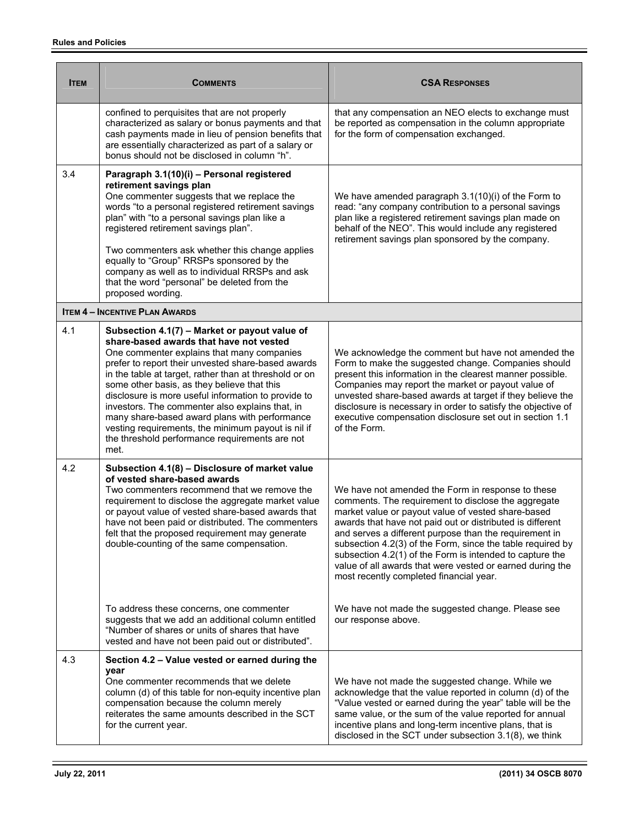| <b>ITEM</b> | <b>COMMENTS</b>                                                                                                                                                                                                                                                                                                                                                                                                                                                                                                                                                                                         | <b>CSA RESPONSES</b>                                                                                                                                                                                                                                                                                                                                                                                                                                                                                                                                                                                |  |  |  |
|-------------|---------------------------------------------------------------------------------------------------------------------------------------------------------------------------------------------------------------------------------------------------------------------------------------------------------------------------------------------------------------------------------------------------------------------------------------------------------------------------------------------------------------------------------------------------------------------------------------------------------|-----------------------------------------------------------------------------------------------------------------------------------------------------------------------------------------------------------------------------------------------------------------------------------------------------------------------------------------------------------------------------------------------------------------------------------------------------------------------------------------------------------------------------------------------------------------------------------------------------|--|--|--|
|             | confined to perquisites that are not properly<br>characterized as salary or bonus payments and that<br>cash payments made in lieu of pension benefits that<br>are essentially characterized as part of a salary or<br>bonus should not be disclosed in column "h".                                                                                                                                                                                                                                                                                                                                      | that any compensation an NEO elects to exchange must<br>be reported as compensation in the column appropriate<br>for the form of compensation exchanged.                                                                                                                                                                                                                                                                                                                                                                                                                                            |  |  |  |
| 3.4         | Paragraph 3.1(10)(i) - Personal registered<br>retirement savings plan<br>One commenter suggests that we replace the<br>words "to a personal registered retirement savings<br>plan" with "to a personal savings plan like a<br>registered retirement savings plan".<br>Two commenters ask whether this change applies<br>equally to "Group" RRSPs sponsored by the<br>company as well as to individual RRSPs and ask<br>that the word "personal" be deleted from the<br>proposed wording.                                                                                                                | We have amended paragraph 3.1(10)(i) of the Form to<br>read: "any company contribution to a personal savings<br>plan like a registered retirement savings plan made on<br>behalf of the NEO". This would include any registered<br>retirement savings plan sponsored by the company.                                                                                                                                                                                                                                                                                                                |  |  |  |
|             | <b>ITEM 4 - INCENTIVE PLAN AWARDS</b>                                                                                                                                                                                                                                                                                                                                                                                                                                                                                                                                                                   |                                                                                                                                                                                                                                                                                                                                                                                                                                                                                                                                                                                                     |  |  |  |
| 4.1         | Subsection 4.1(7) - Market or payout value of<br>share-based awards that have not vested<br>One commenter explains that many companies<br>prefer to report their unvested share-based awards<br>in the table at target, rather than at threshold or on<br>some other basis, as they believe that this<br>disclosure is more useful information to provide to<br>investors. The commenter also explains that, in<br>many share-based award plans with performance<br>vesting requirements, the minimum payout is nil if<br>the threshold performance requirements are not<br>met.                        | We acknowledge the comment but have not amended the<br>Form to make the suggested change. Companies should<br>present this information in the clearest manner possible.<br>Companies may report the market or payout value of<br>unvested share-based awards at target if they believe the<br>disclosure is necessary in order to satisfy the objective of<br>executive compensation disclosure set out in section 1.1<br>of the Form.                                                                                                                                                              |  |  |  |
| 4.2         | Subsection 4.1(8) - Disclosure of market value<br>of vested share-based awards<br>Two commenters recommend that we remove the<br>requirement to disclose the aggregate market value<br>or payout value of vested share-based awards that<br>have not been paid or distributed. The commenters<br>felt that the proposed requirement may generate<br>double-counting of the same compensation.<br>To address these concerns, one commenter<br>suggests that we add an additional column entitled<br>"Number of shares or units of shares that have<br>vested and have not been paid out or distributed". | We have not amended the Form in response to these<br>comments. The requirement to disclose the aggregate<br>market value or payout value of vested share-based<br>awards that have not paid out or distributed is different<br>and serves a different purpose than the requirement in<br>subsection 4.2(3) of the Form, since the table required by<br>subsection 4.2(1) of the Form is intended to capture the<br>value of all awards that were vested or earned during the<br>most recently completed financial year.<br>We have not made the suggested change. Please see<br>our response above. |  |  |  |
| 4.3         | Section 4.2 - Value vested or earned during the<br>year<br>One commenter recommends that we delete<br>column (d) of this table for non-equity incentive plan<br>compensation because the column merely<br>reiterates the same amounts described in the SCT<br>for the current year.                                                                                                                                                                                                                                                                                                                     | We have not made the suggested change. While we<br>acknowledge that the value reported in column (d) of the<br>"Value vested or earned during the year" table will be the<br>same value, or the sum of the value reported for annual<br>incentive plans and long-term incentive plans, that is<br>disclosed in the SCT under subsection 3.1(8), we think                                                                                                                                                                                                                                            |  |  |  |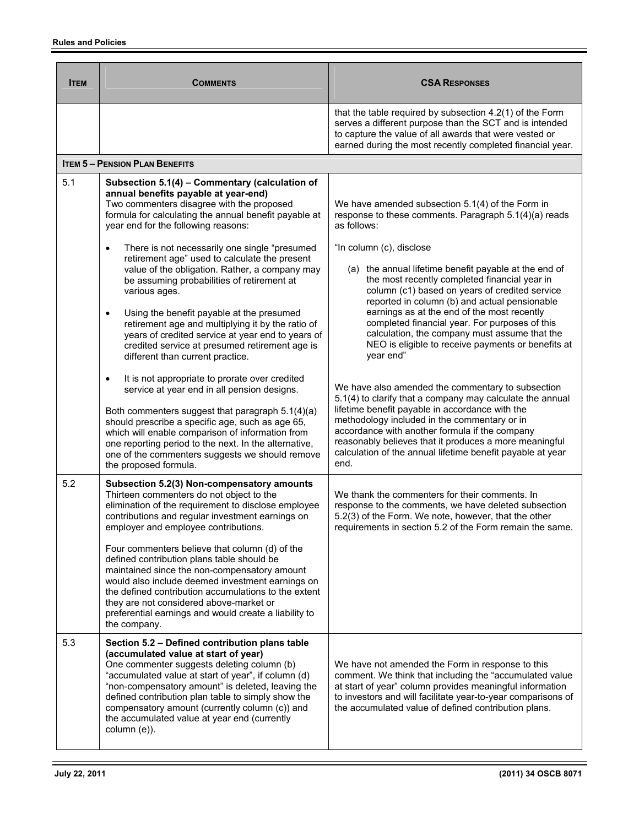| <b>ITEM</b> | <b>COMMENTS</b>                                                                                                                                                                                                                                                                                                                                                                                                                                                                                                                                                                                                                                                                                                                                                                                                                                                                                                                                                                                                                                                                                                                              | <b>CSA RESPONSES</b>                                                                                                                                                                                                                                                                                                                                                                                                                                                                                                                                                                                                                                                                                                                                                                                                                                                                                                                                                                          |  |  |  |
|-------------|----------------------------------------------------------------------------------------------------------------------------------------------------------------------------------------------------------------------------------------------------------------------------------------------------------------------------------------------------------------------------------------------------------------------------------------------------------------------------------------------------------------------------------------------------------------------------------------------------------------------------------------------------------------------------------------------------------------------------------------------------------------------------------------------------------------------------------------------------------------------------------------------------------------------------------------------------------------------------------------------------------------------------------------------------------------------------------------------------------------------------------------------|-----------------------------------------------------------------------------------------------------------------------------------------------------------------------------------------------------------------------------------------------------------------------------------------------------------------------------------------------------------------------------------------------------------------------------------------------------------------------------------------------------------------------------------------------------------------------------------------------------------------------------------------------------------------------------------------------------------------------------------------------------------------------------------------------------------------------------------------------------------------------------------------------------------------------------------------------------------------------------------------------|--|--|--|
|             |                                                                                                                                                                                                                                                                                                                                                                                                                                                                                                                                                                                                                                                                                                                                                                                                                                                                                                                                                                                                                                                                                                                                              | that the table required by subsection 4.2(1) of the Form<br>serves a different purpose than the SCT and is intended<br>to capture the value of all awards that were vested or<br>earned during the most recently completed financial year.                                                                                                                                                                                                                                                                                                                                                                                                                                                                                                                                                                                                                                                                                                                                                    |  |  |  |
|             | <b>ITEM 5 - PENSION PLAN BENEFITS</b>                                                                                                                                                                                                                                                                                                                                                                                                                                                                                                                                                                                                                                                                                                                                                                                                                                                                                                                                                                                                                                                                                                        |                                                                                                                                                                                                                                                                                                                                                                                                                                                                                                                                                                                                                                                                                                                                                                                                                                                                                                                                                                                               |  |  |  |
| 5.1         | Subsection 5.1(4) - Commentary (calculation of<br>annual benefits payable at year-end)<br>Two commenters disagree with the proposed<br>formula for calculating the annual benefit payable at<br>year end for the following reasons:<br>There is not necessarily one single "presumed<br>$\bullet$<br>retirement age" used to calculate the present<br>value of the obligation. Rather, a company may<br>be assuming probabilities of retirement at<br>various ages.<br>Using the benefit payable at the presumed<br>$\bullet$<br>retirement age and multiplying it by the ratio of<br>years of credited service at year end to years of<br>credited service at presumed retirement age is<br>different than current practice.<br>It is not appropriate to prorate over credited<br>$\bullet$<br>service at year end in all pension designs.<br>Both commenters suggest that paragraph 5.1(4)(a)<br>should prescribe a specific age, such as age 65,<br>which will enable comparison of information from<br>one reporting period to the next. In the alternative,<br>one of the commenters suggests we should remove<br>the proposed formula. | We have amended subsection 5.1(4) of the Form in<br>response to these comments. Paragraph 5.1(4)(a) reads<br>as follows:<br>"In column (c), disclose<br>(a) the annual lifetime benefit payable at the end of<br>the most recently completed financial year in<br>column (c1) based on years of credited service<br>reported in column (b) and actual pensionable<br>earnings as at the end of the most recently<br>completed financial year. For purposes of this<br>calculation, the company must assume that the<br>NEO is eligible to receive payments or benefits at<br>year end"<br>We have also amended the commentary to subsection<br>5.1(4) to clarify that a company may calculate the annual<br>lifetime benefit payable in accordance with the<br>methodology included in the commentary or in<br>accordance with another formula if the company<br>reasonably believes that it produces a more meaningful<br>calculation of the annual lifetime benefit payable at year<br>end. |  |  |  |
| 5.2         | Subsection 5.2(3) Non-compensatory amounts<br>Thirteen commenters do not object to the<br>elimination of the requirement to disclose employee<br>contributions and regular investment earnings on<br>employer and employee contributions.<br>Four commenters believe that column (d) of the<br>defined contribution plans table should be<br>maintained since the non-compensatory amount<br>would also include deemed investment earnings on<br>the defined contribution accumulations to the extent<br>they are not considered above-market or<br>preferential earnings and would create a liability to<br>the company.                                                                                                                                                                                                                                                                                                                                                                                                                                                                                                                    | We thank the commenters for their comments. In<br>response to the comments, we have deleted subsection<br>5.2(3) of the Form. We note, however, that the other<br>requirements in section 5.2 of the Form remain the same.                                                                                                                                                                                                                                                                                                                                                                                                                                                                                                                                                                                                                                                                                                                                                                    |  |  |  |
| 5.3         | Section 5.2 - Defined contribution plans table<br>(accumulated value at start of year)<br>One commenter suggests deleting column (b)<br>"accumulated value at start of year", if column (d)<br>"non-compensatory amount" is deleted, leaving the<br>defined contribution plan table to simply show the<br>compensatory amount (currently column (c)) and<br>the accumulated value at year end (currently<br>column (e)).                                                                                                                                                                                                                                                                                                                                                                                                                                                                                                                                                                                                                                                                                                                     | We have not amended the Form in response to this<br>comment. We think that including the "accumulated value<br>at start of year" column provides meaningful information<br>to investors and will facilitate year-to-year comparisons of<br>the accumulated value of defined contribution plans.                                                                                                                                                                                                                                                                                                                                                                                                                                                                                                                                                                                                                                                                                               |  |  |  |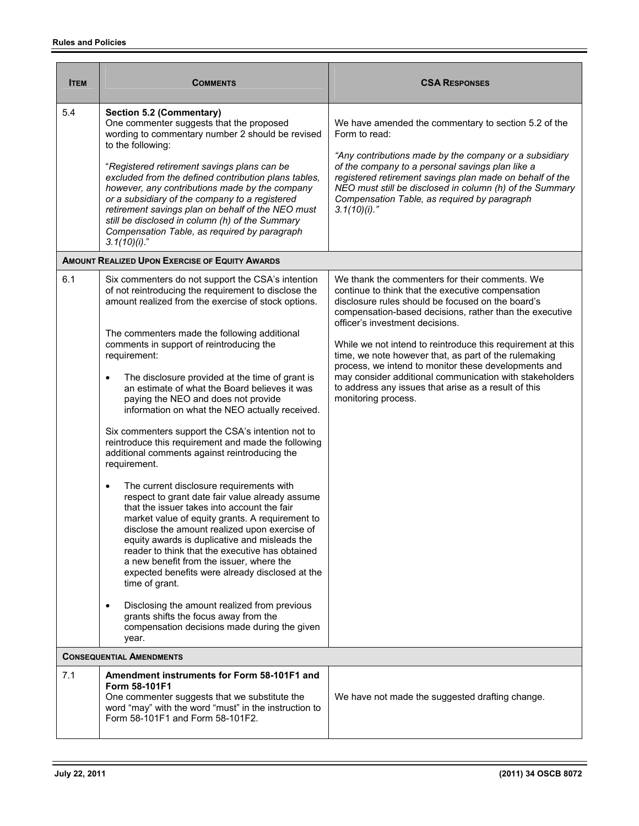| <b>ITEM</b> | <b>COMMENTS</b>                                                                                                                                                                                                                                                                                                                                                                                                                                                                                                                                                                                                                                                                                                                                                                                                                                                                                                                                                                                                                                                                                                                                                                                                                                                                                               | <b>CSA RESPONSES</b>                                                                                                                                                                                                                                                                                                                                                                                                                                                                                                                                                             |  |  |  |  |
|-------------|---------------------------------------------------------------------------------------------------------------------------------------------------------------------------------------------------------------------------------------------------------------------------------------------------------------------------------------------------------------------------------------------------------------------------------------------------------------------------------------------------------------------------------------------------------------------------------------------------------------------------------------------------------------------------------------------------------------------------------------------------------------------------------------------------------------------------------------------------------------------------------------------------------------------------------------------------------------------------------------------------------------------------------------------------------------------------------------------------------------------------------------------------------------------------------------------------------------------------------------------------------------------------------------------------------------|----------------------------------------------------------------------------------------------------------------------------------------------------------------------------------------------------------------------------------------------------------------------------------------------------------------------------------------------------------------------------------------------------------------------------------------------------------------------------------------------------------------------------------------------------------------------------------|--|--|--|--|
| 5.4         | Section 5.2 (Commentary)<br>One commenter suggests that the proposed<br>wording to commentary number 2 should be revised<br>to the following:<br>"Registered retirement savings plans can be<br>excluded from the defined contribution plans tables,<br>however, any contributions made by the company<br>or a subsidiary of the company to a registered<br>retirement savings plan on behalf of the NEO must<br>still be disclosed in column (h) of the Summary<br>Compensation Table, as required by paragraph                                                                                                                                                                                                                                                                                                                                                                                                                                                                                                                                                                                                                                                                                                                                                                                              | We have amended the commentary to section 5.2 of the<br>Form to read:<br>"Any contributions made by the company or a subsidiary<br>of the company to a personal savings plan like a<br>registered retirement savings plan made on behalf of the<br>NEO must still be disclosed in column (h) of the Summary<br>Compensation Table, as required by paragraph<br>$3.1(10)(i).$ "                                                                                                                                                                                                   |  |  |  |  |
|             | $3.1(10)(i)$ ."<br><b>AMOUNT REALIZED UPON EXERCISE OF EQUITY AWARDS</b>                                                                                                                                                                                                                                                                                                                                                                                                                                                                                                                                                                                                                                                                                                                                                                                                                                                                                                                                                                                                                                                                                                                                                                                                                                      |                                                                                                                                                                                                                                                                                                                                                                                                                                                                                                                                                                                  |  |  |  |  |
| 6.1         | Six commenters do not support the CSA's intention<br>of not reintroducing the requirement to disclose the<br>amount realized from the exercise of stock options.<br>The commenters made the following additional<br>comments in support of reintroducing the<br>requirement:<br>The disclosure provided at the time of grant is<br>$\bullet$<br>an estimate of what the Board believes it was<br>paying the NEO and does not provide<br>information on what the NEO actually received.<br>Six commenters support the CSA's intention not to<br>reintroduce this requirement and made the following<br>additional comments against reintroducing the<br>requirement.<br>The current disclosure requirements with<br>$\bullet$<br>respect to grant date fair value already assume<br>that the issuer takes into account the fair<br>market value of equity grants. A requirement to<br>disclose the amount realized upon exercise of<br>equity awards is duplicative and misleads the<br>reader to think that the executive has obtained<br>a new benefit from the issuer, where the<br>expected benefits were already disclosed at the<br>time of grant.<br>Disclosing the amount realized from previous<br>$\bullet$<br>grants shifts the focus away from the<br>compensation decisions made during the given | We thank the commenters for their comments. We<br>continue to think that the executive compensation<br>disclosure rules should be focused on the board's<br>compensation-based decisions, rather than the executive<br>officer's investment decisions.<br>While we not intend to reintroduce this requirement at this<br>time, we note however that, as part of the rulemaking<br>process, we intend to monitor these developments and<br>may consider additional communication with stakeholders<br>to address any issues that arise as a result of this<br>monitoring process. |  |  |  |  |
|             | year.<br><b>CONSEQUENTIAL AMENDMENTS</b>                                                                                                                                                                                                                                                                                                                                                                                                                                                                                                                                                                                                                                                                                                                                                                                                                                                                                                                                                                                                                                                                                                                                                                                                                                                                      |                                                                                                                                                                                                                                                                                                                                                                                                                                                                                                                                                                                  |  |  |  |  |
| 7.1         | Amendment instruments for Form 58-101F1 and<br>Form 58-101F1<br>One commenter suggests that we substitute the<br>word "may" with the word "must" in the instruction to<br>Form 58-101F1 and Form 58-101F2.                                                                                                                                                                                                                                                                                                                                                                                                                                                                                                                                                                                                                                                                                                                                                                                                                                                                                                                                                                                                                                                                                                    | We have not made the suggested drafting change.                                                                                                                                                                                                                                                                                                                                                                                                                                                                                                                                  |  |  |  |  |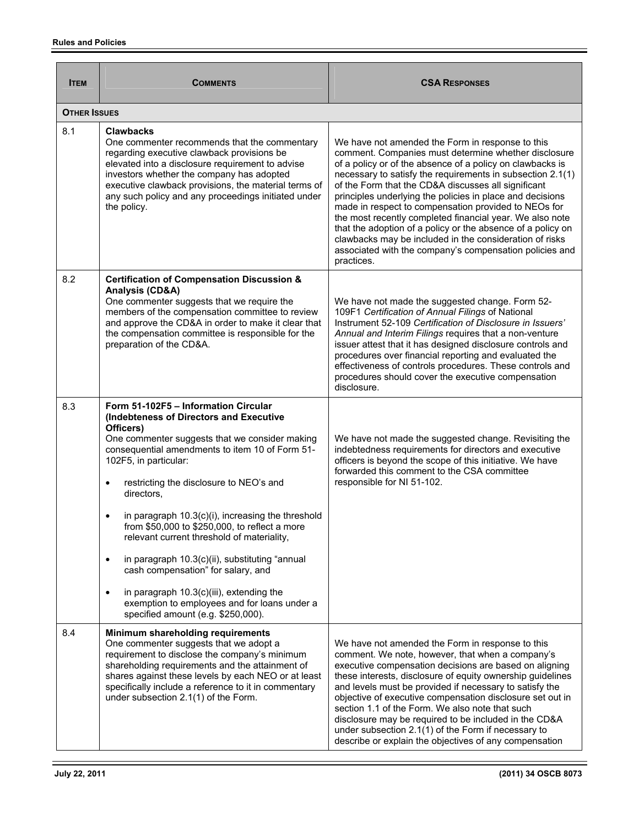| <b>ITEM</b>         | <b>COMMENTS</b>                                                                                                                                                                                                                                                                                                                                                                                                                                                                                                                                                                                                                                                                                                          | <b>CSA RESPONSES</b>                                                                                                                                                                                                                                                                                                                                                                                                                                                                                                                                                                                                                                                           |  |  |  |
|---------------------|--------------------------------------------------------------------------------------------------------------------------------------------------------------------------------------------------------------------------------------------------------------------------------------------------------------------------------------------------------------------------------------------------------------------------------------------------------------------------------------------------------------------------------------------------------------------------------------------------------------------------------------------------------------------------------------------------------------------------|--------------------------------------------------------------------------------------------------------------------------------------------------------------------------------------------------------------------------------------------------------------------------------------------------------------------------------------------------------------------------------------------------------------------------------------------------------------------------------------------------------------------------------------------------------------------------------------------------------------------------------------------------------------------------------|--|--|--|
| <b>OTHER ISSUES</b> |                                                                                                                                                                                                                                                                                                                                                                                                                                                                                                                                                                                                                                                                                                                          |                                                                                                                                                                                                                                                                                                                                                                                                                                                                                                                                                                                                                                                                                |  |  |  |
| 8.1                 | <b>Clawbacks</b><br>One commenter recommends that the commentary<br>regarding executive clawback provisions be<br>elevated into a disclosure requirement to advise<br>investors whether the company has adopted<br>executive clawback provisions, the material terms of<br>any such policy and any proceedings initiated under<br>the policy.                                                                                                                                                                                                                                                                                                                                                                            | We have not amended the Form in response to this<br>comment. Companies must determine whether disclosure<br>of a policy or of the absence of a policy on clawbacks is<br>necessary to satisfy the requirements in subsection 2.1(1)<br>of the Form that the CD&A discusses all significant<br>principles underlying the policies in place and decisions<br>made in respect to compensation provided to NEOs for<br>the most recently completed financial year. We also note<br>that the adoption of a policy or the absence of a policy on<br>clawbacks may be included in the consideration of risks<br>associated with the company's compensation policies and<br>practices. |  |  |  |
| 8.2                 | <b>Certification of Compensation Discussion &amp;</b><br>Analysis (CD&A)<br>One commenter suggests that we require the<br>members of the compensation committee to review<br>and approve the CD&A in order to make it clear that<br>the compensation committee is responsible for the<br>preparation of the CD&A.                                                                                                                                                                                                                                                                                                                                                                                                        | We have not made the suggested change. Form 52-<br>109F1 Certification of Annual Filings of National<br>Instrument 52-109 Certification of Disclosure in Issuers'<br>Annual and Interim Filings requires that a non-venture<br>issuer attest that it has designed disclosure controls and<br>procedures over financial reporting and evaluated the<br>effectiveness of controls procedures. These controls and<br>procedures should cover the executive compensation<br>disclosure.                                                                                                                                                                                            |  |  |  |
| 8.3                 | Form 51-102F5 - Information Circular<br>(Indebteness of Directors and Executive<br>Officers)<br>One commenter suggests that we consider making<br>consequential amendments to item 10 of Form 51-<br>102F5, in particular:<br>restricting the disclosure to NEO's and<br>$\bullet$<br>directors,<br>in paragraph 10.3(c)(i), increasing the threshold<br>$\bullet$<br>from $$50.000$ to $$250.000$ , to reflect a more<br>relevant current threshold of materiality,<br>in paragraph 10.3(c)(ii), substituting "annual<br>$\bullet$<br>cash compensation" for salary, and<br>in paragraph 10.3(c)(iii), extending the<br>$\bullet$<br>exemption to employees and for loans under a<br>specified amount (e.g. \$250,000). | We have not made the suggested change. Revisiting the<br>indebtedness requirements for directors and executive<br>officers is beyond the scope of this initiative. We have<br>forwarded this comment to the CSA committee<br>responsible for NI 51-102.                                                                                                                                                                                                                                                                                                                                                                                                                        |  |  |  |
| 8.4                 | Minimum shareholding requirements<br>One commenter suggests that we adopt a<br>requirement to disclose the company's minimum<br>shareholding requirements and the attainment of<br>shares against these levels by each NEO or at least<br>specifically include a reference to it in commentary<br>under subsection 2.1(1) of the Form.                                                                                                                                                                                                                                                                                                                                                                                   | We have not amended the Form in response to this<br>comment. We note, however, that when a company's<br>executive compensation decisions are based on aligning<br>these interests, disclosure of equity ownership guidelines<br>and levels must be provided if necessary to satisfy the<br>objective of executive compensation disclosure set out in<br>section 1.1 of the Form. We also note that such<br>disclosure may be required to be included in the CD&A<br>under subsection 2.1(1) of the Form if necessary to<br>describe or explain the objectives of any compensation                                                                                              |  |  |  |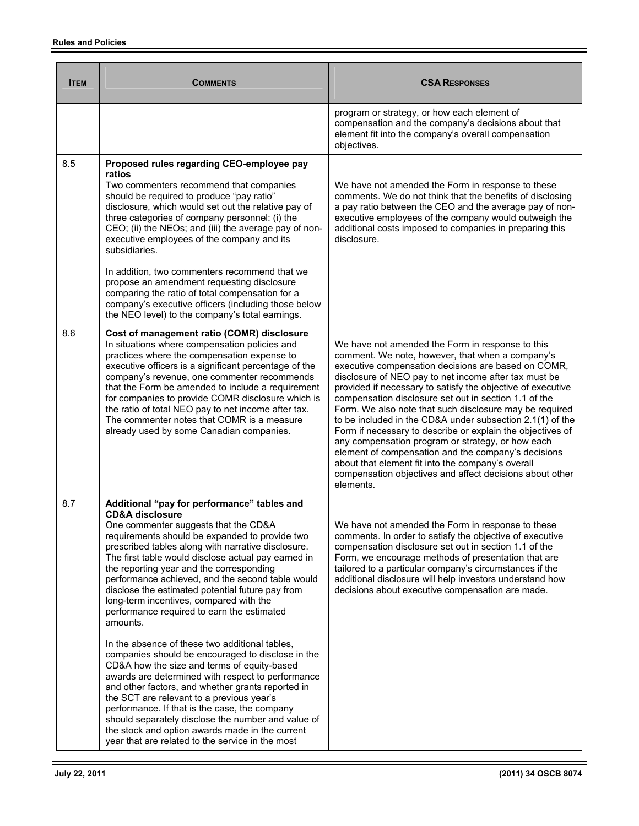| <b>ITEM</b> | <b>COMMENTS</b>                                                                                                                                                                                                                                                                                                                                                                                                                                                                                                                           | <b>CSA RESPONSES</b>                                                                                                                                                                                                                                                                                                                                                                                                                                                                                                                                                                                                                                                                                                                                                         |  |  |
|-------------|-------------------------------------------------------------------------------------------------------------------------------------------------------------------------------------------------------------------------------------------------------------------------------------------------------------------------------------------------------------------------------------------------------------------------------------------------------------------------------------------------------------------------------------------|------------------------------------------------------------------------------------------------------------------------------------------------------------------------------------------------------------------------------------------------------------------------------------------------------------------------------------------------------------------------------------------------------------------------------------------------------------------------------------------------------------------------------------------------------------------------------------------------------------------------------------------------------------------------------------------------------------------------------------------------------------------------------|--|--|
|             |                                                                                                                                                                                                                                                                                                                                                                                                                                                                                                                                           | program or strategy, or how each element of<br>compensation and the company's decisions about that<br>element fit into the company's overall compensation<br>objectives.                                                                                                                                                                                                                                                                                                                                                                                                                                                                                                                                                                                                     |  |  |
| 8.5         | Proposed rules regarding CEO-employee pay<br>ratios<br>Two commenters recommend that companies<br>should be required to produce "pay ratio"<br>disclosure, which would set out the relative pay of<br>three categories of company personnel: (i) the<br>CEO; (ii) the NEOs; and (iii) the average pay of non-<br>executive employees of the company and its                                                                                                                                                                               | We have not amended the Form in response to these<br>comments. We do not think that the benefits of disclosing<br>a pay ratio between the CEO and the average pay of non-<br>executive employees of the company would outweigh the<br>additional costs imposed to companies in preparing this<br>disclosure.                                                                                                                                                                                                                                                                                                                                                                                                                                                                 |  |  |
|             | subsidiaries.<br>In addition, two commenters recommend that we<br>propose an amendment requesting disclosure<br>comparing the ratio of total compensation for a<br>company's executive officers (including those below<br>the NEO level) to the company's total earnings.                                                                                                                                                                                                                                                                 |                                                                                                                                                                                                                                                                                                                                                                                                                                                                                                                                                                                                                                                                                                                                                                              |  |  |
| 8.6         | Cost of management ratio (COMR) disclosure<br>In situations where compensation policies and<br>practices where the compensation expense to<br>executive officers is a significant percentage of the<br>company's revenue, one commenter recommends<br>that the Form be amended to include a requirement<br>for companies to provide COMR disclosure which is<br>the ratio of total NEO pay to net income after tax.<br>The commenter notes that COMR is a measure<br>already used by some Canadian companies.                             | We have not amended the Form in response to this<br>comment. We note, however, that when a company's<br>executive compensation decisions are based on COMR,<br>disclosure of NEO pay to net income after tax must be<br>provided if necessary to satisfy the objective of executive<br>compensation disclosure set out in section 1.1 of the<br>Form. We also note that such disclosure may be required<br>to be included in the CD&A under subsection 2.1(1) of the<br>Form if necessary to describe or explain the objectives of<br>any compensation program or strategy, or how each<br>element of compensation and the company's decisions<br>about that element fit into the company's overall<br>compensation objectives and affect decisions about other<br>elements. |  |  |
| 8.7         | Additional "pay for performance" tables and<br><b>CD&amp;A disclosure</b><br>One commenter suggests that the CD&A<br>requirements should be expanded to provide two<br>prescribed tables along with narrative disclosure.<br>The first table would disclose actual pay earned in<br>the reporting year and the corresponding<br>performance achieved, and the second table would<br>disclose the estimated potential future pay from<br>long-term incentives, compared with the<br>performance required to earn the estimated<br>amounts. | We have not amended the Form in response to these<br>comments. In order to satisfy the objective of executive<br>compensation disclosure set out in section 1.1 of the<br>Form, we encourage methods of presentation that are<br>tailored to a particular company's circumstances if the<br>additional disclosure will help investors understand how<br>decisions about executive compensation are made.                                                                                                                                                                                                                                                                                                                                                                     |  |  |
|             | In the absence of these two additional tables,<br>companies should be encouraged to disclose in the<br>CD&A how the size and terms of equity-based<br>awards are determined with respect to performance<br>and other factors, and whether grants reported in<br>the SCT are relevant to a previous year's<br>performance. If that is the case, the company<br>should separately disclose the number and value of<br>the stock and option awards made in the current<br>year that are related to the service in the most                   |                                                                                                                                                                                                                                                                                                                                                                                                                                                                                                                                                                                                                                                                                                                                                                              |  |  |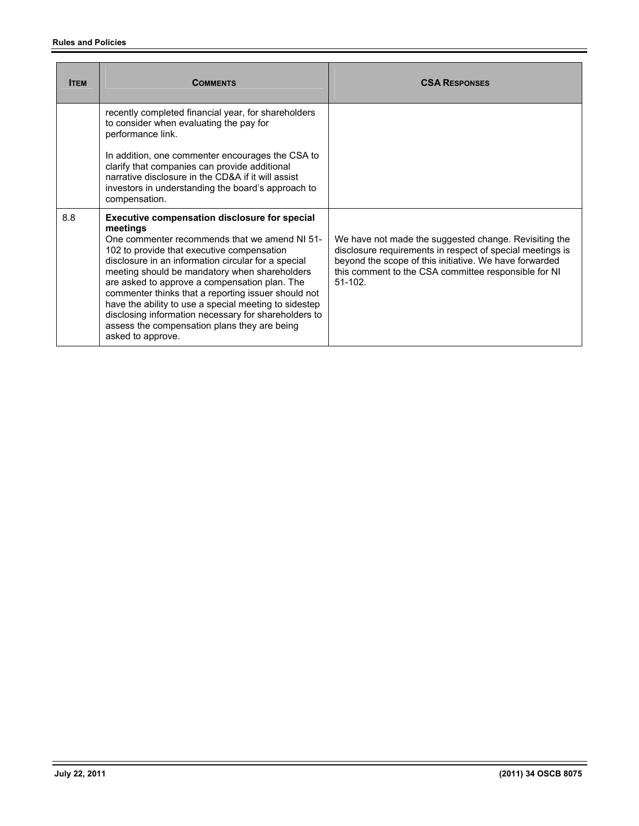| <b>ITEM</b> | <b>COMMENTS</b>                                                                                                                                                                                                                                                                                                                                                                                                                                                                                                                                                | <b>CSA RESPONSES</b>                                                                                                                                                                                                                             |  |  |
|-------------|----------------------------------------------------------------------------------------------------------------------------------------------------------------------------------------------------------------------------------------------------------------------------------------------------------------------------------------------------------------------------------------------------------------------------------------------------------------------------------------------------------------------------------------------------------------|--------------------------------------------------------------------------------------------------------------------------------------------------------------------------------------------------------------------------------------------------|--|--|
|             | recently completed financial year, for shareholders<br>to consider when evaluating the pay for<br>performance link.<br>In addition, one commenter encourages the CSA to<br>clarify that companies can provide additional<br>narrative disclosure in the CD&A if it will assist<br>investors in understanding the board's approach to<br>compensation.                                                                                                                                                                                                          |                                                                                                                                                                                                                                                  |  |  |
| 8.8         | Executive compensation disclosure for special<br>meetings<br>One commenter recommends that we amend NI 51-<br>102 to provide that executive compensation<br>disclosure in an information circular for a special<br>meeting should be mandatory when shareholders<br>are asked to approve a compensation plan. The<br>commenter thinks that a reporting issuer should not<br>have the ability to use a special meeting to sidestep<br>disclosing information necessary for shareholders to<br>assess the compensation plans they are being<br>asked to approve. | We have not made the suggested change. Revisiting the<br>disclosure requirements in respect of special meetings is<br>beyond the scope of this initiative. We have forwarded<br>this comment to the CSA committee responsible for NI<br>$51-102$ |  |  |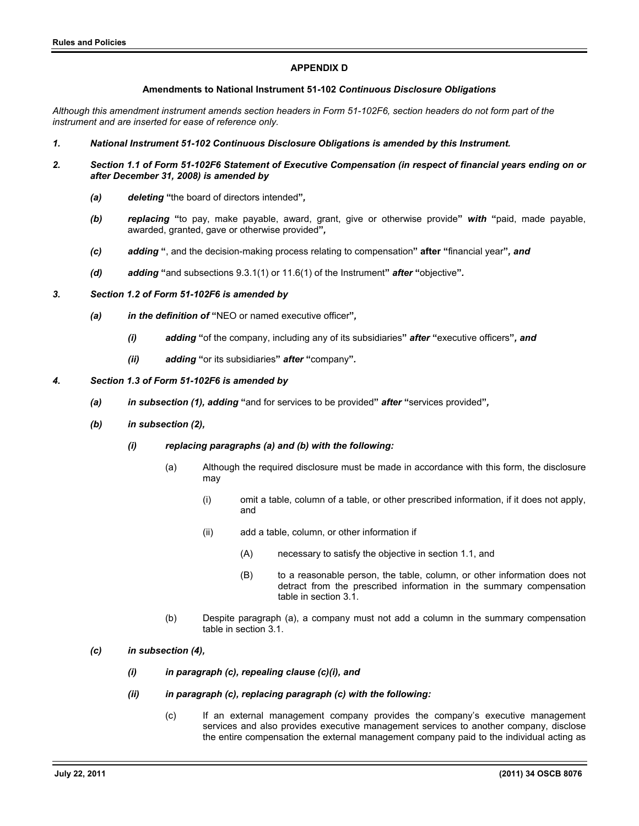## **APPENDIX D**

## **Amendments to National Instrument 51-102** *Continuous Disclosure Obligations*

*Although this amendment instrument amends section headers in Form 51-102F6, section headers do not form part of the instrument and are inserted for ease of reference only.* 

- *1. National Instrument 51-102 Continuous Disclosure Obligations is amended by this Instrument.*
- *2. Section 1.1 of Form 51-102F6 Statement of Executive Compensation (in respect of financial years ending on or after December 31, 2008) is amended by* 
	- *(a) deleting* **"**the board of directors intended**"***,*
	- *(b) replacing* **"**to pay, make payable, award, grant, give or otherwise provide**"** *with* **"**paid, made payable, awarded, granted, gave or otherwise provided**"***,*
	- *(c) adding* **"**, and the decision-making process relating to compensation**" after "**financial year**"***, and*
	- *(d) adding* **"**and subsections 9.3.1(1) or 11.6(1) of the Instrument**"** *after* **"**objective**"***.*

## *3. Section 1.2 of Form 51-102F6 is amended by*

- *(a) in the definition of* **"**NEO or named executive officer**"***,* 
	- *(i) adding* **"**of the company, including any of its subsidiaries**"** *after* **"**executive officers**"***, and*
	- *(ii) adding* **"**or its subsidiaries**"** *after* **"**company**"***.*

## *4. Section 1.3 of Form 51-102F6 is amended by*

- *(a) in subsection (1), adding* **"**and for services to be provided**"** *after* **"**services provided**"***,*
- *(b) in subsection (2),* 
	- *(i) replacing paragraphs (a) and (b) with the following:* 
		- (a) Although the required disclosure must be made in accordance with this form, the disclosure may
			- (i) omit a table, column of a table, or other prescribed information, if it does not apply, and
			- (ii) add a table, column, or other information if
				- (A) necessary to satisfy the objective in section 1.1, and
				- (B) to a reasonable person, the table, column, or other information does not detract from the prescribed information in the summary compensation table in section 3.1.
		- (b) Despite paragraph (a), a company must not add a column in the summary compensation table in section 3.1.
- *(c) in subsection (4),* 
	- *(i) in paragraph (c), repealing clause (c)(i), and*
	- *(ii) in paragraph (c), replacing paragraph (c) with the following:* 
		- (c) If an external management company provides the company's executive management services and also provides executive management services to another company, disclose the entire compensation the external management company paid to the individual acting as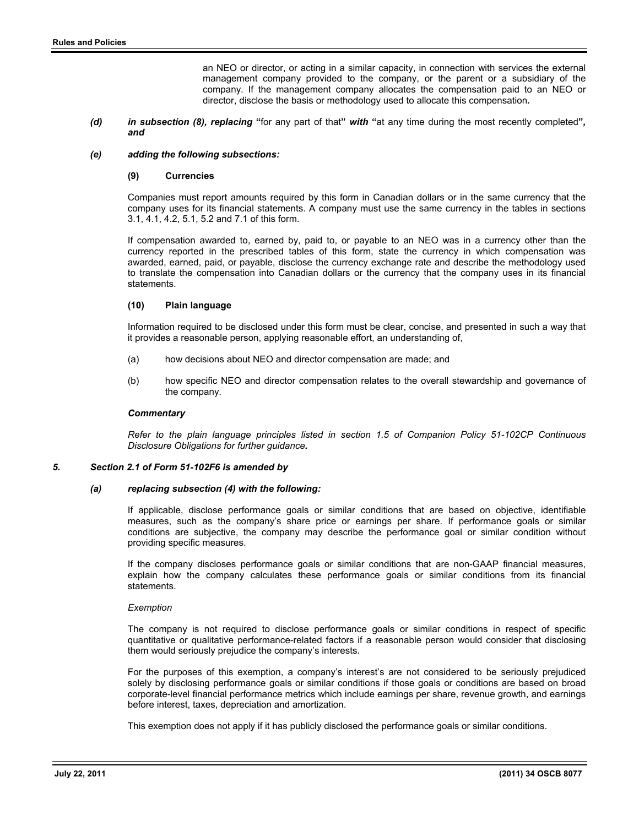an NEO or director, or acting in a similar capacity, in connection with services the external management company provided to the company, or the parent or a subsidiary of the company. If the management company allocates the compensation paid to an NEO or director, disclose the basis or methodology used to allocate this compensation*.* 

*(d) in subsection (8), replacing* **"**for any part of that**"** *with* **"**at any time during the most recently completed**"***, and* 

## *(e) adding the following subsections:*

## **(9) Currencies**

Companies must report amounts required by this form in Canadian dollars or in the same currency that the company uses for its financial statements. A company must use the same currency in the tables in sections 3.1, 4.1, 4.2, 5.1, 5.2 and 7.1 of this form.

If compensation awarded to, earned by, paid to, or payable to an NEO was in a currency other than the currency reported in the prescribed tables of this form, state the currency in which compensation was awarded, earned, paid, or payable, disclose the currency exchange rate and describe the methodology used to translate the compensation into Canadian dollars or the currency that the company uses in its financial statements.

## **(10) Plain language**

Information required to be disclosed under this form must be clear, concise, and presented in such a way that it provides a reasonable person, applying reasonable effort, an understanding of,

- (a) how decisions about NEO and director compensation are made; and
- (b) how specific NEO and director compensation relates to the overall stewardship and governance of the company.

#### *Commentary*

*Refer to the plain language principles listed in section 1.5 of Companion Policy 51-102CP Continuous Disclosure Obligations for further guidance.* 

## *5. Section 2.1 of Form 51-102F6 is amended by*

#### *(a) replacing subsection (4) with the following:*

If applicable, disclose performance goals or similar conditions that are based on objective, identifiable measures, such as the company's share price or earnings per share. If performance goals or similar conditions are subjective, the company may describe the performance goal or similar condition without providing specific measures.

If the company discloses performance goals or similar conditions that are non-GAAP financial measures, explain how the company calculates these performance goals or similar conditions from its financial statements.

#### *Exemption*

The company is not required to disclose performance goals or similar conditions in respect of specific quantitative or qualitative performance-related factors if a reasonable person would consider that disclosing them would seriously prejudice the company's interests.

For the purposes of this exemption, a company's interest's are not considered to be seriously prejudiced solely by disclosing performance goals or similar conditions if those goals or conditions are based on broad corporate-level financial performance metrics which include earnings per share, revenue growth, and earnings before interest, taxes, depreciation and amortization.

This exemption does not apply if it has publicly disclosed the performance goals or similar conditions.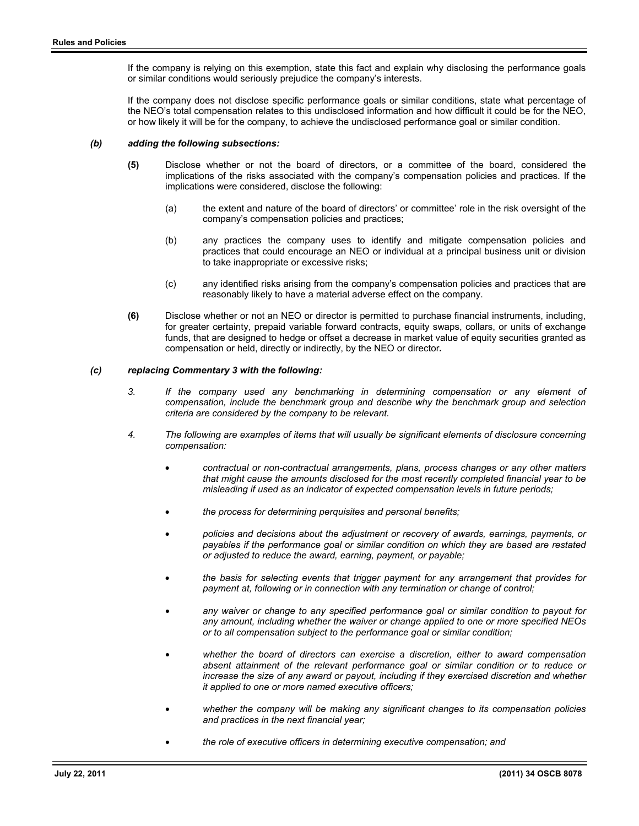If the company is relying on this exemption, state this fact and explain why disclosing the performance goals or similar conditions would seriously prejudice the company's interests.

If the company does not disclose specific performance goals or similar conditions, state what percentage of the NEO's total compensation relates to this undisclosed information and how difficult it could be for the NEO, or how likely it will be for the company, to achieve the undisclosed performance goal or similar condition.

## *(b) adding the following subsections:*

- **(5)** Disclose whether or not the board of directors, or a committee of the board, considered the implications of the risks associated with the company's compensation policies and practices. If the implications were considered, disclose the following:
	- (a) the extent and nature of the board of directors' or committee' role in the risk oversight of the company's compensation policies and practices;
	- (b) any practices the company uses to identify and mitigate compensation policies and practices that could encourage an NEO or individual at a principal business unit or division to take inappropriate or excessive risks;
	- (c) any identified risks arising from the company's compensation policies and practices that are reasonably likely to have a material adverse effect on the company.
- **(6)** Disclose whether or not an NEO or director is permitted to purchase financial instruments, including, for greater certainty, prepaid variable forward contracts, equity swaps, collars, or units of exchange funds, that are designed to hedge or offset a decrease in market value of equity securities granted as compensation or held, directly or indirectly, by the NEO or director*.*

## *(c) replacing Commentary 3 with the following:*

- *3. If the company used any benchmarking in determining compensation or any element of compensation, include the benchmark group and describe why the benchmark group and selection criteria are considered by the company to be relevant.*
- *4. The following are examples of items that will usually be significant elements of disclosure concerning compensation:* 
	- *contractual or non-contractual arrangements, plans, process changes or any other matters that might cause the amounts disclosed for the most recently completed financial year to be misleading if used as an indicator of expected compensation levels in future periods;*
	- *the process for determining perquisites and personal benefits;*
	- *policies and decisions about the adjustment or recovery of awards, earnings, payments, or payables if the performance goal or similar condition on which they are based are restated or adjusted to reduce the award, earning, payment, or payable;*
	- *the basis for selecting events that trigger payment for any arrangement that provides for payment at, following or in connection with any termination or change of control;*
	- *any waiver or change to any specified performance goal or similar condition to payout for any amount, including whether the waiver or change applied to one or more specified NEOs or to all compensation subject to the performance goal or similar condition;*
	- *whether the board of directors can exercise a discretion, either to award compensation absent attainment of the relevant performance goal or similar condition or to reduce or increase the size of any award or payout, including if they exercised discretion and whether it applied to one or more named executive officers;*
	- *whether the company will be making any significant changes to its compensation policies and practices in the next financial year;*
	- *the role of executive officers in determining executive compensation; and*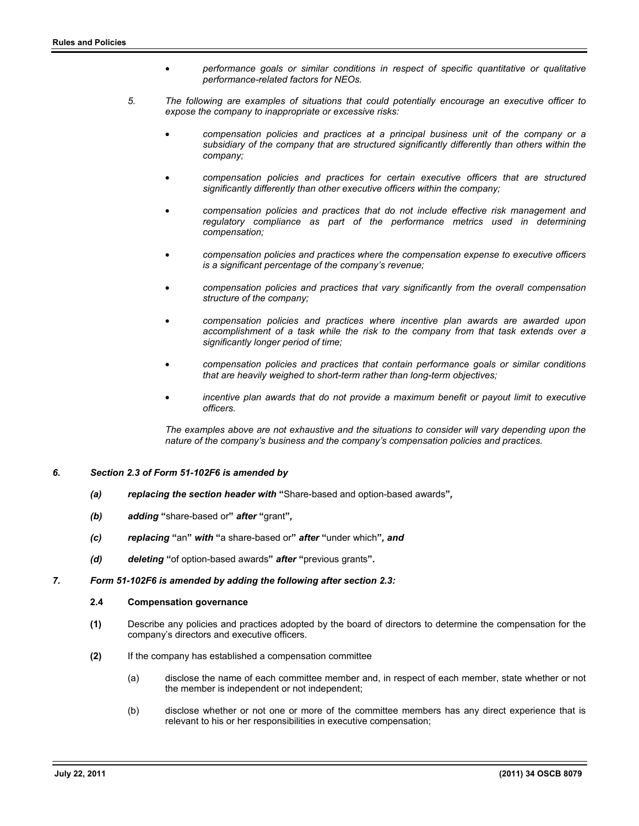- *performance goals or similar conditions in respect of specific quantitative or qualitative performance-related factors for NEOs.*
- *5. The following are examples of situations that could potentially encourage an executive officer to expose the company to inappropriate or excessive risks:* 
	- *compensation policies and practices at a principal business unit of the company or a subsidiary of the company that are structured significantly differently than others within the company;*
	- *compensation policies and practices for certain executive officers that are structured significantly differently than other executive officers within the company;*
	- *compensation policies and practices that do not include effective risk management and regulatory compliance as part of the performance metrics used in determining compensation;*
	- *compensation policies and practices where the compensation expense to executive officers is a significant percentage of the company's revenue;*
	- *compensation policies and practices that vary significantly from the overall compensation structure of the company;*
	- *compensation policies and practices where incentive plan awards are awarded upon accomplishment of a task while the risk to the company from that task extends over a significantly longer period of time;*
	- *compensation policies and practices that contain performance goals or similar conditions that are heavily weighed to short-term rather than long-term objectives;*
	- *incentive plan awards that do not provide a maximum benefit or payout limit to executive officers.*

*The examples above are not exhaustive and the situations to consider will vary depending upon the nature of the company's business and the company's compensation policies and practices.* 

## *6. Section 2.3 of Form 51-102F6 is amended by*

- *(a) replacing the section header with* **"**Share-based and option-based awards**"***,*
- *(b) adding* **"**share-based or**"** *after* **"**grant**"***,*
- *(c) replacing* **"**an**"** *with* **"**a share-based or**"** *after* **"**under which**"***, and*
- *(d) deleting* **"**of option-based awards**"** *after* **"**previous grants**"***.*

#### *7. Form 51-102F6 is amended by adding the following after section 2.3:*

## **2.4 Compensation governance**

- **(1)** Describe any policies and practices adopted by the board of directors to determine the compensation for the company's directors and executive officers.
- **(2)** If the company has established a compensation committee
	- (a) disclose the name of each committee member and, in respect of each member, state whether or not the member is independent or not independent;
	- (b) disclose whether or not one or more of the committee members has any direct experience that is relevant to his or her responsibilities in executive compensation;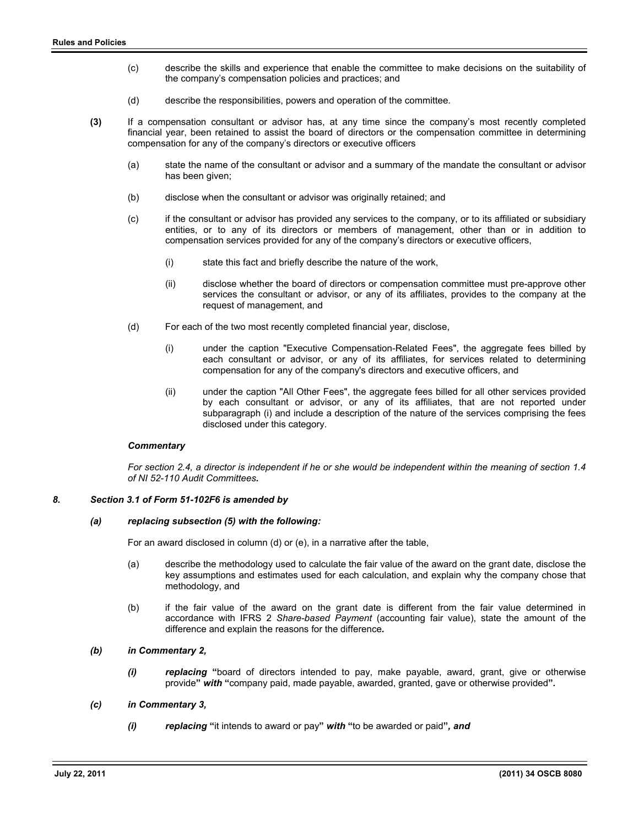- (c) describe the skills and experience that enable the committee to make decisions on the suitability of the company's compensation policies and practices; and
- (d) describe the responsibilities, powers and operation of the committee.
- **(3)** If a compensation consultant or advisor has, at any time since the company's most recently completed financial year, been retained to assist the board of directors or the compensation committee in determining compensation for any of the company's directors or executive officers
	- (a) state the name of the consultant or advisor and a summary of the mandate the consultant or advisor has been given;
	- (b) disclose when the consultant or advisor was originally retained; and
	- (c) if the consultant or advisor has provided any services to the company, or to its affiliated or subsidiary entities, or to any of its directors or members of management, other than or in addition to compensation services provided for any of the company's directors or executive officers,
		- (i) state this fact and briefly describe the nature of the work,
		- (ii) disclose whether the board of directors or compensation committee must pre-approve other services the consultant or advisor, or any of its affiliates, provides to the company at the request of management, and
	- (d) For each of the two most recently completed financial year, disclose,
		- (i) under the caption "Executive Compensation-Related Fees", the aggregate fees billed by each consultant or advisor, or any of its affiliates, for services related to determining compensation for any of the company's directors and executive officers, and
		- (ii) under the caption "All Other Fees", the aggregate fees billed for all other services provided by each consultant or advisor, or any of its affiliates, that are not reported under subparagraph (i) and include a description of the nature of the services comprising the fees disclosed under this category.

#### *Commentary*

*For section 2.4, a director is independent if he or she would be independent within the meaning of section 1.4 of NI 52-110 Audit Committees.*

## *8. Section 3.1 of Form 51-102F6 is amended by*

## *(a) replacing subsection (5) with the following:*

For an award disclosed in column (d) or (e), in a narrative after the table,

- (a) describe the methodology used to calculate the fair value of the award on the grant date, disclose the key assumptions and estimates used for each calculation, and explain why the company chose that methodology, and
- (b) if the fair value of the award on the grant date is different from the fair value determined in accordance with IFRS 2 *Share-based Payment* (accounting fair value), state the amount of the difference and explain the reasons for the difference*.*

## *(b) in Commentary 2,*

- *(i) replacing* **"**board of directors intended to pay, make payable, award, grant, give or otherwise provide**"** *with* **"**company paid, made payable, awarded, granted, gave or otherwise provided**"***.*
- *(c) in Commentary 3,* 
	- *(i) replacing* **"**it intends to award or pay**"** *with* **"**to be awarded or paid**"***, and*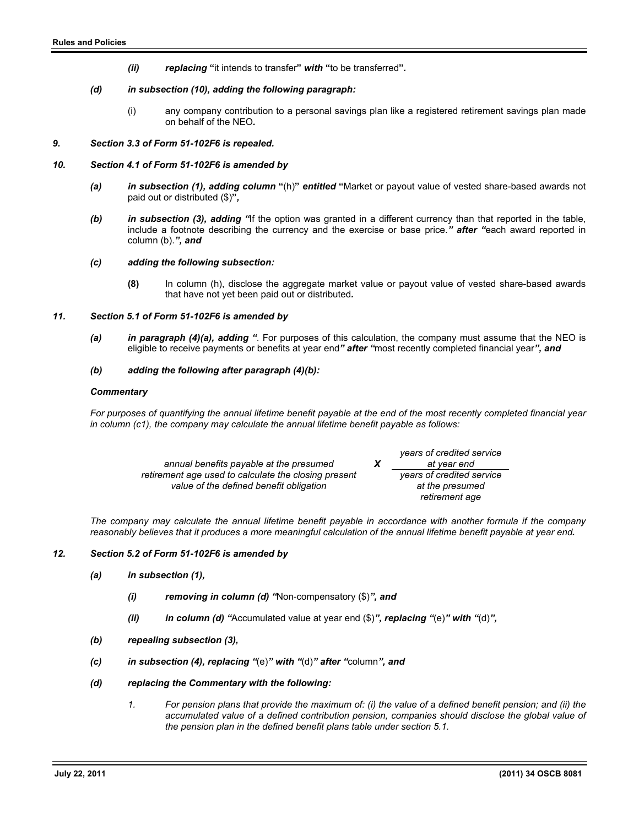- *(ii) replacing* **"**it intends to transfer**"** *with* **"**to be transferred**"***.*
- *(d) in subsection (10), adding the following paragraph:* 
	- (i) any company contribution to a personal savings plan like a registered retirement savings plan made on behalf of the NEO*.*

## *9. Section 3.3 of Form 51-102F6 is repealed.*

#### *10. Section 4.1 of Form 51-102F6 is amended by*

- *(a) in subsection (1), adding column* **"**(h)**"** *entitled* **"**Market or payout value of vested share-based awards not paid out or distributed (\$)**"***,*
- *(b) in subsection (3), adding "*If the option was granted in a different currency than that reported in the table, include a footnote describing the currency and the exercise or base price.*" after "*each award reported in column (b).*", and*

## *(c) adding the following subsection:*

**(8)** In column (h), disclose the aggregate market value or payout value of vested share-based awards that have not yet been paid out or distributed*.*

## *11. Section 5.1 of Form 51-102F6 is amended by*

*(a) in paragraph (4)(a), adding "*. For purposes of this calculation, the company must assume that the NEO is eligible to receive payments or benefits at year end*" after "*most recently completed financial year*", and* 

## *(b) adding the following after paragraph (4)(b):*

## *Commentary*

*For purposes of quantifying the annual lifetime benefit payable at the end of the most recently completed financial year in column (c1), the company may calculate the annual lifetime benefit payable as follows:* 

*annual benefits payable at the presumed X retirement age used to calculate the closing present value of the defined benefit obligation* 

*years of credited service at year end years of credited service at the presumed retirement age* 

*The company may calculate the annual lifetime benefit payable in accordance with another formula if the company reasonably believes that it produces a more meaningful calculation of the annual lifetime benefit payable at year end.* 

## *12. Section 5.2 of Form 51-102F6 is amended by*

- *(a) in subsection (1),* 
	- *(i) removing in column (d) "*Non-compensatory (\$)*", and*
	- *(ii) in column (d) "*Accumulated value at year end (\$)*", replacing "*(e)*" with "*(d)*",*
- *(b) repealing subsection (3),*
- *(c) in subsection (4), replacing "*(e)*" with "*(d)*" after "*column*", and*
- *(d) replacing the Commentary with the following:* 
	- *1. For pension plans that provide the maximum of: (i) the value of a defined benefit pension; and (ii) the accumulated value of a defined contribution pension, companies should disclose the global value of the pension plan in the defined benefit plans table under section 5.1.*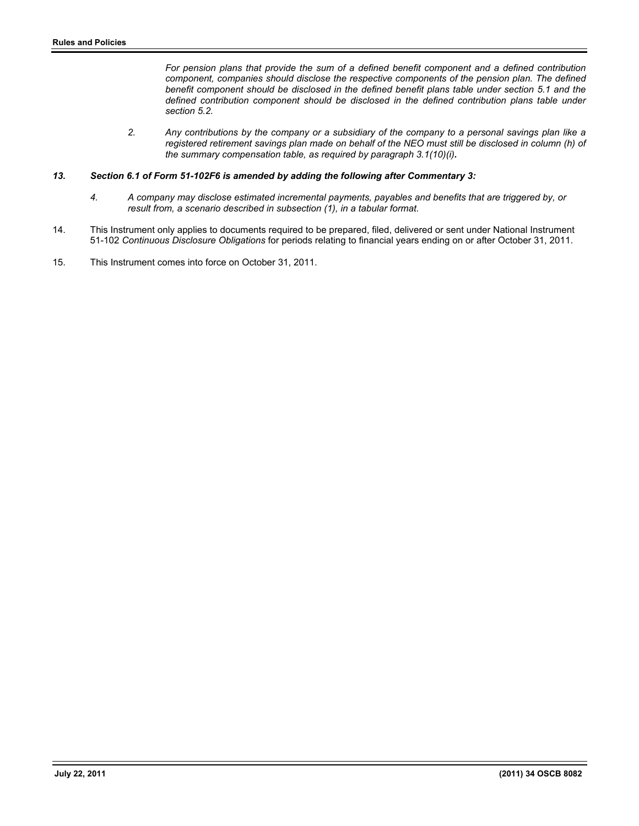For pension plans that provide the sum of a defined benefit component and a defined contribution *component, companies should disclose the respective components of the pension plan. The defined benefit component should be disclosed in the defined benefit plans table under section 5.1 and the*  defined contribution component should be disclosed in the defined contribution plans table under *section 5.2.* 

*2. Any contributions by the company or a subsidiary of the company to a personal savings plan like a registered retirement savings plan made on behalf of the NEO must still be disclosed in column (h) of the summary compensation table, as required by paragraph 3.1(10)(i).*

## *13. Section 6.1 of Form 51-102F6 is amended by adding the following after Commentary 3:*

- *4. A company may disclose estimated incremental payments, payables and benefits that are triggered by, or result from, a scenario described in subsection (1), in a tabular format.*
- 14. This Instrument only applies to documents required to be prepared, filed, delivered or sent under National Instrument 51-102 *Continuous Disclosure Obligations* for periods relating to financial years ending on or after October 31, 2011.
- 15. This Instrument comes into force on October 31, 2011.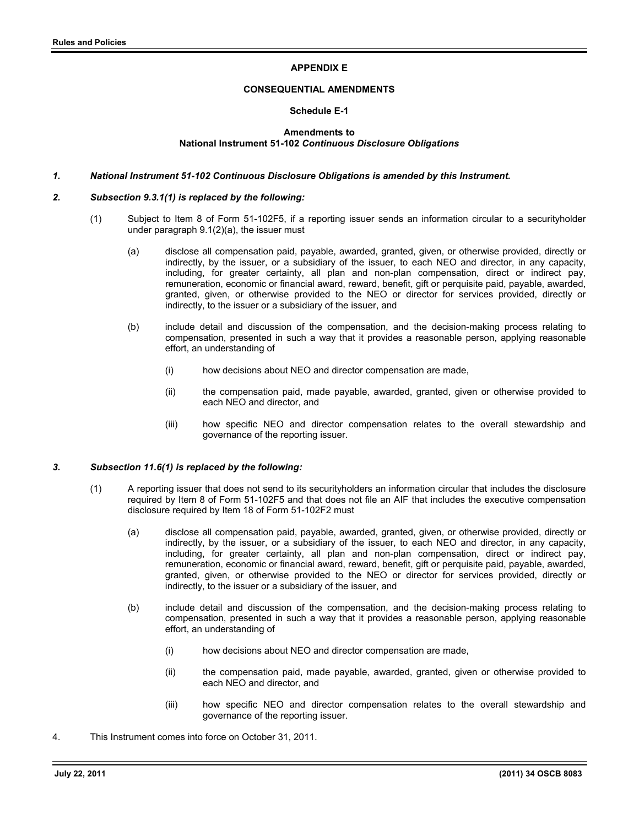## **APPENDIX E**

## **CONSEQUENTIAL AMENDMENTS**

# **Schedule E-1**

#### **Amendments to National Instrument 51-102** *Continuous Disclosure Obligations*

## *1. National Instrument 51-102 Continuous Disclosure Obligations is amended by this Instrument.*

## *2. Subsection 9.3.1(1) is replaced by the following:*

- (1) Subject to Item 8 of Form 51-102F5, if a reporting issuer sends an information circular to a securityholder under paragraph 9.1(2)(a), the issuer must
	- (a) disclose all compensation paid, payable, awarded, granted, given, or otherwise provided, directly or indirectly, by the issuer, or a subsidiary of the issuer, to each NEO and director, in any capacity, including, for greater certainty, all plan and non-plan compensation, direct or indirect pay, remuneration, economic or financial award, reward, benefit, gift or perquisite paid, payable, awarded, granted, given, or otherwise provided to the NEO or director for services provided, directly or indirectly, to the issuer or a subsidiary of the issuer, and
	- (b) include detail and discussion of the compensation, and the decision-making process relating to compensation, presented in such a way that it provides a reasonable person, applying reasonable effort, an understanding of
		- (i) how decisions about NEO and director compensation are made,
		- (ii) the compensation paid, made payable, awarded, granted, given or otherwise provided to each NEO and director, and
		- (iii) how specific NEO and director compensation relates to the overall stewardship and governance of the reporting issuer.

## *3. Subsection 11.6(1) is replaced by the following:*

- (1) A reporting issuer that does not send to its securityholders an information circular that includes the disclosure required by Item 8 of Form 51-102F5 and that does not file an AIF that includes the executive compensation disclosure required by Item 18 of Form 51-102F2 must
	- (a) disclose all compensation paid, payable, awarded, granted, given, or otherwise provided, directly or indirectly, by the issuer, or a subsidiary of the issuer, to each NEO and director, in any capacity, including, for greater certainty, all plan and non-plan compensation, direct or indirect pay, remuneration, economic or financial award, reward, benefit, gift or perquisite paid, payable, awarded, granted, given, or otherwise provided to the NEO or director for services provided, directly or indirectly, to the issuer or a subsidiary of the issuer, and
	- (b) include detail and discussion of the compensation, and the decision-making process relating to compensation, presented in such a way that it provides a reasonable person, applying reasonable effort, an understanding of
		- (i) how decisions about NEO and director compensation are made,
		- (ii) the compensation paid, made payable, awarded, granted, given or otherwise provided to each NEO and director, and
		- (iii) how specific NEO and director compensation relates to the overall stewardship and governance of the reporting issuer.
- 4. This Instrument comes into force on October 31, 2011.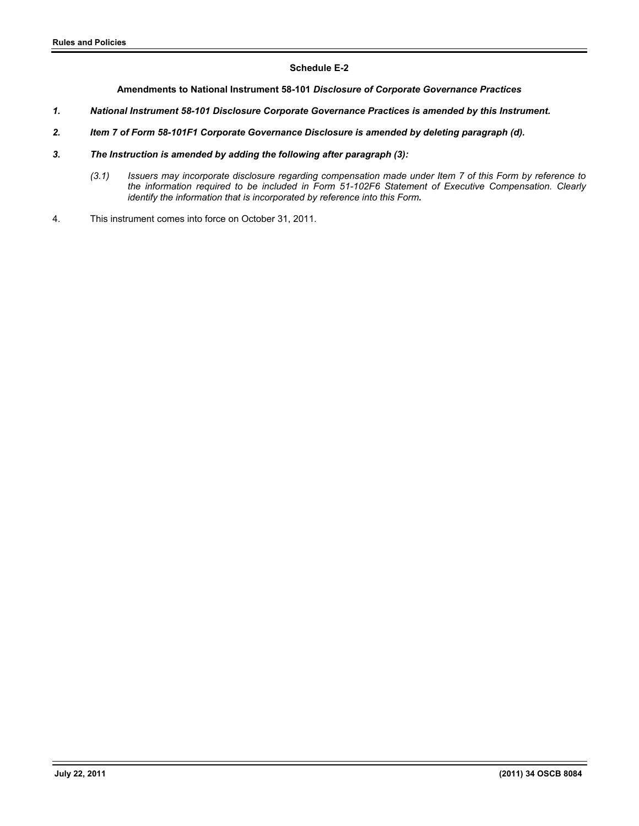## **Schedule E-2**

**Amendments to National Instrument 58-101** *Disclosure of Corporate Governance Practices* 

- *1. National Instrument 58-101 Disclosure Corporate Governance Practices is amended by this Instrument.*
- *2. Item 7 of Form 58-101F1 Corporate Governance Disclosure is amended by deleting paragraph (d).*
- *3. The Instruction is amended by adding the following after paragraph (3):* 
	- *(3.1) Issuers may incorporate disclosure regarding compensation made under Item 7 of this Form by reference to the information required to be included in Form 51-102F6 Statement of Executive Compensation. Clearly identify the information that is incorporated by reference into this Form.*
- 4. This instrument comes into force on October 31, 2011.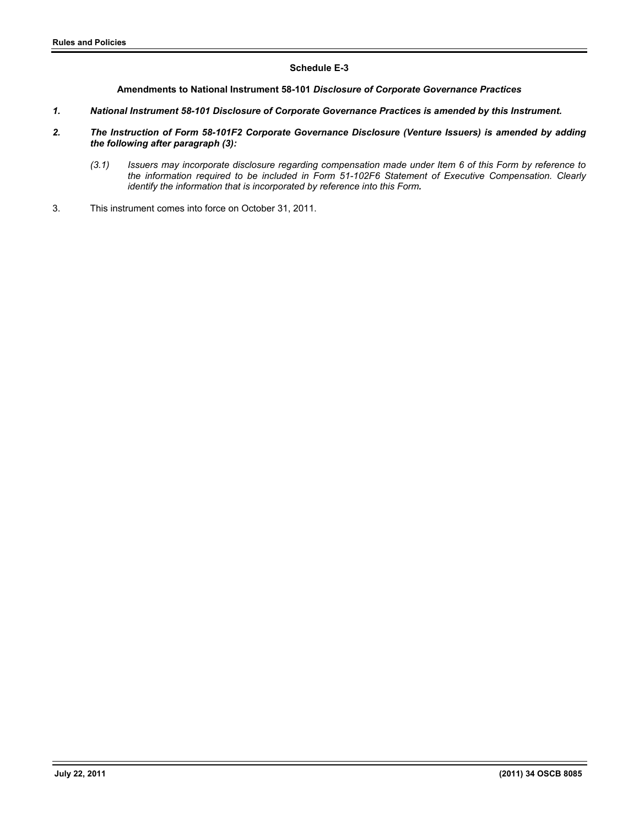## **Schedule E-3**

**Amendments to National Instrument 58-101** *Disclosure of Corporate Governance Practices* 

- *1. National Instrument 58-101 Disclosure of Corporate Governance Practices is amended by this Instrument.*
- *2. The Instruction of Form 58-101F2 Corporate Governance Disclosure (Venture Issuers) is amended by adding the following after paragraph (3):* 
	- *(3.1) Issuers may incorporate disclosure regarding compensation made under Item 6 of this Form by reference to the information required to be included in Form 51-102F6 Statement of Executive Compensation. Clearly identify the information that is incorporated by reference into this Form.*
- 3. This instrument comes into force on October 31, 2011.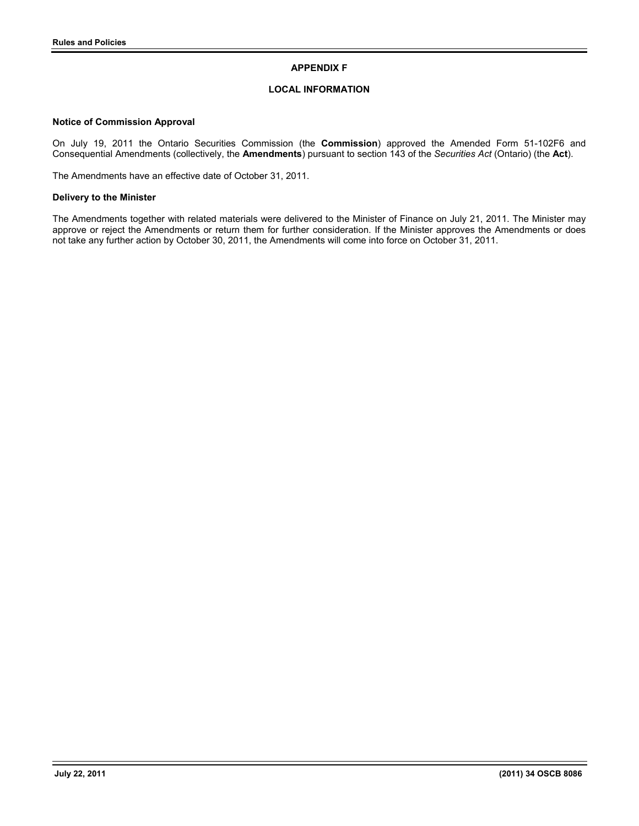## **APPENDIX F**

## **LOCAL INFORMATION**

## **Notice of Commission Approval**

On July 19, 2011 the Ontario Securities Commission (the **Commission**) approved the Amended Form 51-102F6 and Consequential Amendments (collectively, the **Amendments**) pursuant to section 143 of the *Securities Act* (Ontario) (the **Act**).

The Amendments have an effective date of October 31, 2011.

#### **Delivery to the Minister**

The Amendments together with related materials were delivered to the Minister of Finance on July 21, 2011. The Minister may approve or reject the Amendments or return them for further consideration. If the Minister approves the Amendments or does not take any further action by October 30, 2011, the Amendments will come into force on October 31, 2011.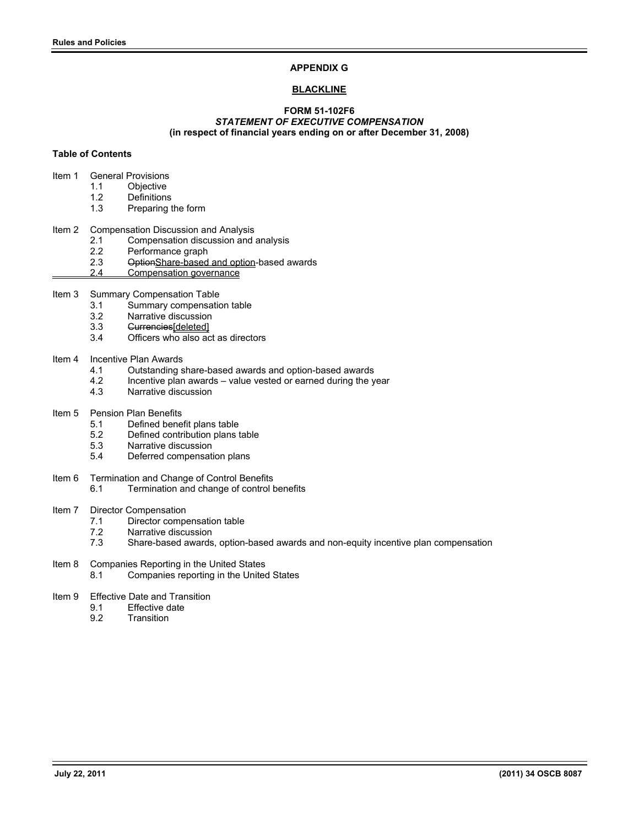# **APPENDIX G**

## **BLACKLINE**

## **FORM 51-102F6**  *STATEMENT OF EXECUTIVE COMPENSATION*  **(in respect of financial years ending on or after December 31, 2008)**

## **Table of Contents**

- Item 1 General Provisions
	- 1.1 Objective
	- 1.2 Definitions<br>1.3 Preparing t
	- Preparing the form
- Item 2 Compensation Discussion and Analysis<br>2.1 Compensation discussion and
	- 2.1 Compensation discussion and analysis<br>2.2 Performance graph
	- Performance graph
	- 2.3 OptionShare-based and option-based awards
	- 2.4 Compensation governance
- Item 3 Summary Compensation Table
	- 3.1 Summary compensation table
	- 3.2 Narrative discussion<br>3.3 <del>Currencies</del> Ideleted
	- 3.3 **Currencies** [deleted]<br>3.4 Officers who also ad
	- Officers who also act as directors
- Item 4 Incentive Plan Awards
	- 4.1 Outstanding share-based awards and option-based awards
	- 4.2 Incentive plan awards value vested or earned during the year<br>4.3 Narrative discussion
	- Narrative discussion
- Item 5 Pension Plan Benefits
	- 5.1 Defined benefit plans table
	- 5.2 Defined contribution plans table
	- 5.3 Narrative discussion
	- 5.4 Deferred compensation plans
- Item 6 Termination and Change of Control Benefits
	- 6.1 Termination and change of control benefits

## Item 7 Director Compensation

- 7.1 Director compensation table
- 7.2 Narrative discussion
- 7.3 Share-based awards, option-based awards and non-equity incentive plan compensation
- Item 8 Companies Reporting in the United States
	- 8.1 Companies reporting in the United States
- Item 9 Effective Date and Transition
	- 9.1 Effective date<br>9.2 Transition
	- **Transition**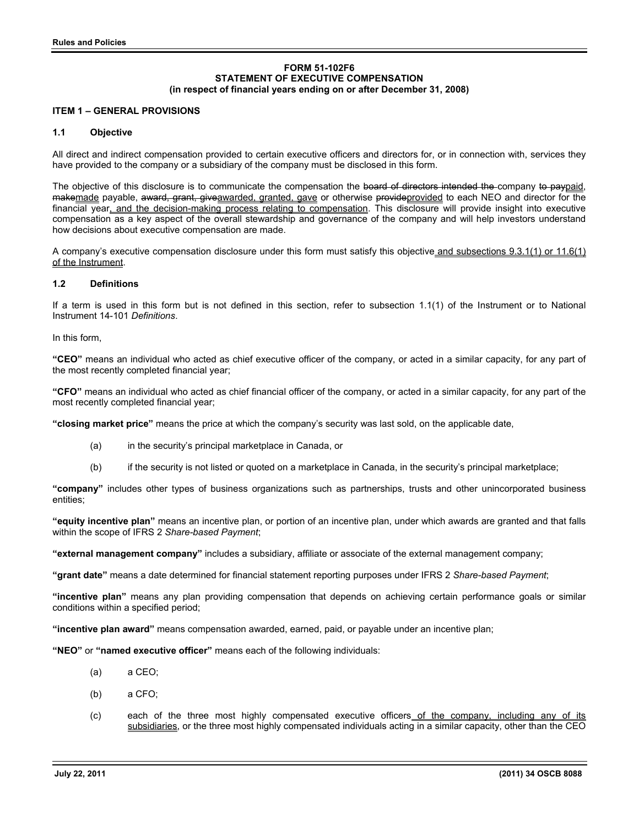## **FORM 51-102F6 STATEMENT OF EXECUTIVE COMPENSATION (in respect of financial years ending on or after December 31, 2008)**

## **ITEM 1 – GENERAL PROVISIONS**

#### **1.1 Objective**

All direct and indirect compensation provided to certain executive officers and directors for, or in connection with, services they have provided to the company or a subsidiary of the company must be disclosed in this form.

The objective of this disclosure is to communicate the compensation the board of directors intended the company to paypaid, makemade payable, award, grant, giveawarded, granted, gave or otherwise provideprovided to each NEO and director for the financial year, and the decision-making process relating to compensation. This disclosure will provide insight into executive compensation as a key aspect of the overall stewardship and governance of the company and will help investors understand how decisions about executive compensation are made.

A company's executive compensation disclosure under this form must satisfy this objective and subsections 9.3.1(1) or 11.6(1) of the Instrument.

## **1.2 Definitions**

If a term is used in this form but is not defined in this section, refer to subsection 1.1(1) of the Instrument or to National Instrument 14-101 *Definitions*.

In this form,

**"CEO"** means an individual who acted as chief executive officer of the company, or acted in a similar capacity, for any part of the most recently completed financial year;

**"CFO"** means an individual who acted as chief financial officer of the company, or acted in a similar capacity, for any part of the most recently completed financial year;

**"closing market price"** means the price at which the company's security was last sold, on the applicable date,

- (a) in the security's principal marketplace in Canada, or
- (b) if the security is not listed or quoted on a marketplace in Canada, in the security's principal marketplace;

**"company"** includes other types of business organizations such as partnerships, trusts and other unincorporated business entities;

**"equity incentive plan"** means an incentive plan, or portion of an incentive plan, under which awards are granted and that falls within the scope of IFRS 2 *Share-based Payment*;

**"external management company"** includes a subsidiary, affiliate or associate of the external management company;

**"grant date"** means a date determined for financial statement reporting purposes under IFRS 2 *Share-based Payment*;

**"incentive plan"** means any plan providing compensation that depends on achieving certain performance goals or similar conditions within a specified period;

**"incentive plan award"** means compensation awarded, earned, paid, or payable under an incentive plan;

**"NEO"** or **"named executive officer"** means each of the following individuals:

- (a) a CEO;
- (b) a CFO;
- (c) each of the three most highly compensated executive officers of the company, including any of its subsidiaries, or the three most highly compensated individuals acting in a similar capacity, other than the CEO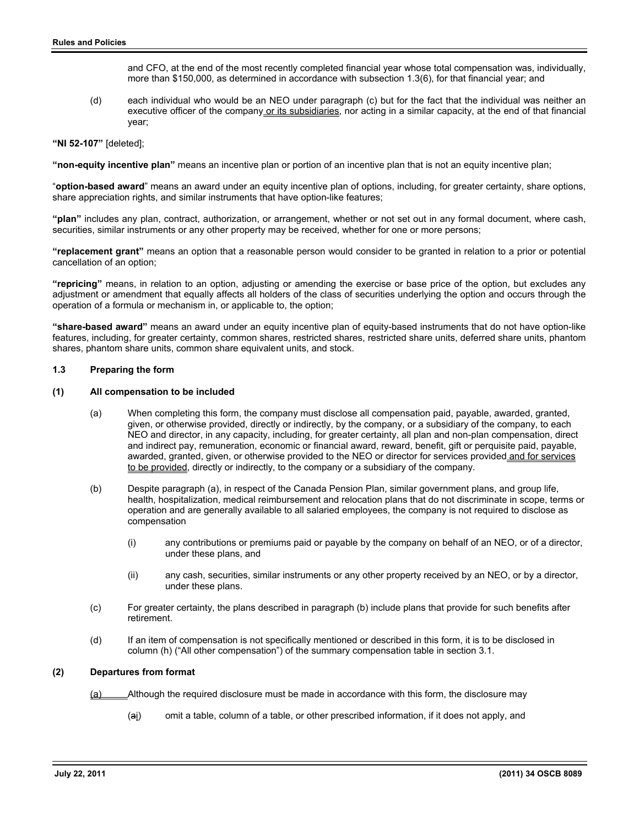and CFO, at the end of the most recently completed financial year whose total compensation was, individually, more than \$150,000, as determined in accordance with subsection 1.3(6), for that financial year; and

(d) each individual who would be an NEO under paragraph (c) but for the fact that the individual was neither an executive officer of the company or its subsidiaries, nor acting in a similar capacity, at the end of that financial year;

## **"NI 52-107"** [deleted];

**"non-equity incentive plan"** means an incentive plan or portion of an incentive plan that is not an equity incentive plan;

"**option-based award**" means an award under an equity incentive plan of options, including, for greater certainty, share options, share appreciation rights, and similar instruments that have option-like features;

**"plan"** includes any plan, contract, authorization, or arrangement, whether or not set out in any formal document, where cash, securities, similar instruments or any other property may be received, whether for one or more persons;

**"replacement grant"** means an option that a reasonable person would consider to be granted in relation to a prior or potential cancellation of an option;

**"repricing"** means, in relation to an option, adjusting or amending the exercise or base price of the option, but excludes any adjustment or amendment that equally affects all holders of the class of securities underlying the option and occurs through the operation of a formula or mechanism in, or applicable to, the option;

**"share-based award"** means an award under an equity incentive plan of equity-based instruments that do not have option-like features, including, for greater certainty, common shares, restricted shares, restricted share units, deferred share units, phantom shares, phantom share units, common share equivalent units, and stock.

## **1.3 Preparing the form**

## **(1) All compensation to be included**

- (a) When completing this form, the company must disclose all compensation paid, payable, awarded, granted, given, or otherwise provided, directly or indirectly, by the company, or a subsidiary of the company, to each NEO and director, in any capacity, including, for greater certainty, all plan and non-plan compensation, direct and indirect pay, remuneration, economic or financial award, reward, benefit, gift or perquisite paid, payable, awarded, granted, given, or otherwise provided to the NEO or director for services provided and for services to be provided, directly or indirectly, to the company or a subsidiary of the company.
- (b) Despite paragraph (a), in respect of the Canada Pension Plan, similar government plans, and group life, health, hospitalization, medical reimbursement and relocation plans that do not discriminate in scope, terms or operation and are generally available to all salaried employees, the company is not required to disclose as compensation
	- (i) any contributions or premiums paid or payable by the company on behalf of an NEO, or of a director, under these plans, and
	- (ii) any cash, securities, similar instruments or any other property received by an NEO, or by a director, under these plans.
- (c) For greater certainty, the plans described in paragraph (b) include plans that provide for such benefits after retirement.
- (d) If an item of compensation is not specifically mentioned or described in this form, it is to be disclosed in column (h) ("All other compensation") of the summary compensation table in section 3.1.

## **(2) Departures from format**

- (a) Although the required disclosure must be made in accordance with this form, the disclosure may
	- (ai) omit a table, column of a table, or other prescribed information, if it does not apply, and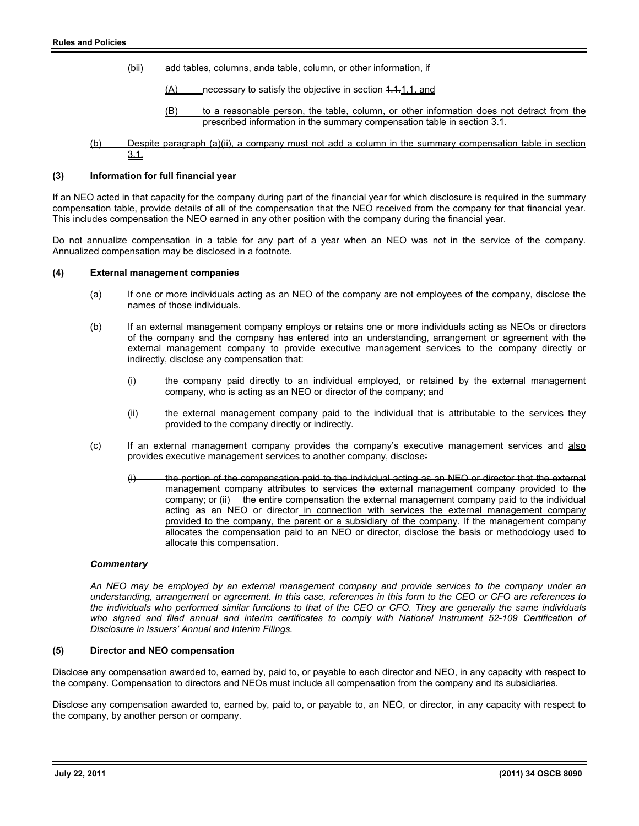- (bii) add tables, columns, anda table, column, or other information, if
	- $(A)$  necessary to satisfy the objective in section  $4.1.1$ , and
	- (B) to a reasonable person, the table, column, or other information does not detract from the prescribed information in the summary compensation table in section 3.1.
- (b) Despite paragraph (a)(ii), a company must not add a column in the summary compensation table in section 3.1.

## **(3) Information for full financial year**

If an NEO acted in that capacity for the company during part of the financial year for which disclosure is required in the summary compensation table, provide details of all of the compensation that the NEO received from the company for that financial year. This includes compensation the NEO earned in any other position with the company during the financial year.

Do not annualize compensation in a table for any part of a year when an NEO was not in the service of the company. Annualized compensation may be disclosed in a footnote.

## **(4) External management companies**

- (a) If one or more individuals acting as an NEO of the company are not employees of the company, disclose the names of those individuals.
- (b) If an external management company employs or retains one or more individuals acting as NEOs or directors of the company and the company has entered into an understanding, arrangement or agreement with the external management company to provide executive management services to the company directly or indirectly, disclose any compensation that:
	- (i) the company paid directly to an individual employed, or retained by the external management company, who is acting as an NEO or director of the company; and
	- (ii) the external management company paid to the individual that is attributable to the services they provided to the company directly or indirectly.
- (c) If an external management company provides the company's executive management services and also provides executive management services to another company, disclose:
	- (i) the portion of the compensation paid to the individual acting as an NEO or director that the external management company attributes to services the external management company provided to the company; or (ii) - the entire compensation the external management company paid to the individual acting as an NEO or director in connection with services the external management company provided to the company, the parent or a subsidiary of the company. If the management company allocates the compensation paid to an NEO or director, disclose the basis or methodology used to allocate this compensation.

#### *Commentary*

*An NEO may be employed by an external management company and provide services to the company under an understanding, arrangement or agreement. In this case, references in this form to the CEO or CFO are references to the individuals who performed similar functions to that of the CEO or CFO. They are generally the same individuals*  who signed and filed annual and interim certificates to comply with National Instrument 52-109 Certification of *Disclosure in Issuers' Annual and Interim Filings.* 

## **(5) Director and NEO compensation**

Disclose any compensation awarded to, earned by, paid to, or payable to each director and NEO, in any capacity with respect to the company. Compensation to directors and NEOs must include all compensation from the company and its subsidiaries.

Disclose any compensation awarded to, earned by, paid to, or payable to, an NEO, or director, in any capacity with respect to the company, by another person or company.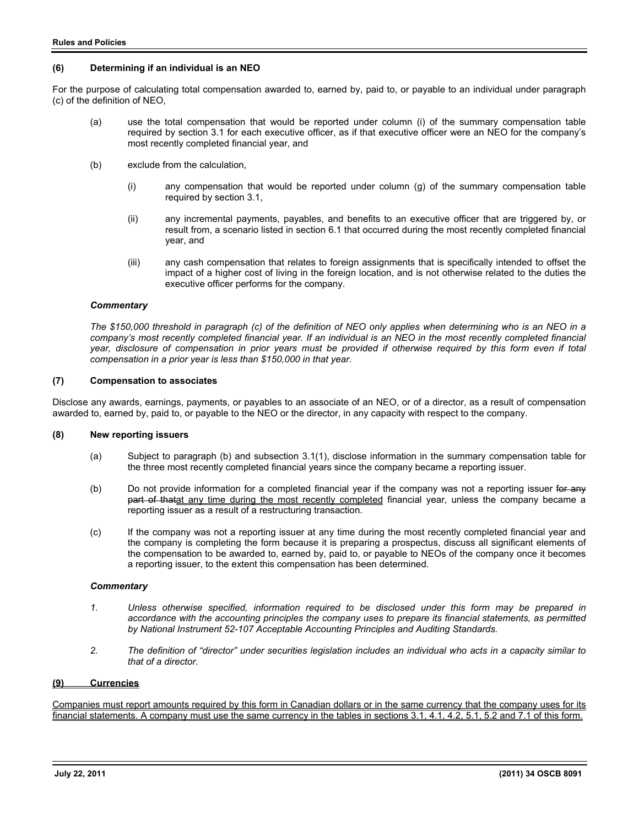## **(6) Determining if an individual is an NEO**

For the purpose of calculating total compensation awarded to, earned by, paid to, or payable to an individual under paragraph (c) of the definition of NEO,

- (a) use the total compensation that would be reported under column (i) of the summary compensation table required by section 3.1 for each executive officer, as if that executive officer were an NEO for the company's most recently completed financial year, and
- (b) exclude from the calculation,
	- (i) any compensation that would be reported under column (g) of the summary compensation table required by section 3.1,
	- (ii) any incremental payments, payables, and benefits to an executive officer that are triggered by, or result from, a scenario listed in section 6.1 that occurred during the most recently completed financial year, and
	- (iii) any cash compensation that relates to foreign assignments that is specifically intended to offset the impact of a higher cost of living in the foreign location, and is not otherwise related to the duties the executive officer performs for the company.

#### *Commentary*

*The \$150,000 threshold in paragraph (c) of the definition of NEO only applies when determining who is an NEO in a company's most recently completed financial year. If an individual is an NEO in the most recently completed financial year, disclosure of compensation in prior years must be provided if otherwise required by this form even if total compensation in a prior year is less than \$150,000 in that year.* 

## **(7) Compensation to associates**

Disclose any awards, earnings, payments, or payables to an associate of an NEO, or of a director, as a result of compensation awarded to, earned by, paid to, or payable to the NEO or the director, in any capacity with respect to the company.

#### **(8) New reporting issuers**

- (a) Subject to paragraph (b) and subsection 3.1(1), disclose information in the summary compensation table for the three most recently completed financial years since the company became a reporting issuer.
- (b) Do not provide information for a completed financial year if the company was not a reporting issuer for any part of thatat any time during the most recently completed financial year, unless the company became a reporting issuer as a result of a restructuring transaction.
- (c) If the company was not a reporting issuer at any time during the most recently completed financial year and the company is completing the form because it is preparing a prospectus, discuss all significant elements of the compensation to be awarded to, earned by, paid to, or payable to NEOs of the company once it becomes a reporting issuer, to the extent this compensation has been determined.

#### *Commentary*

- *1. Unless otherwise specified, information required to be disclosed under this form may be prepared in accordance with the accounting principles the company uses to prepare its financial statements, as permitted by National Instrument 52-107 Acceptable Accounting Principles and Auditing Standards.*
- *2. The definition of "director" under securities legislation includes an individual who acts in a capacity similar to that of a director.*

## **(9) Currencies**

Companies must report amounts required by this form in Canadian dollars or in the same currency that the company uses for its financial statements. A company must use the same currency in the tables in sections 3.1, 4.1, 4.2, 5.1, 5.2 and 7.1 of this form.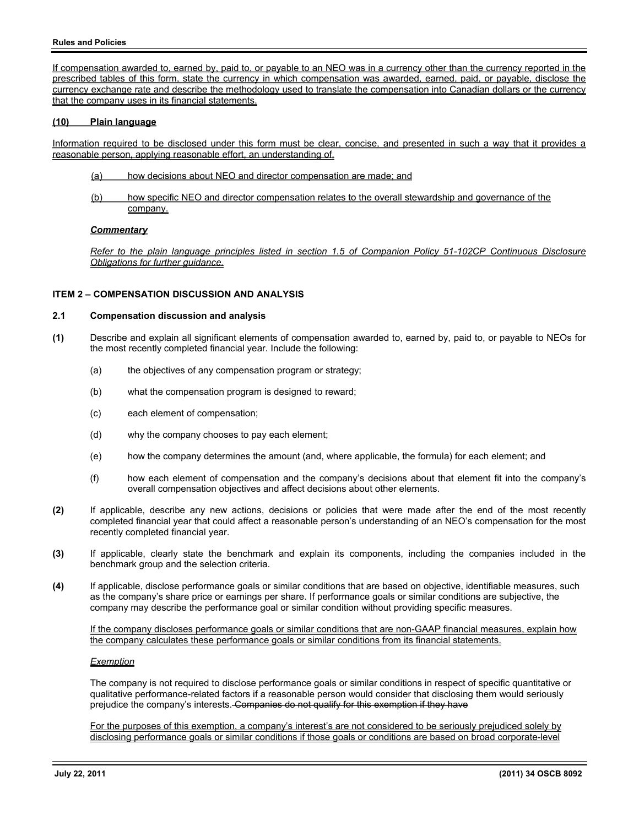If compensation awarded to, earned by, paid to, or payable to an NEO was in a currency other than the currency reported in the prescribed tables of this form, state the currency in which compensation was awarded, earned, paid, or payable, disclose the currency exchange rate and describe the methodology used to translate the compensation into Canadian dollars or the currency that the company uses in its financial statements.

## **(10) Plain language**

Information required to be disclosed under this form must be clear, concise, and presented in such a way that it provides a reasonable person, applying reasonable effort, an understanding of,

- (a) how decisions about NEO and director compensation are made; and
- (b) how specific NEO and director compensation relates to the overall stewardship and governance of the company.

## *Commentary*

*Refer to the plain language principles listed in section 1.5 of Companion Policy 51-102CP Continuous Disclosure Obligations for further guidance.*

## **ITEM 2 – COMPENSATION DISCUSSION AND ANALYSIS**

## **2.1 Compensation discussion and analysis**

- **(1)** Describe and explain all significant elements of compensation awarded to, earned by, paid to, or payable to NEOs for the most recently completed financial year. Include the following:
	- (a) the objectives of any compensation program or strategy;
	- (b) what the compensation program is designed to reward;
	- (c) each element of compensation;
	- (d) why the company chooses to pay each element;
	- (e) how the company determines the amount (and, where applicable, the formula) for each element; and
	- (f) how each element of compensation and the company's decisions about that element fit into the company's overall compensation objectives and affect decisions about other elements.
- **(2)** If applicable, describe any new actions, decisions or policies that were made after the end of the most recently completed financial year that could affect a reasonable person's understanding of an NEO's compensation for the most recently completed financial year.
- **(3)** If applicable, clearly state the benchmark and explain its components, including the companies included in the benchmark group and the selection criteria.
- **(4)** If applicable, disclose performance goals or similar conditions that are based on objective, identifiable measures, such as the company's share price or earnings per share. If performance goals or similar conditions are subjective, the company may describe the performance goal or similar condition without providing specific measures.

If the company discloses performance goals or similar conditions that are non-GAAP financial measures, explain how the company calculates these performance goals or similar conditions from its financial statements.

#### *Exemption*

The company is not required to disclose performance goals or similar conditions in respect of specific quantitative or qualitative performance-related factors if a reasonable person would consider that disclosing them would seriously prejudice the company's interests. Companies do not qualify for this exemption if they have

For the purposes of this exemption, a company's interest's are not considered to be seriously prejudiced solely by disclosing performance goals or similar conditions if those goals or conditions are based on broad corporate-level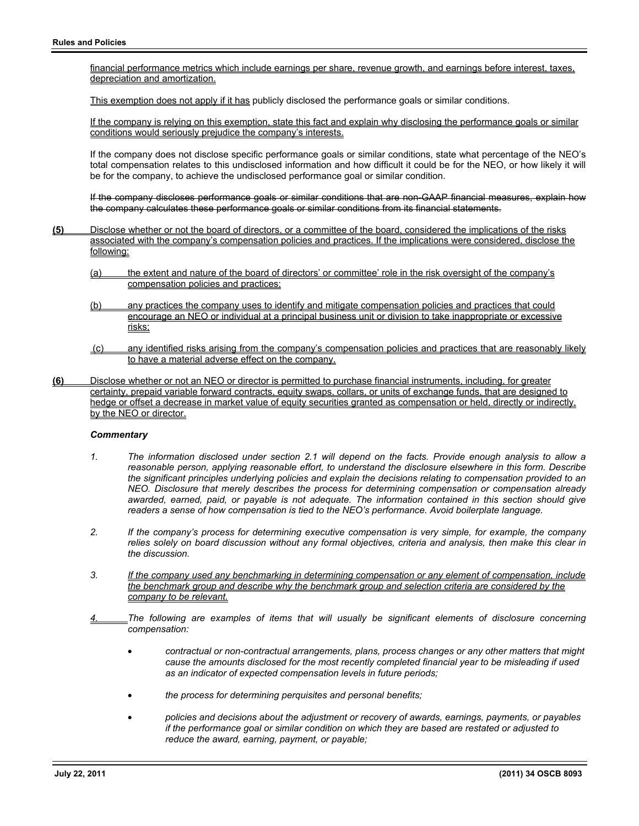financial performance metrics which include earnings per share, revenue growth, and earnings before interest, taxes, depreciation and amortization.

This exemption does not apply if it has publicly disclosed the performance goals or similar conditions.

If the company is relying on this exemption, state this fact and explain why disclosing the performance goals or similar conditions would seriously prejudice the company's interests.

If the company does not disclose specific performance goals or similar conditions, state what percentage of the NEO's total compensation relates to this undisclosed information and how difficult it could be for the NEO, or how likely it will be for the company, to achieve the undisclosed performance goal or similar condition.

If the company discloses performance goals or similar conditions that are non-GAAP financial measures, explain how the company calculates these performance goals or similar conditions from its financial statements.

- **(5)** Disclose whether or not the board of directors, or a committee of the board, considered the implications of the risks associated with the company's compensation policies and practices. If the implications were considered, disclose the following:
	- (a) the extent and nature of the board of directors' or committee' role in the risk oversight of the company's compensation policies and practices;
	- (b) any practices the company uses to identify and mitigate compensation policies and practices that could encourage an NEO or individual at a principal business unit or division to take inappropriate or excessive risks;
	- (c) any identified risks arising from the company's compensation policies and practices that are reasonably likely to have a material adverse effect on the company.
- **(6)** Disclose whether or not an NEO or director is permitted to purchase financial instruments, including, for greater certainty, prepaid variable forward contracts, equity swaps, collars, or units of exchange funds, that are designed to hedge or offset a decrease in market value of equity securities granted as compensation or held, directly or indirectly, by the NEO or director.

#### *Commentary*

- *1. The information disclosed under section 2.1 will depend on the facts. Provide enough analysis to allow a reasonable person, applying reasonable effort, to understand the disclosure elsewhere in this form. Describe the significant principles underlying policies and explain the decisions relating to compensation provided to an NEO. Disclosure that merely describes the process for determining compensation or compensation already awarded, earned, paid, or payable is not adequate. The information contained in this section should give readers a sense of how compensation is tied to the NEO's performance. Avoid boilerplate language.*
- *2. If the company's process for determining executive compensation is very simple, for example, the company relies solely on board discussion without any formal objectives, criteria and analysis, then make this clear in the discussion.*
- *3. If the company used any benchmarking in determining compensation or any element of compensation, include the benchmark group and describe why the benchmark group and selection criteria are considered by the company to be relevant.*
- *4. The following are examples of items that will usually be significant elements of disclosure concerning compensation:* 
	- *contractual or non-contractual arrangements, plans, process changes or any other matters that might cause the amounts disclosed for the most recently completed financial year to be misleading if used as an indicator of expected compensation levels in future periods;*
	- *the process for determining perquisites and personal benefits;*
	- *policies and decisions about the adjustment or recovery of awards, earnings, payments, or payables if the performance goal or similar condition on which they are based are restated or adjusted to reduce the award, earning, payment, or payable;*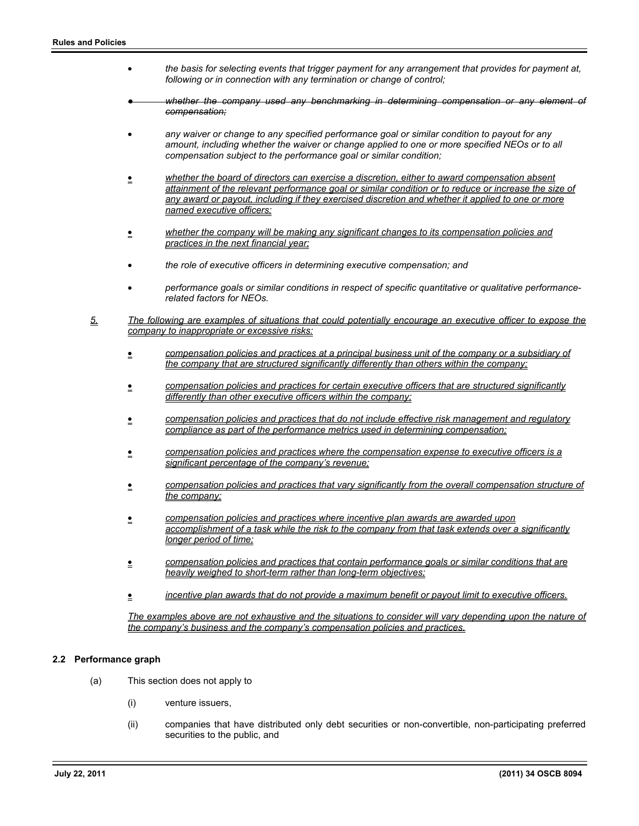- *the basis for selecting events that trigger payment for any arrangement that provides for payment at, following or in connection with any termination or change of control;*
- *● whether the company used any benchmarking in determining compensation or any element of compensation;*
- *any waiver or change to any specified performance goal or similar condition to payout for any*  amount, including whether the waiver or change applied to one or more specified NEOs or to all *compensation subject to the performance goal or similar condition;*
- *whether the board of directors can exercise a discretion, either to award compensation absent attainment of the relevant performance goal or similar condition or to reduce or increase the size of any award or payout, including if they exercised discretion and whether it applied to one or more named executive officers;*
- *whether the company will be making any significant changes to its compensation policies and practices in the next financial year;*
- *the role of executive officers in determining executive compensation; and*
- *performance goals or similar conditions in respect of specific quantitative or qualitative performancerelated factors for NEOs.*
- *5. The following are examples of situations that could potentially encourage an executive officer to expose the company to inappropriate or excessive risks:*
	- *compensation policies and practices at a principal business unit of the company or a subsidiary of the company that are structured significantly differently than others within the company;*
	- *compensation policies and practices for certain executive officers that are structured significantly differently than other executive officers within the company;*
	- *compensation policies and practices that do not include effective risk management and regulatory compliance as part of the performance metrics used in determining compensation;*
	- *compensation policies and practices where the compensation expense to executive officers is a significant percentage of the company's revenue;*
	- *compensation policies and practices that vary significantly from the overall compensation structure of the company;*
	- *compensation policies and practices where incentive plan awards are awarded upon accomplishment of a task while the risk to the company from that task extends over a significantly longer period of time;*
	- *compensation policies and practices that contain performance goals or similar conditions that are heavily weighed to short-term rather than long-term objectives;*
	- *incentive plan awards that do not provide a maximum benefit or payout limit to executive officers.*

*The examples above are not exhaustive and the situations to consider will vary depending upon the nature of the company's business and the company's compensation policies and practices.* 

## **2.2 Performance graph**

- (a) This section does not apply to
	- (i) venture issuers,
	- (ii) companies that have distributed only debt securities or non-convertible, non-participating preferred securities to the public, and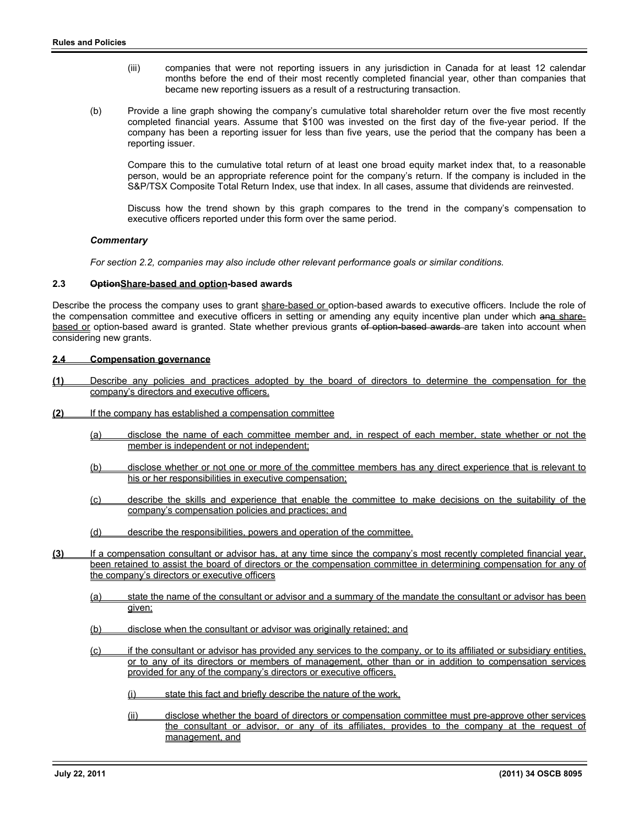- (iii) companies that were not reporting issuers in any jurisdiction in Canada for at least 12 calendar months before the end of their most recently completed financial year, other than companies that became new reporting issuers as a result of a restructuring transaction.
- (b) Provide a line graph showing the company's cumulative total shareholder return over the five most recently completed financial years. Assume that \$100 was invested on the first day of the five-year period. If the company has been a reporting issuer for less than five years, use the period that the company has been a reporting issuer.

Compare this to the cumulative total return of at least one broad equity market index that, to a reasonable person, would be an appropriate reference point for the company's return. If the company is included in the S&P/TSX Composite Total Return Index, use that index. In all cases, assume that dividends are reinvested.

Discuss how the trend shown by this graph compares to the trend in the company's compensation to executive officers reported under this form over the same period.

## *Commentary*

*For section 2.2, companies may also include other relevant performance goals or similar conditions.* 

## **2.3 OptionShare-based and option-based awards**

Describe the process the company uses to grant share-based or option-based awards to executive officers. Include the role of the compensation committee and executive officers in setting or amending any equity incentive plan under which and sharebased or option-based award is granted. State whether previous grants of option-based awards are taken into account when considering new grants.

## **2.4 Compensation governance**

- **(1)** Describe any policies and practices adopted by the board of directors to determine the compensation for the company's directors and executive officers.
- **(2)** If the company has established a compensation committee
	- (a) disclose the name of each committee member and, in respect of each member, state whether or not the member is independent or not independent;
	- (b) disclose whether or not one or more of the committee members has any direct experience that is relevant to his or her responsibilities in executive compensation;
	- (c) describe the skills and experience that enable the committee to make decisions on the suitability of the company's compensation policies and practices; and
	- (d) describe the responsibilities, powers and operation of the committee.
- **(3)** If a compensation consultant or advisor has, at any time since the company's most recently completed financial year, been retained to assist the board of directors or the compensation committee in determining compensation for any of the company's directors or executive officers
	- (a) state the name of the consultant or advisor and a summary of the mandate the consultant or advisor has been given;
	- (b) disclose when the consultant or advisor was originally retained; and
	- (c) if the consultant or advisor has provided any services to the company, or to its affiliated or subsidiary entities, or to any of its directors or members of management, other than or in addition to compensation services provided for any of the company's directors or executive officers,
		- (i) state this fact and briefly describe the nature of the work,
		- (ii) disclose whether the board of directors or compensation committee must pre-approve other services the consultant or advisor, or any of its affiliates, provides to the company at the request of management, and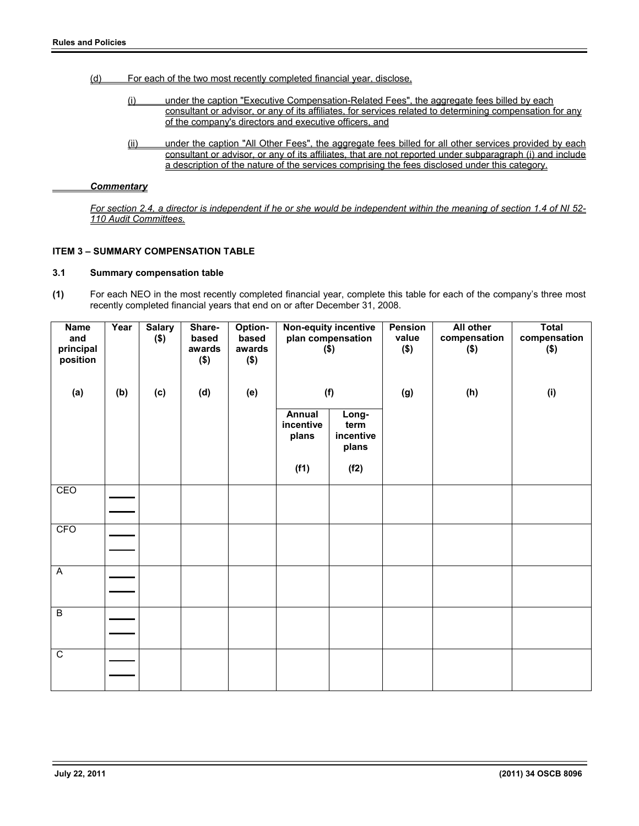## (d) For each of the two most recently completed financial year, disclose,

- (i) under the caption "Executive Compensation-Related Fees", the aggregate fees billed by each consultant or advisor, or any of its affiliates, for services related to determining compensation for any of the company's directors and executive officers, and
- (ii) under the caption "All Other Fees", the aggregate fees billed for all other services provided by each consultant or advisor, or any of its affiliates, that are not reported under subparagraph (i) and include a description of the nature of the services comprising the fees disclosed under this category.

## *Commentary*

*For section 2.4, a director is independent if he or she would be independent within the meaning of section 1.4 of NI 52- 110 Audit Committees.*

## **ITEM 3 – SUMMARY COMPENSATION TABLE**

## **3.1 Summary compensation table**

**(1)** For each NEO in the most recently completed financial year, complete this table for each of the company's three most recently completed financial years that end on or after December 31, 2008.

| <b>Name</b><br>and<br>principal<br>position | Year | <b>Salary</b><br>$($ \$) | Share-<br>based<br>awards<br>\$) | Option-<br>based<br>awards<br>$($ \$) | Non-equity incentive<br>plan compensation<br>$($ \$) |                                     | <b>Pension</b><br>value<br>$($ \$) | All other<br>compensation<br>$($ \$) | <b>Total</b><br>compensation<br>$($ \$) |
|---------------------------------------------|------|--------------------------|----------------------------------|---------------------------------------|------------------------------------------------------|-------------------------------------|------------------------------------|--------------------------------------|-----------------------------------------|
| (a)                                         | (b)  | (c)                      | (d)                              | (e)                                   | (f)                                                  |                                     | (g)                                | (h)                                  | (i)                                     |
|                                             |      |                          |                                  |                                       | Annual<br>incentive<br>plans                         | Long-<br>term<br>incentive<br>plans |                                    |                                      |                                         |
|                                             |      |                          |                                  |                                       | (f1)                                                 | (f2)                                |                                    |                                      |                                         |
| CEO                                         |      |                          |                                  |                                       |                                                      |                                     |                                    |                                      |                                         |
|                                             |      |                          |                                  |                                       |                                                      |                                     |                                    |                                      |                                         |
| <b>CFO</b>                                  |      |                          |                                  |                                       |                                                      |                                     |                                    |                                      |                                         |
| $\overline{A}$                              |      |                          |                                  |                                       |                                                      |                                     |                                    |                                      |                                         |
|                                             |      |                          |                                  |                                       |                                                      |                                     |                                    |                                      |                                         |
| $\overline{B}$                              |      |                          |                                  |                                       |                                                      |                                     |                                    |                                      |                                         |
|                                             |      |                          |                                  |                                       |                                                      |                                     |                                    |                                      |                                         |
| $\overline{C}$                              |      |                          |                                  |                                       |                                                      |                                     |                                    |                                      |                                         |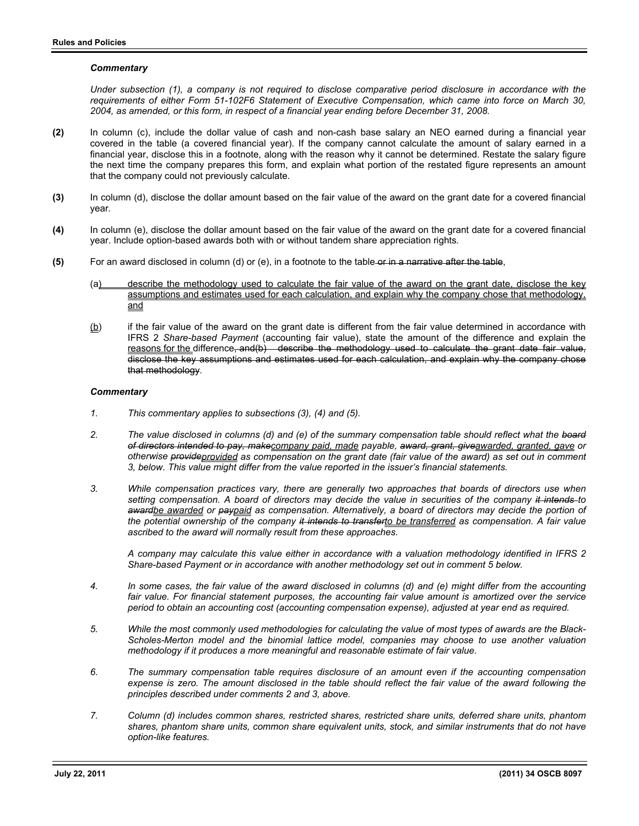## *Commentary*

*Under subsection (1), a company is not required to disclose comparative period disclosure in accordance with the requirements of either Form 51-102F6 Statement of Executive Compensation, which came into force on March 30, 2004, as amended, or this form, in respect of a financial year ending before December 31, 2008.*

- **(2)** In column (c), include the dollar value of cash and non-cash base salary an NEO earned during a financial year covered in the table (a covered financial year). If the company cannot calculate the amount of salary earned in a financial year, disclose this in a footnote, along with the reason why it cannot be determined. Restate the salary figure the next time the company prepares this form, and explain what portion of the restated figure represents an amount that the company could not previously calculate.
- **(3)** In column (d), disclose the dollar amount based on the fair value of the award on the grant date for a covered financial year*.*
- **(4)** In column (e), disclose the dollar amount based on the fair value of the award on the grant date for a covered financial year. Include option-based awards both with or without tandem share appreciation rights*.*
- **(5)** For an award disclosed in column (d) or (e), in a footnote to the table-or-in a narrative after the table,
	- (a) describe the methodology used to calculate the fair value of the award on the grant date, disclose the key assumptions and estimates used for each calculation, and explain why the company chose that methodology, and
	- $(b)$  if the fair value of the award on the grant date is different from the fair value determined in accordance with IFRS 2 *Share-based Payment* (accounting fair value), state the amount of the difference and explain the reasons for the difference, and(b) describe the methodology used to calculate the grant date fair value, disclose the key assumptions and estimates used for each calculation, and explain why the company chose that methodology.

## *Commentary*

- *1. This commentary applies to subsections (3), (4) and (5).*
- *2. The value disclosed in columns (d) and (e) of the summary compensation table should reflect what the board of directors intended to pay, makecompany paid, made payable, award, grant, giveawarded, granted, gave or otherwise provideprovided as compensation on the grant date (fair value of the award) as set out in comment 3, below. This value might differ from the value reported in the issuer's financial statements.*
- *3. While compensation practices vary, there are generally two approaches that boards of directors use when setting compensation. A board of directors may decide the value in securities of the company it intends to awardbe awarded or paypaid as compensation. Alternatively, a board of directors may decide the portion of the potential ownership of the company it intends to transferto be transferred as compensation. A fair value ascribed to the award will normally result from these approaches.*

*A company may calculate this value either in accordance with a valuation methodology identified in IFRS 2 Share-based Payment or in accordance with another methodology set out in comment 5 below.*

- *4. In some cases, the fair value of the award disclosed in columns (d) and (e) might differ from the accounting*  fair value. For financial statement purposes, the accounting fair value amount is amortized over the service *period to obtain an accounting cost (accounting compensation expense), adjusted at year end as required.*
- *5. While the most commonly used methodologies for calculating the value of most types of awards are the Black-Scholes-Merton model and the binomial lattice model, companies may choose to use another valuation methodology if it produces a more meaningful and reasonable estimate of fair value.*
- *6. The summary compensation table requires disclosure of an amount even if the accounting compensation*  expense is zero. The amount disclosed in the table should reflect the fair value of the award following the *principles described under comments 2 and 3, above.*
- *7. Column (d) includes common shares, restricted shares, restricted share units, deferred share units, phantom shares, phantom share units, common share equivalent units, stock, and similar instruments that do not have option-like features.*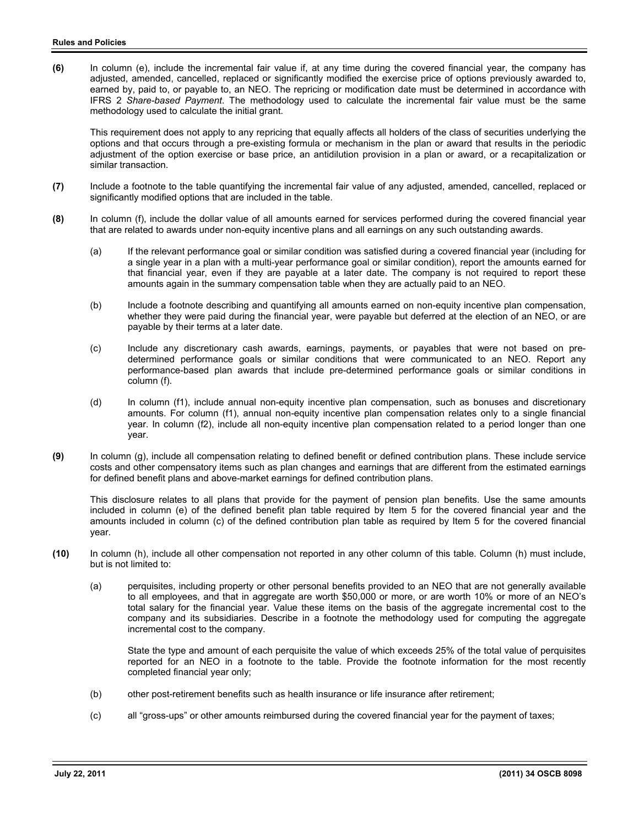**(6)** In column (e), include the incremental fair value if, at any time during the covered financial year, the company has adjusted, amended, cancelled, replaced or significantly modified the exercise price of options previously awarded to, earned by, paid to, or payable to, an NEO. The repricing or modification date must be determined in accordance with IFRS 2 *Share-based Payment*. The methodology used to calculate the incremental fair value must be the same methodology used to calculate the initial grant.

This requirement does not apply to any repricing that equally affects all holders of the class of securities underlying the options and that occurs through a pre-existing formula or mechanism in the plan or award that results in the periodic adjustment of the option exercise or base price, an antidilution provision in a plan or award, or a recapitalization or similar transaction.

- **(7)** Include a footnote to the table quantifying the incremental fair value of any adjusted, amended, cancelled, replaced or significantly modified options that are included in the table.
- **(8)** In column (f), include the dollar value of all amounts earned for services performed during the covered financial year that are related to awards under non-equity incentive plans and all earnings on any such outstanding awards.
	- (a) If the relevant performance goal or similar condition was satisfied during a covered financial year (including for a single year in a plan with a multi-year performance goal or similar condition), report the amounts earned for that financial year, even if they are payable at a later date. The company is not required to report these amounts again in the summary compensation table when they are actually paid to an NEO.
	- (b) Include a footnote describing and quantifying all amounts earned on non-equity incentive plan compensation, whether they were paid during the financial year, were payable but deferred at the election of an NEO, or are payable by their terms at a later date.
	- (c) Include any discretionary cash awards, earnings, payments, or payables that were not based on predetermined performance goals or similar conditions that were communicated to an NEO. Report any performance-based plan awards that include pre-determined performance goals or similar conditions in column (f).
	- (d) In column (f1), include annual non-equity incentive plan compensation, such as bonuses and discretionary amounts. For column (f1), annual non-equity incentive plan compensation relates only to a single financial year. In column (f2), include all non-equity incentive plan compensation related to a period longer than one year.
- **(9)** In column (g), include all compensation relating to defined benefit or defined contribution plans. These include service costs and other compensatory items such as plan changes and earnings that are different from the estimated earnings for defined benefit plans and above-market earnings for defined contribution plans.

This disclosure relates to all plans that provide for the payment of pension plan benefits. Use the same amounts included in column (e) of the defined benefit plan table required by Item 5 for the covered financial year and the amounts included in column (c) of the defined contribution plan table as required by Item 5 for the covered financial year.

- **(10)** In column (h), include all other compensation not reported in any other column of this table. Column (h) must include, but is not limited to:
	- (a) perquisites, including property or other personal benefits provided to an NEO that are not generally available to all employees, and that in aggregate are worth \$50,000 or more, or are worth 10% or more of an NEO's total salary for the financial year. Value these items on the basis of the aggregate incremental cost to the company and its subsidiaries. Describe in a footnote the methodology used for computing the aggregate incremental cost to the company.

State the type and amount of each perquisite the value of which exceeds 25% of the total value of perquisites reported for an NEO in a footnote to the table. Provide the footnote information for the most recently completed financial year only;

- (b) other post-retirement benefits such as health insurance or life insurance after retirement;
- (c) all "gross-ups" or other amounts reimbursed during the covered financial year for the payment of taxes;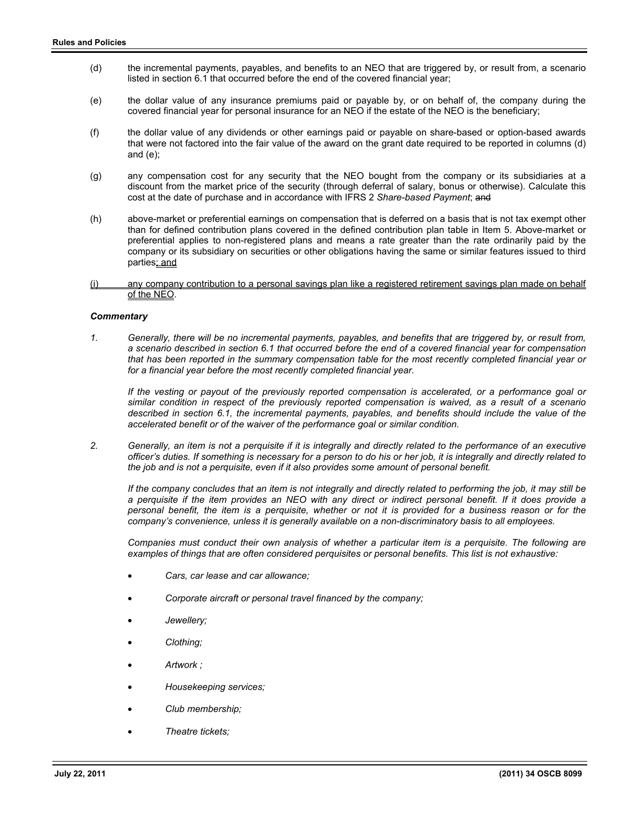- (d) the incremental payments, payables, and benefits to an NEO that are triggered by, or result from, a scenario listed in section 6.1 that occurred before the end of the covered financial year;
- (e) the dollar value of any insurance premiums paid or payable by, or on behalf of, the company during the covered financial year for personal insurance for an NEO if the estate of the NEO is the beneficiary;
- (f) the dollar value of any dividends or other earnings paid or payable on share-based or option-based awards that were not factored into the fair value of the award on the grant date required to be reported in columns (d) and (e);
- (g) any compensation cost for any security that the NEO bought from the company or its subsidiaries at a discount from the market price of the security (through deferral of salary, bonus or otherwise). Calculate this cost at the date of purchase and in accordance with IFRS 2 *Share-based Payment*; and
- (h) above-market or preferential earnings on compensation that is deferred on a basis that is not tax exempt other than for defined contribution plans covered in the defined contribution plan table in Item 5. Above-market or preferential applies to non-registered plans and means a rate greater than the rate ordinarily paid by the company or its subsidiary on securities or other obligations having the same or similar features issued to third parties; and
- (i) any company contribution to a personal savings plan like a registered retirement savings plan made on behalf of the NEO.

## *Commentary*

*1. Generally, there will be no incremental payments, payables, and benefits that are triggered by, or result from, a scenario described in section 6.1 that occurred before the end of a covered financial year for compensation that has been reported in the summary compensation table for the most recently completed financial year or for a financial year before the most recently completed financial year.* 

*If the vesting or payout of the previously reported compensation is accelerated, or a performance goal or similar condition in respect of the previously reported compensation is waived, as a result of a scenario described in section 6.1, the incremental payments, payables, and benefits should include the value of the accelerated benefit or of the waiver of the performance goal or similar condition.* 

*2. Generally, an item is not a perquisite if it is integrally and directly related to the performance of an executive officer's duties. If something is necessary for a person to do his or her job, it is integrally and directly related to the job and is not a perquisite, even if it also provides some amount of personal benefit.* 

*If the company concludes that an item is not integrally and directly related to performing the job, it may still be a perquisite if the item provides an NEO with any direct or indirect personal benefit. If it does provide a personal benefit, the item is a perquisite, whether or not it is provided for a business reason or for the company's convenience, unless it is generally available on a non-discriminatory basis to all employees.* 

*Companies must conduct their own analysis of whether a particular item is a perquisite. The following are examples of things that are often considered perquisites or personal benefits. This list is not exhaustive:* 

- *Cars, car lease and car allowance;*
- *Corporate aircraft or personal travel financed by the company;*
- *Jewellery;*
- *Clothing;*
- *Artwork ;*
- *Housekeeping services;*
- *Club membership;*
- *Theatre tickets;*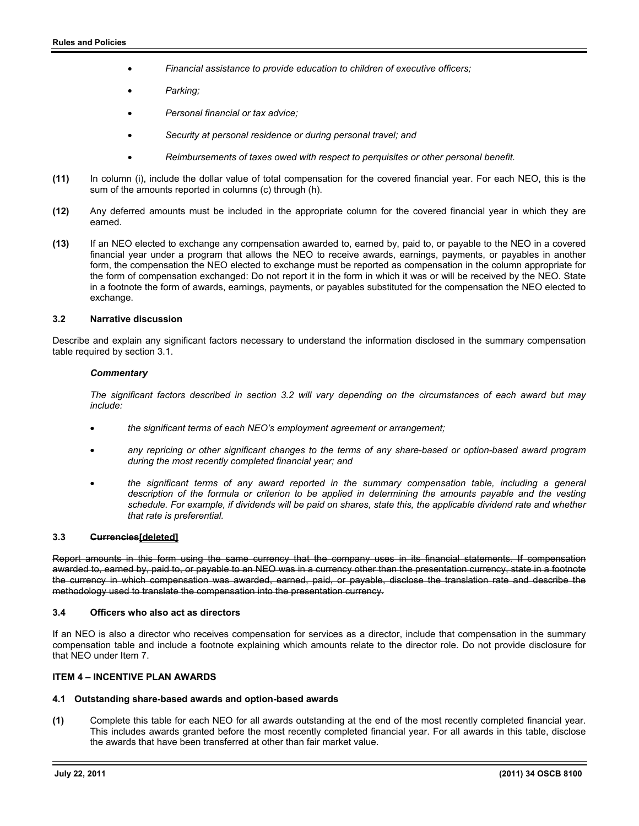- *Financial assistance to provide education to children of executive officers;*
- *Parking;*
- *Personal financial or tax advice;*
- *Security at personal residence or during personal travel; and*
- *Reimbursements of taxes owed with respect to perquisites or other personal benefit.*
- **(11)** In column (i), include the dollar value of total compensation for the covered financial year. For each NEO, this is the sum of the amounts reported in columns (c) through (h).
- **(12)** Any deferred amounts must be included in the appropriate column for the covered financial year in which they are earned.
- **(13)** If an NEO elected to exchange any compensation awarded to, earned by, paid to, or payable to the NEO in a covered financial year under a program that allows the NEO to receive awards, earnings, payments, or payables in another form, the compensation the NEO elected to exchange must be reported as compensation in the column appropriate for the form of compensation exchanged: Do not report it in the form in which it was or will be received by the NEO. State in a footnote the form of awards, earnings, payments, or payables substituted for the compensation the NEO elected to exchange.

#### **3.2 Narrative discussion**

Describe and explain any significant factors necessary to understand the information disclosed in the summary compensation table required by section 3.1.

#### *Commentary*

*The significant factors described in section 3.2 will vary depending on the circumstances of each award but may include:* 

- *the significant terms of each NEO's employment agreement or arrangement;*
- *any repricing or other significant changes to the terms of any share-based or option-based award program during the most recently completed financial year; and*
- *the significant terms of any award reported in the summary compensation table, including a general*  description of the formula or criterion to be applied in determining the amounts payable and the vesting *schedule. For example, if dividends will be paid on shares, state this, the applicable dividend rate and whether that rate is preferential.*

#### **3.3 Currencies[deleted]**

Report amounts in this form using the same currency that the company uses in its financial statements. If compensation awarded to, earned by, paid to, or payable to an NEO was in a currency other than the presentation currency, state in a footnote the currency in which compensation was awarded, earned, paid, or payable, disclose the translation rate and describe the methodology used to translate the compensation into the presentation currency.

## **3.4 Officers who also act as directors**

If an NEO is also a director who receives compensation for services as a director, include that compensation in the summary compensation table and include a footnote explaining which amounts relate to the director role. Do not provide disclosure for that NEO under Item 7.

## **ITEM 4 – INCENTIVE PLAN AWARDS**

#### **4.1 Outstanding share-based awards and option-based awards**

**(1)** Complete this table for each NEO for all awards outstanding at the end of the most recently completed financial year. This includes awards granted before the most recently completed financial year. For all awards in this table, disclose the awards that have been transferred at other than fair market value.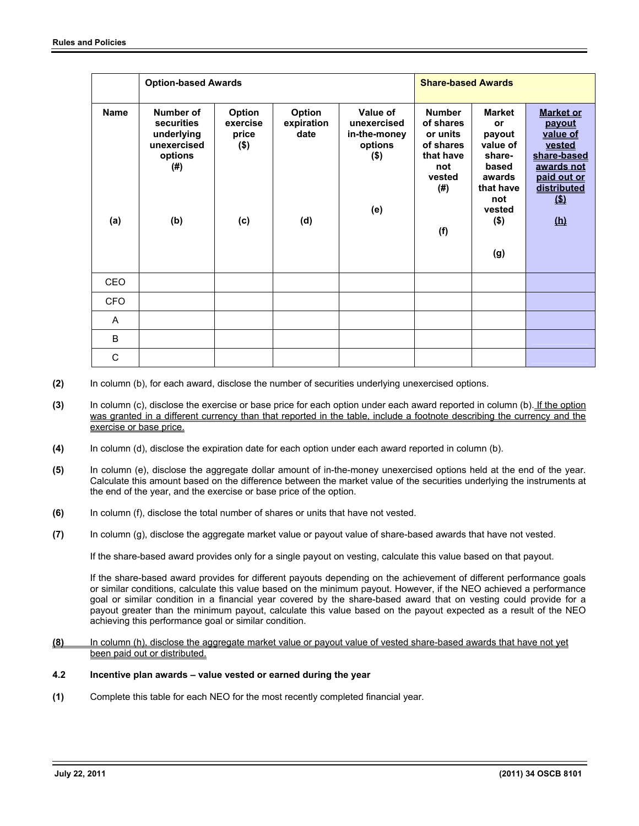|                    | <b>Option-based Awards</b>                                                    |                                               | <b>Share-based Awards</b>           |                                                                      |                                                                                                 |                                                                                                                        |                                                                                                                                                         |
|--------------------|-------------------------------------------------------------------------------|-----------------------------------------------|-------------------------------------|----------------------------------------------------------------------|-------------------------------------------------------------------------------------------------|------------------------------------------------------------------------------------------------------------------------|---------------------------------------------------------------------------------------------------------------------------------------------------------|
| <b>Name</b><br>(a) | Number of<br>securities<br>underlying<br>unexercised<br>options<br>(#)<br>(b) | Option<br>exercise<br>price<br>$($ \$)<br>(c) | Option<br>expiration<br>date<br>(d) | Value of<br>unexercised<br>in-the-money<br>options<br>$($ \$)<br>(e) | <b>Number</b><br>of shares<br>or units<br>of shares<br>that have<br>not<br>vested<br>(#)<br>(f) | <b>Market</b><br>or<br>payout<br>value of<br>share-<br>based<br>awards<br>that have<br>not<br>vested<br>$($ \$)<br>(g) | <b>Market or</b><br><u>payout</u><br>value of<br>vested<br>share-based<br>awards not<br>paid out or<br>distributed<br>$($)$<br>$\underline{\mathbf{H}}$ |
| CEO                |                                                                               |                                               |                                     |                                                                      |                                                                                                 |                                                                                                                        |                                                                                                                                                         |
| <b>CFO</b>         |                                                                               |                                               |                                     |                                                                      |                                                                                                 |                                                                                                                        |                                                                                                                                                         |
| A                  |                                                                               |                                               |                                     |                                                                      |                                                                                                 |                                                                                                                        |                                                                                                                                                         |
| B                  |                                                                               |                                               |                                     |                                                                      |                                                                                                 |                                                                                                                        |                                                                                                                                                         |
| C                  |                                                                               |                                               |                                     |                                                                      |                                                                                                 |                                                                                                                        |                                                                                                                                                         |

- **(2)** In column (b), for each award, disclose the number of securities underlying unexercised options.
- **(3)** In column (c), disclose the exercise or base price for each option under each award reported in column (b). If the option was granted in a different currency than that reported in the table, include a footnote describing the currency and the exercise or base price.
- **(4)** In column (d), disclose the expiration date for each option under each award reported in column (b).
- **(5)** In column (e), disclose the aggregate dollar amount of in-the-money unexercised options held at the end of the year. Calculate this amount based on the difference between the market value of the securities underlying the instruments at the end of the year, and the exercise or base price of the option.
- **(6)** In column (f), disclose the total number of shares or units that have not vested.
- **(7)** In column (g), disclose the aggregate market value or payout value of share-based awards that have not vested.

If the share-based award provides only for a single payout on vesting, calculate this value based on that payout.

If the share-based award provides for different payouts depending on the achievement of different performance goals or similar conditions, calculate this value based on the minimum payout. However, if the NEO achieved a performance goal or similar condition in a financial year covered by the share-based award that on vesting could provide for a payout greater than the minimum payout, calculate this value based on the payout expected as a result of the NEO achieving this performance goal or similar condition.

**(8)** In column (h), disclose the aggregate market value or payout value of vested share-based awards that have not yet been paid out or distributed.

## **4.2 Incentive plan awards – value vested or earned during the year**

**(1)** Complete this table for each NEO for the most recently completed financial year.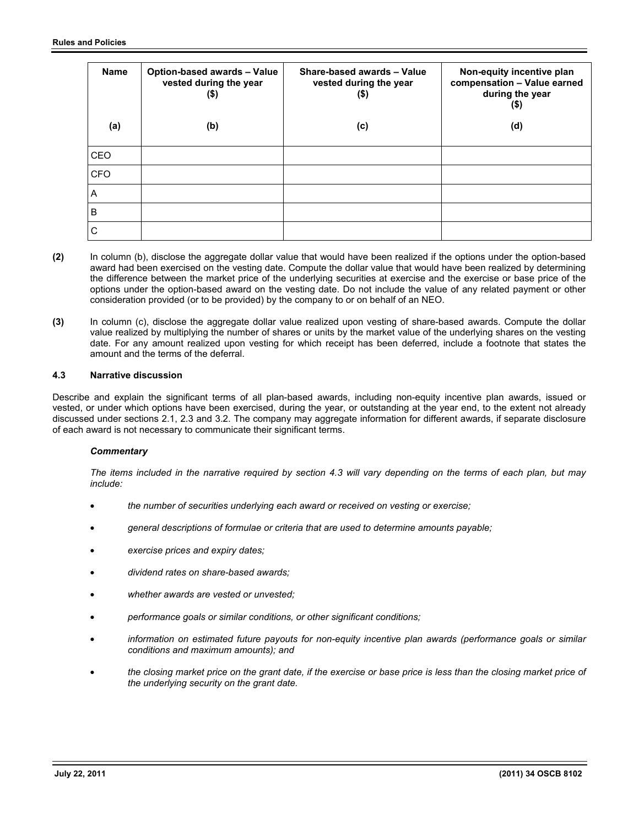| <b>Name</b> | Option-based awards - Value<br>vested during the year<br>$($ \$) | Share-based awards - Value<br>vested during the year<br>$($ \$) | Non-equity incentive plan<br>compensation - Value earned<br>during the year<br>$($)$ |
|-------------|------------------------------------------------------------------|-----------------------------------------------------------------|--------------------------------------------------------------------------------------|
| (a)         | (b)                                                              | (c)                                                             | (d)                                                                                  |
| CEO         |                                                                  |                                                                 |                                                                                      |
| <b>CFO</b>  |                                                                  |                                                                 |                                                                                      |
| A           |                                                                  |                                                                 |                                                                                      |
| B           |                                                                  |                                                                 |                                                                                      |
| C           |                                                                  |                                                                 |                                                                                      |

- **(2)** In column (b), disclose the aggregate dollar value that would have been realized if the options under the option-based award had been exercised on the vesting date. Compute the dollar value that would have been realized by determining the difference between the market price of the underlying securities at exercise and the exercise or base price of the options under the option-based award on the vesting date. Do not include the value of any related payment or other consideration provided (or to be provided) by the company to or on behalf of an NEO.
- **(3)** In column (c), disclose the aggregate dollar value realized upon vesting of share-based awards. Compute the dollar value realized by multiplying the number of shares or units by the market value of the underlying shares on the vesting date. For any amount realized upon vesting for which receipt has been deferred, include a footnote that states the amount and the terms of the deferral.

## **4.3 Narrative discussion**

Describe and explain the significant terms of all plan-based awards, including non-equity incentive plan awards, issued or vested, or under which options have been exercised, during the year, or outstanding at the year end, to the extent not already discussed under sections 2.1, 2.3 and 3.2. The company may aggregate information for different awards, if separate disclosure of each award is not necessary to communicate their significant terms.

#### *Commentary*

*The items included in the narrative required by section 4.3 will vary depending on the terms of each plan, but may include:* 

- *the number of securities underlying each award or received on vesting or exercise;*
- *general descriptions of formulae or criteria that are used to determine amounts payable;*
- *exercise prices and expiry dates;*
- *dividend rates on share-based awards;*
- *whether awards are vested or unvested;*
- *performance goals or similar conditions, or other significant conditions;*
- *information on estimated future payouts for non-equity incentive plan awards (performance goals or similar conditions and maximum amounts); and*
- *the closing market price on the grant date, if the exercise or base price is less than the closing market price of the underlying security on the grant date.*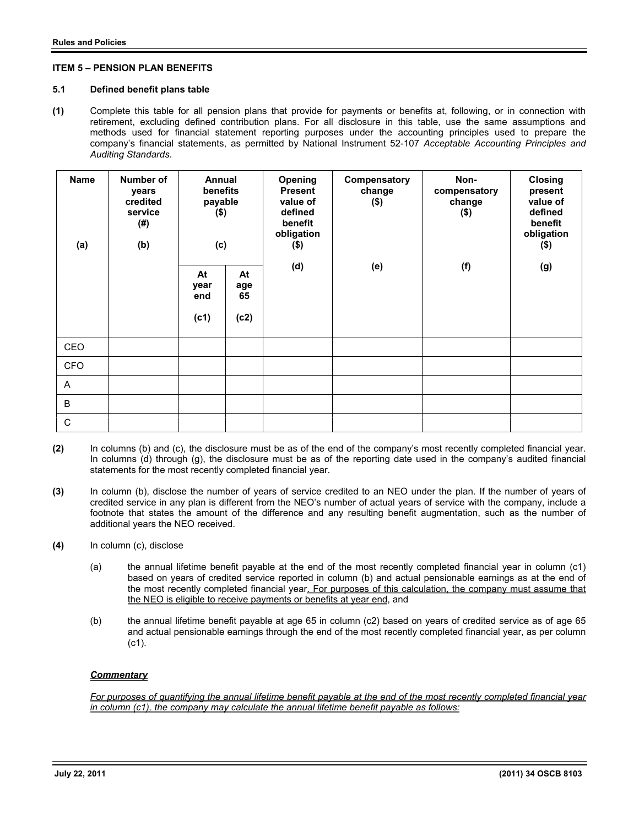# **ITEM 5 – PENSION PLAN BENEFITS**

## **5.1 Defined benefit plans table**

**(1)** Complete this table for all pension plans that provide for payments or benefits at, following, or in connection with retirement, excluding defined contribution plans. For all disclosure in this table, use the same assumptions and methods used for financial statement reporting purposes under the accounting principles used to prepare the company's financial statements, as permitted by National Instrument 52-107 *Acceptable Accounting Principles and Auditing Standards*.

| Name<br>(a) | Number of<br>years<br>credited<br>service<br>(#)<br>(b) | Annual<br>benefits<br>payable<br>$($ \$)<br>(c) |                         | Opening<br><b>Present</b><br>value of<br>defined<br>benefit<br>obligation<br>$($ \$) | Compensatory<br>change<br>$($ \$) | Non-<br>compensatory<br>change<br>$($ \$) | Closing<br>present<br>value of<br>defined<br>benefit<br>obligation<br>$($ \$) |
|-------------|---------------------------------------------------------|-------------------------------------------------|-------------------------|--------------------------------------------------------------------------------------|-----------------------------------|-------------------------------------------|-------------------------------------------------------------------------------|
|             |                                                         | At<br>year<br>end<br>(c1)                       | At<br>age<br>65<br>(c2) | (d)                                                                                  | (e)                               | (f)                                       | (g)                                                                           |
| CEO         |                                                         |                                                 |                         |                                                                                      |                                   |                                           |                                                                               |
| <b>CFO</b>  |                                                         |                                                 |                         |                                                                                      |                                   |                                           |                                                                               |
| A           |                                                         |                                                 |                         |                                                                                      |                                   |                                           |                                                                               |
| B           |                                                         |                                                 |                         |                                                                                      |                                   |                                           |                                                                               |
| C           |                                                         |                                                 |                         |                                                                                      |                                   |                                           |                                                                               |

- **(2)** In columns (b) and (c), the disclosure must be as of the end of the company's most recently completed financial year. In columns (d) through (g), the disclosure must be as of the reporting date used in the company's audited financial statements for the most recently completed financial year.
- **(3)** In column (b), disclose the number of years of service credited to an NEO under the plan. If the number of years of credited service in any plan is different from the NEO's number of actual years of service with the company, include a footnote that states the amount of the difference and any resulting benefit augmentation, such as the number of additional years the NEO received.
- **(4)** In column (c), disclose
	- (a) the annual lifetime benefit payable at the end of the most recently completed financial year in column (c1) based on years of credited service reported in column (b) and actual pensionable earnings as at the end of the most recently completed financial year. For purposes of this calculation, the company must assume that the NEO is eligible to receive payments or benefits at year end, and
	- (b) the annual lifetime benefit payable at age 65 in column (c2) based on years of credited service as of age 65 and actual pensionable earnings through the end of the most recently completed financial year, as per column (c1).

## *Commentary*

*For purposes of quantifying the annual lifetime benefit payable at the end of the most recently completed financial year in column (c1), the company may calculate the annual lifetime benefit payable as follows:*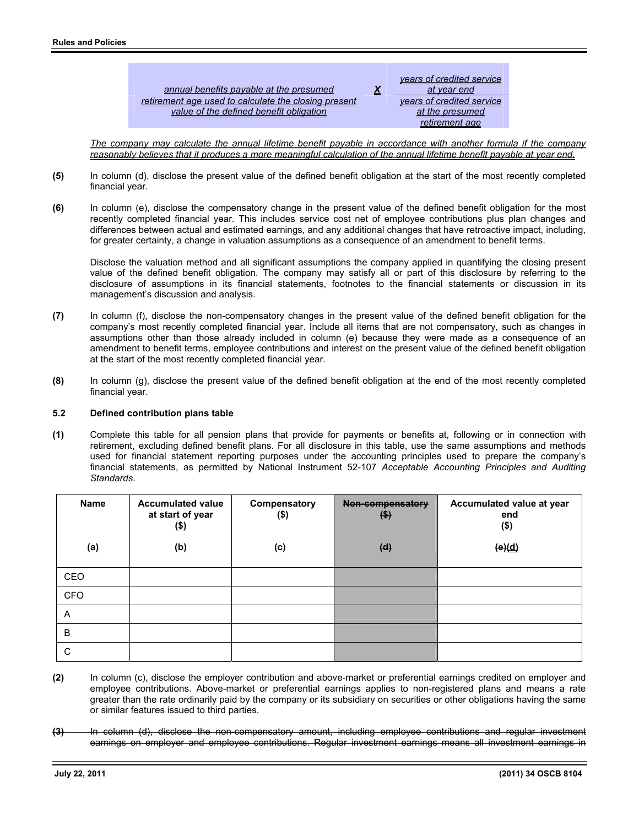*annual benefits payable at the presumed X years of credited service at year end retirement age used to calculate the closing present value of the defined benefit obligation years of credited service at the presumed retirement age*

*The company may calculate the annual lifetime benefit payable in accordance with another formula if the company reasonably believes that it produces a more meaningful calculation of the annual lifetime benefit payable at year end.*

- **(5)** In column (d), disclose the present value of the defined benefit obligation at the start of the most recently completed financial year.
- **(6)** In column (e), disclose the compensatory change in the present value of the defined benefit obligation for the most recently completed financial year. This includes service cost net of employee contributions plus plan changes and differences between actual and estimated earnings, and any additional changes that have retroactive impact, including, for greater certainty, a change in valuation assumptions as a consequence of an amendment to benefit terms.

Disclose the valuation method and all significant assumptions the company applied in quantifying the closing present value of the defined benefit obligation. The company may satisfy all or part of this disclosure by referring to the disclosure of assumptions in its financial statements, footnotes to the financial statements or discussion in its management's discussion and analysis.

- **(7)** In column (f), disclose the non-compensatory changes in the present value of the defined benefit obligation for the company's most recently completed financial year. Include all items that are not compensatory, such as changes in assumptions other than those already included in column (e) because they were made as a consequence of an amendment to benefit terms, employee contributions and interest on the present value of the defined benefit obligation at the start of the most recently completed financial year.
- **(8)** In column (g), disclose the present value of the defined benefit obligation at the end of the most recently completed financial year.

## **5.2 Defined contribution plans table**

**(1)** Complete this table for all pension plans that provide for payments or benefits at, following or in connection with retirement, excluding defined benefit plans. For all disclosure in this table, use the same assumptions and methods used for financial statement reporting purposes under the accounting principles used to prepare the company's financial statements, as permitted by National Instrument 52-107 *Acceptable Accounting Principles and Auditing Standards*.

| <b>Name</b> | <b>Accumulated value</b><br>at start of year<br>$($ \$) | Compensatory<br>$($ \$) | Non-compensatory<br>$($ \$) | Accumulated value at year<br>end<br>$($ \$) |
|-------------|---------------------------------------------------------|-------------------------|-----------------------------|---------------------------------------------|
| (a)         | (b)                                                     | (c)                     | (d)                         | (e)(d)                                      |
| CEO         |                                                         |                         |                             |                                             |
| <b>CFO</b>  |                                                         |                         |                             |                                             |
| A           |                                                         |                         |                             |                                             |
| B           |                                                         |                         |                             |                                             |
| C           |                                                         |                         |                             |                                             |

- **(2)** In column (c), disclose the employer contribution and above-market or preferential earnings credited on employer and employee contributions. Above-market or preferential earnings applies to non-registered plans and means a rate greater than the rate ordinarily paid by the company or its subsidiary on securities or other obligations having the same or similar features issued to third parties.
- **(3)** In column (d), disclose the non-compensatory amount, including employee contributions and regular investment earnings on employer and employee contributions. Regular investment earnings means all investment earnings in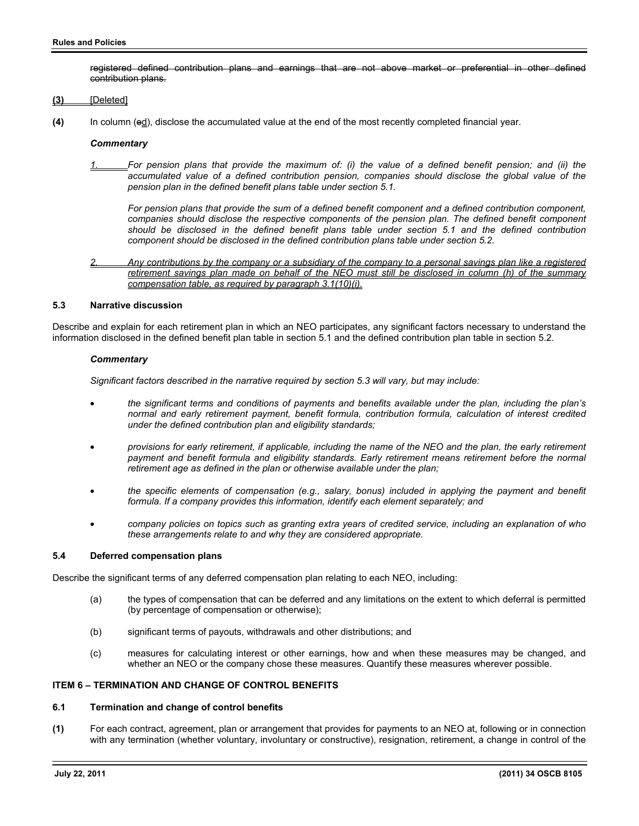registered defined contribution plans and earnings that are not above market or preferential in other defined contribution plans.

#### **(3)** [Deleted]

**(4)** In column (ed), disclose the accumulated value at the end of the most recently completed financial year.

#### *Commentary*

*1. For pension plans that provide the maximum of: (i) the value of a defined benefit pension; and (ii) the accumulated value of a defined contribution pension, companies should disclose the global value of the pension plan in the defined benefit plans table under section 5.1.* 

*For pension plans that provide the sum of a defined benefit component and a defined contribution component, companies should disclose the respective components of the pension plan. The defined benefit component should be disclosed in the defined benefit plans table under section 5.1 and the defined contribution component should be disclosed in the defined contribution plans table under section 5.2.* 

*2. Any contributions by the company or a subsidiary of the company to a personal savings plan like a registered retirement savings plan made on behalf of the NEO must still be disclosed in column (h) of the summary compensation table, as required by paragraph 3.1(10)(i).*

## **5.3 Narrative discussion**

Describe and explain for each retirement plan in which an NEO participates, any significant factors necessary to understand the information disclosed in the defined benefit plan table in section 5.1 and the defined contribution plan table in section 5.2.

## *Commentary*

*Significant factors described in the narrative required by section 5.3 will vary, but may include:* 

- *the significant terms and conditions of payments and benefits available under the plan, including the plan's normal and early retirement payment, benefit formula, contribution formula, calculation of interest credited under the defined contribution plan and eligibility standards;*
- *provisions for early retirement, if applicable, including the name of the NEO and the plan, the early retirement payment and benefit formula and eligibility standards. Early retirement means retirement before the normal retirement age as defined in the plan or otherwise available under the plan;*
- *the specific elements of compensation (e.g., salary, bonus) included in applying the payment and benefit formula. If a company provides this information, identify each element separately; and*
- *company policies on topics such as granting extra years of credited service, including an explanation of who these arrangements relate to and why they are considered appropriate.*

#### **5.4 Deferred compensation plans**

Describe the significant terms of any deferred compensation plan relating to each NEO, including:

- (a) the types of compensation that can be deferred and any limitations on the extent to which deferral is permitted (by percentage of compensation or otherwise);
- (b) significant terms of payouts, withdrawals and other distributions; and
- (c) measures for calculating interest or other earnings, how and when these measures may be changed, and whether an NEO or the company chose these measures. Quantify these measures wherever possible.

## **ITEM 6 – TERMINATION AND CHANGE OF CONTROL BENEFITS**

#### **6.1 Termination and change of control benefits**

**(1)** For each contract, agreement, plan or arrangement that provides for payments to an NEO at, following or in connection with any termination (whether voluntary, involuntary or constructive), resignation, retirement, a change in control of the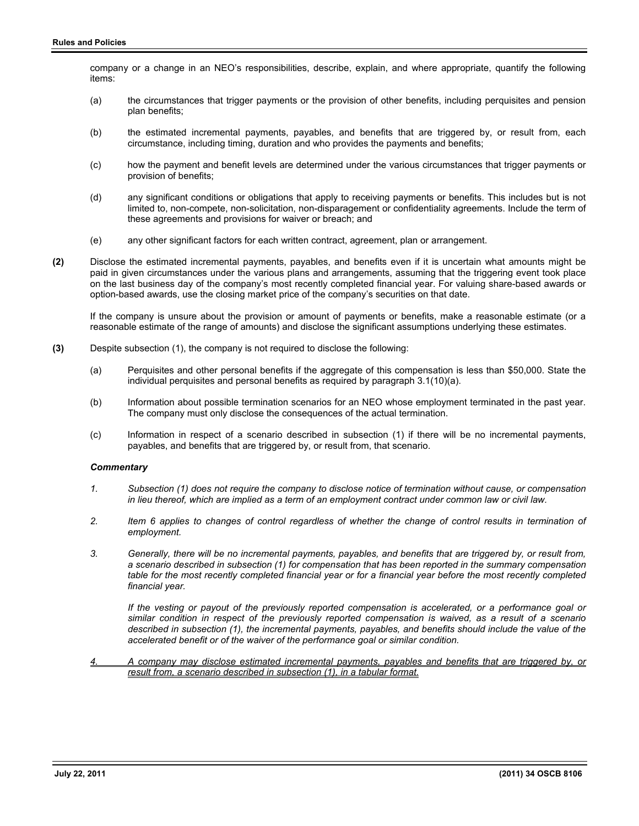company or a change in an NEO's responsibilities, describe, explain, and where appropriate, quantify the following items:

- (a) the circumstances that trigger payments or the provision of other benefits, including perquisites and pension plan benefits;
- (b) the estimated incremental payments, payables, and benefits that are triggered by, or result from, each circumstance, including timing, duration and who provides the payments and benefits;
- (c) how the payment and benefit levels are determined under the various circumstances that trigger payments or provision of benefits;
- (d) any significant conditions or obligations that apply to receiving payments or benefits. This includes but is not limited to, non-compete, non-solicitation, non-disparagement or confidentiality agreements. Include the term of these agreements and provisions for waiver or breach; and
- (e) any other significant factors for each written contract, agreement, plan or arrangement.
- **(2)** Disclose the estimated incremental payments, payables, and benefits even if it is uncertain what amounts might be paid in given circumstances under the various plans and arrangements, assuming that the triggering event took place on the last business day of the company's most recently completed financial year. For valuing share-based awards or option-based awards, use the closing market price of the company's securities on that date.

If the company is unsure about the provision or amount of payments or benefits, make a reasonable estimate (or a reasonable estimate of the range of amounts) and disclose the significant assumptions underlying these estimates.

- **(3)** Despite subsection (1), the company is not required to disclose the following:
	- (a) Perquisites and other personal benefits if the aggregate of this compensation is less than \$50,000. State the individual perquisites and personal benefits as required by paragraph 3.1(10)(a).
	- (b) Information about possible termination scenarios for an NEO whose employment terminated in the past year. The company must only disclose the consequences of the actual termination.
	- (c) Information in respect of a scenario described in subsection (1) if there will be no incremental payments, payables, and benefits that are triggered by, or result from, that scenario.

## *Commentary*

- *1. Subsection (1) does not require the company to disclose notice of termination without cause, or compensation in lieu thereof, which are implied as a term of an employment contract under common law or civil law.*
- *2. Item 6 applies to changes of control regardless of whether the change of control results in termination of employment.*
- *3. Generally, there will be no incremental payments, payables, and benefits that are triggered by, or result from, a scenario described in subsection (1) for compensation that has been reported in the summary compensation table for the most recently completed financial year or for a financial year before the most recently completed financial year.*

*If the vesting or payout of the previously reported compensation is accelerated, or a performance goal or similar condition in respect of the previously reported compensation is waived, as a result of a scenario described in subsection (1), the incremental payments, payables, and benefits should include the value of the accelerated benefit or of the waiver of the performance goal or similar condition.* 

*4. A company may disclose estimated incremental payments, payables and benefits that are triggered by, or result from, a scenario described in subsection (1), in a tabular format.*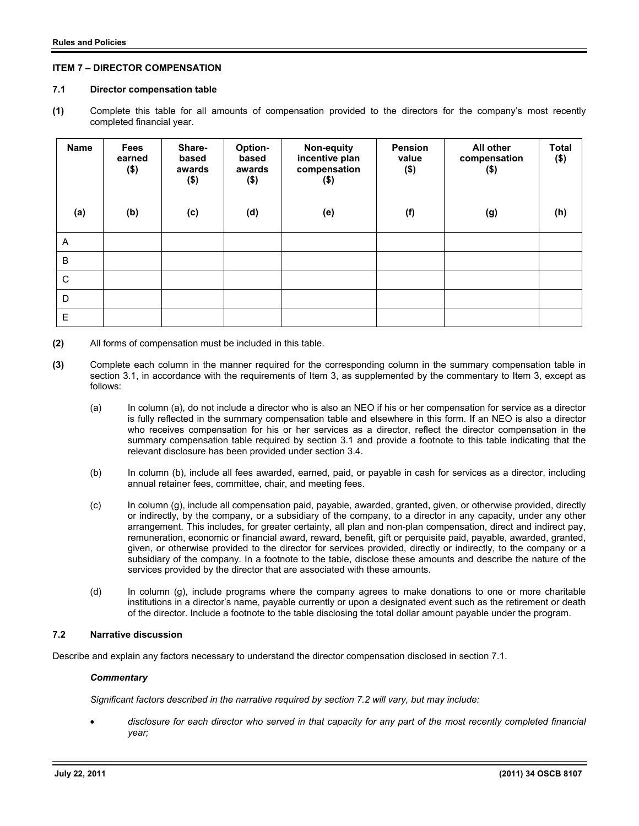# **ITEM 7 – DIRECTOR COMPENSATION**

## **7.1 Director compensation table**

**(1)** Complete this table for all amounts of compensation provided to the directors for the company's most recently completed financial year.

| <b>Name</b> | <b>Fees</b><br>earned<br>$($ \$) | Share-<br>based<br>awards<br>$($ \$) | Option-<br>based<br>awards<br>$($ \$) | Non-equity<br>incentive plan<br>compensation<br>$($ \$) | <b>Pension</b><br>value<br>$($ \$) | All other<br>compensation<br>$($ \$) | <b>Total</b><br>$($ \$) |
|-------------|----------------------------------|--------------------------------------|---------------------------------------|---------------------------------------------------------|------------------------------------|--------------------------------------|-------------------------|
| (a)         | (b)                              | (c)                                  | (d)                                   | (e)                                                     | (f)                                | (g)                                  | (h)                     |
| Α           |                                  |                                      |                                       |                                                         |                                    |                                      |                         |
| B           |                                  |                                      |                                       |                                                         |                                    |                                      |                         |
| C           |                                  |                                      |                                       |                                                         |                                    |                                      |                         |
| D           |                                  |                                      |                                       |                                                         |                                    |                                      |                         |
| E           |                                  |                                      |                                       |                                                         |                                    |                                      |                         |

- **(2)** All forms of compensation must be included in this table.
- **(3)** Complete each column in the manner required for the corresponding column in the summary compensation table in section 3.1, in accordance with the requirements of Item 3, as supplemented by the commentary to Item 3, except as follows:
	- (a) In column (a), do not include a director who is also an NEO if his or her compensation for service as a director is fully reflected in the summary compensation table and elsewhere in this form. If an NEO is also a director who receives compensation for his or her services as a director, reflect the director compensation in the summary compensation table required by section 3.1 and provide a footnote to this table indicating that the relevant disclosure has been provided under section 3.4.
	- (b) In column (b), include all fees awarded, earned, paid, or payable in cash for services as a director, including annual retainer fees, committee, chair, and meeting fees.
	- (c) In column (g), include all compensation paid, payable, awarded, granted, given, or otherwise provided, directly or indirectly, by the company, or a subsidiary of the company, to a director in any capacity, under any other arrangement. This includes, for greater certainty, all plan and non-plan compensation, direct and indirect pay, remuneration, economic or financial award, reward, benefit, gift or perquisite paid, payable, awarded, granted, given, or otherwise provided to the director for services provided, directly or indirectly, to the company or a subsidiary of the company. In a footnote to the table, disclose these amounts and describe the nature of the services provided by the director that are associated with these amounts.
	- (d) In column (g), include programs where the company agrees to make donations to one or more charitable institutions in a director's name, payable currently or upon a designated event such as the retirement or death of the director. Include a footnote to the table disclosing the total dollar amount payable under the program.

## **7.2 Narrative discussion**

Describe and explain any factors necessary to understand the director compensation disclosed in section 7.1.

## *Commentary*

*Significant factors described in the narrative required by section 7.2 will vary, but may include:* 

• *disclosure for each director who served in that capacity for any part of the most recently completed financial year;*